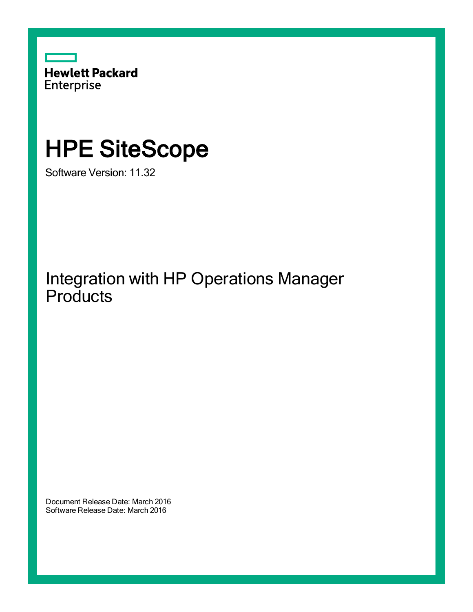

# HPE SiteScope

Software Version: 11.32

Integration with HP Operations Manager **Products** 

Document Release Date: March 2016 Software Release Date: March 2016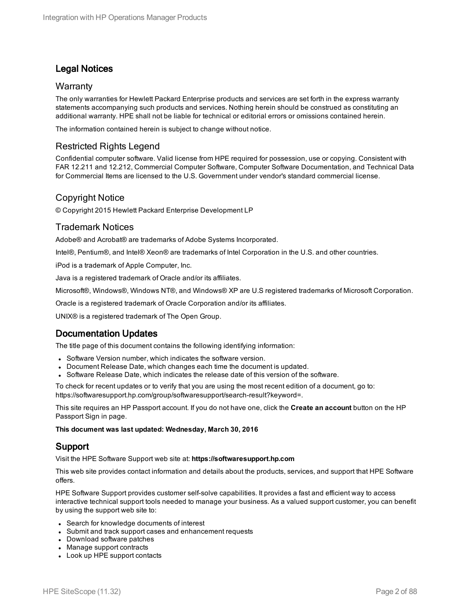#### Legal Notices

#### **Warranty**

The only warranties for Hewlett Packard Enterprise products and services are set forth in the express warranty statements accompanying such products and services. Nothing herein should be construed as constituting an additional warranty. HPE shall not be liable for technical or editorial errors or omissions contained herein.

The information contained herein is subject to change without notice.

#### Restricted Rights Legend

Confidential computer software. Valid license from HPE required for possession, use or copying. Consistent with FAR 12.211 and 12.212, Commercial Computer Software, Computer Software Documentation, and Technical Data for Commercial Items are licensed to the U.S. Government under vendor's standard commercial license.

#### Copyright Notice

© Copyright 2015 Hewlett Packard Enterprise Development LP

#### Trademark Notices

Adobe® and Acrobat® are trademarks of Adobe Systems Incorporated.

Intel®, Pentium®, and Intel® Xeon® are trademarks of Intel Corporation in the U.S. and other countries.

iPod is a trademark of Apple Computer, Inc.

Java is a registered trademark of Oracle and/or its affiliates.

Microsoft®, Windows®, Windows NT®, and Windows® XP are U.S registered trademarks of Microsoft Corporation.

Oracle is a registered trademark of Oracle Corporation and/or its affiliates.

UNIX® is a registered trademark of The Open Group.

#### Documentation Updates

The title page of this document contains the following identifying information:

- Software Version number, which indicates the software version.
- Document Release Date, which changes each time the document is updated.
- Software Release Date, which indicates the release date of this version of the software.

To check for recent updates or to verify that you are using the most recent edition of a document, go to: https://softwaresupport.hp.com/group/softwaresupport/search-result?keyword=.

This site requires an HP Passport account. If you do not have one, click the **Create an account** button on the HP Passport Sign in page.

#### **This document was last updated: Wednesday, March 30, 2016**

#### Support

Visit the HPE Software Support web site at: **https://softwaresupport.hp.com**

This web site provides contact information and details about the products, services, and support that HPE Software offers.

HPE Software Support provides customer self-solve capabilities. It provides a fast and efficient way to access interactive technical support tools needed to manage your business. As a valued support customer, you can benefit by using the support web site to:

- Search for knowledge documents of interest
- Submit and track support cases and enhancement requests
- Download software patches
- Manage support contracts
- Look up HPE support contacts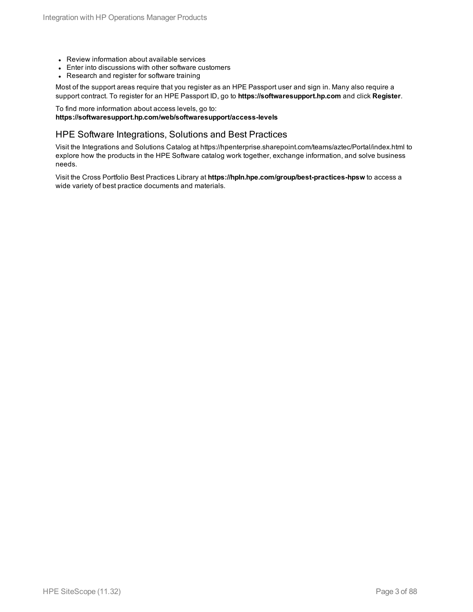- Review information about available services
- Enter into discussions with other software customers
- Research and register for software training

Most of the support areas require that you register as an HPE Passport user and sign in. Many also require a support contract. To register for an HPE Passport ID, go to **https://softwaresupport.hp.com** and click **Register**.

To find more information about access levels, go to: **https://softwaresupport.hp.com/web/softwaresupport/access-levels**

#### HPE Software Integrations, Solutions and Best Practices

Visit the Integrations and Solutions Catalog at https://hpenterprise.sharepoint.com/teams/aztec/Portal/index.html to explore how the products in the HPE Software catalog work together, exchange information, and solve business needs.

Visit the Cross Portfolio Best Practices Library at **https://hpln.hpe.com/group/best-practices-hpsw** to access a wide variety of best practice documents and materials.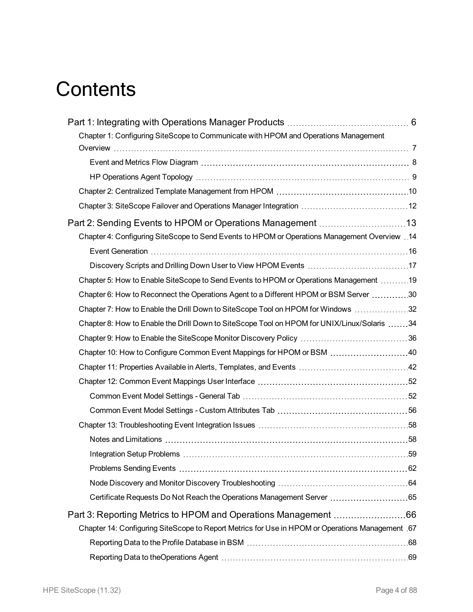# **Contents**

| Chapter 1: Configuring SiteScope to Communicate with HPOM and Operations Management              |  |
|--------------------------------------------------------------------------------------------------|--|
|                                                                                                  |  |
|                                                                                                  |  |
|                                                                                                  |  |
|                                                                                                  |  |
| Chapter 3: SiteScope Failover and Operations Manager Integration  12                             |  |
|                                                                                                  |  |
| 14. Configuring SiteScope to Send Events to HPOM or Operations Management Overview 14            |  |
|                                                                                                  |  |
| Discovery Scripts and Drilling Down User to View HPOM Events 17                                  |  |
| Chapter 5: How to Enable SiteScope to Send Events to HPOM or Operations Management 19            |  |
| Chapter 6: How to Reconnect the Operations Agent to a Different HPOM or BSM Server 30            |  |
| Chapter 7: How to Enable the Drill Down to SiteScope Tool on HPOM for Windows 32                 |  |
| Chapter 8: How to Enable the Drill Down to SiteScope Tool on HPOM for UNIX/Linux/Solaris 34      |  |
|                                                                                                  |  |
| Chapter 10: How to Configure Common Event Mappings for HPOM or BSM 40                            |  |
|                                                                                                  |  |
|                                                                                                  |  |
|                                                                                                  |  |
|                                                                                                  |  |
|                                                                                                  |  |
|                                                                                                  |  |
|                                                                                                  |  |
|                                                                                                  |  |
|                                                                                                  |  |
| Certificate Requests Do Not Reach the Operations Management Server 65                            |  |
|                                                                                                  |  |
| Chapter 14: Configuring SiteScope to Report Metrics for Use in HPOM or Operations Management .67 |  |
|                                                                                                  |  |
|                                                                                                  |  |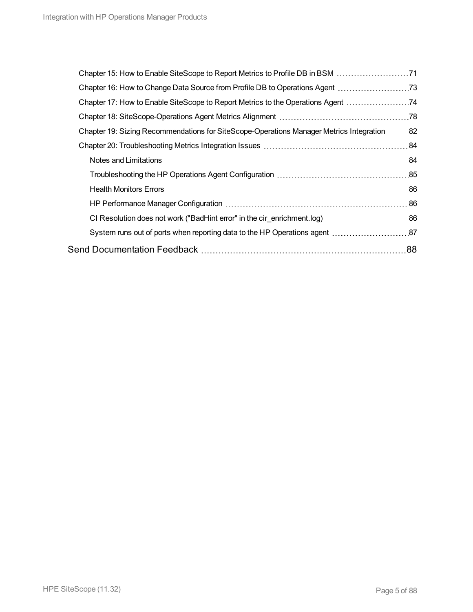| Chapter 17: How to Enable SiteScope to Report Metrics to the Operations Agent               |    |
|---------------------------------------------------------------------------------------------|----|
|                                                                                             |    |
| Chapter 19: Sizing Recommendations for SiteScope-Operations Manager Metrics Integration  82 |    |
|                                                                                             |    |
|                                                                                             |    |
|                                                                                             |    |
|                                                                                             |    |
|                                                                                             |    |
|                                                                                             |    |
|                                                                                             |    |
|                                                                                             | 88 |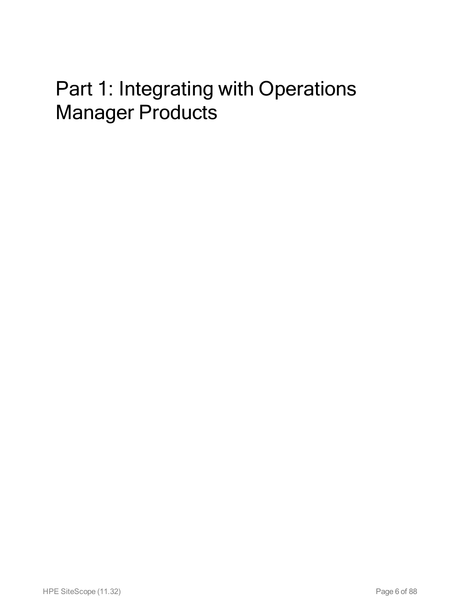# <span id="page-5-0"></span>Part 1: Integrating with Operations Manager Products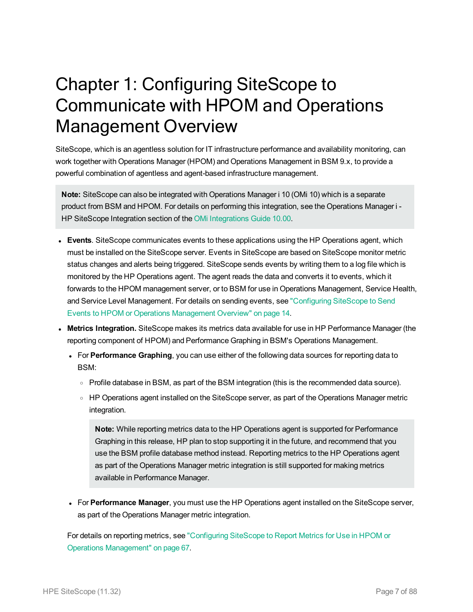# <span id="page-6-0"></span>Chapter 1: Configuring SiteScope to Communicate with HPOM and Operations Management Overview

SiteScope, which is an agentless solution for IT infrastructure performance and availability monitoring, can work together with Operations Manager (HPOM) and Operations Management in BSM 9.x, to provide a powerful combination of agentless and agent-based infrastructure management.

**Note:** SiteScope can also be integrated with Operations Manager i 10 (OMi 10) which is a separate product from BSM and HPOM. For details on performing this integration, see the Operations Manager i - HP SiteScope Integration section of the OMi [Integrations](https://softwaresupport.hp.com/group/softwaresupport/search-result/-/facetsearch/document/KM01223606) Guide 10.00.

- **Events**. SiteScope communicates events to these applications using the HP Operations agent, which must be installed on the SiteScope server. Events in SiteScope are based on SiteScope monitor metric status changes and alerts being triggered. SiteScope sends events by writing them to a log file which is monitored by the HP Operations agent. The agent reads the data and converts it to events, which it forwards to the HPOM management server, or to BSM for use in Operations Management, Service Health, and Service Level Management. For details on sending events, see ["Configuring](#page-13-0) SiteScope to Send Events to HPOM or Operations [Management](#page-13-0) Overview" on page 14.
- <sup>l</sup> **Metrics Integration.** SiteScope makes its metrics data available for use in HP Performance Manager (the reporting component of HPOM) and Performance Graphing in BSM's Operations Management.
	- For **Performance Graphing**, you can use either of the following data sources for reporting data to BSM:
		- <sup>o</sup> Profile database in BSM, as part of the BSM integration (this is the recommended data source).
		- HP Operations agent installed on the SiteScope server, as part of the Operations Manager metric integration.

**Note:** While reporting metrics data to the HP Operations agent is supported for Performance Graphing in this release, HP plan to stop supporting it in the future, and recommend that you use the BSM profile database method instead. Reporting metrics to the HP Operations agent as part of the Operations Manager metric integration is still supported for making metrics available in Performance Manager.

<sup>l</sup> For **Performance Manager**, you must use the HP Operations agent installed on the SiteScope server, as part of the Operations Manager metric integration.

For details on reporting metrics, see ["Configuring](#page-66-0) SiteScope to Report Metrics for Use in HPOM or Operations [Management"](#page-66-0) on page 67.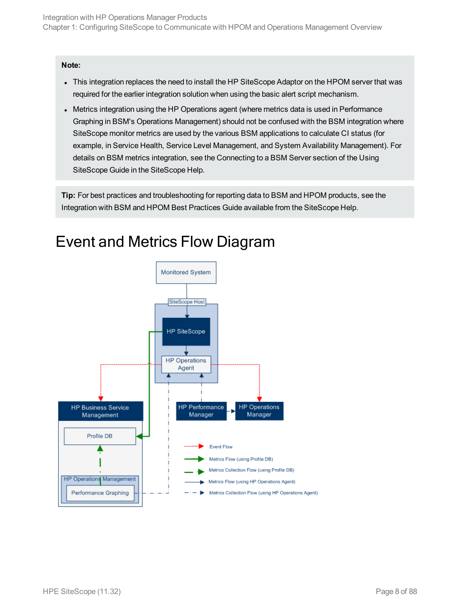#### **Note:**

- This integration replaces the need to install the HP SiteScope Adaptor on the HPOM server that was required for the earlier integration solution when using the basic alert script mechanism.
- Metrics integration using the HP Operations agent (where metrics data is used in Performance Graphing in BSM's Operations Management) should not be confused with the BSM integration where SiteScope monitor metrics are used by the various BSM applications to calculate CI status (for example, in Service Health, Service Level Management, and System Availability Management). For details on BSM metrics integration, see the Connecting to a BSM Server section of the Using SiteScope Guide in the SiteScope Help.

**Tip:** For best practices and troubleshooting for reporting data to BSM and HPOM products, see the Integration with BSM and HPOM Best Practices Guide available from the SiteScope Help.



### <span id="page-7-0"></span>Event and Metrics Flow Diagram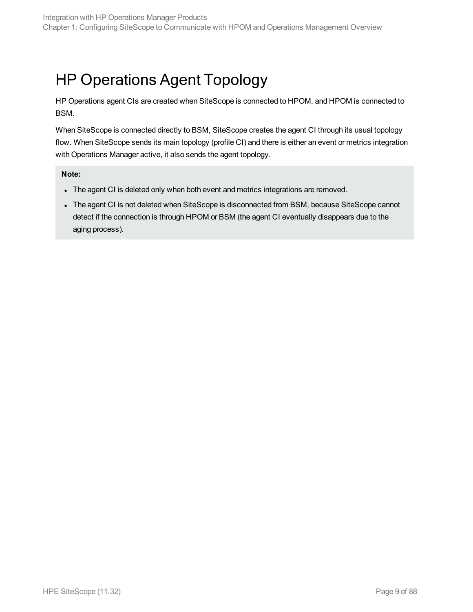## <span id="page-8-0"></span>HP Operations Agent Topology

HP Operations agent CIs are created when SiteScope is connected to HPOM, and HPOM is connected to BSM.

When SiteScope is connected directly to BSM, SiteScope creates the agent CI through its usual topology flow. When SiteScope sends its main topology (profile CI) and there is either an event or metrics integration with Operations Manager active, it also sends the agent topology.

#### **Note:**

- The agent CI is deleted only when both event and metrics integrations are removed.
- The agent CI is not deleted when SiteScope is disconnected from BSM, because SiteScope cannot detect if the connection is through HPOM or BSM (the agent CI eventually disappears due to the aging process).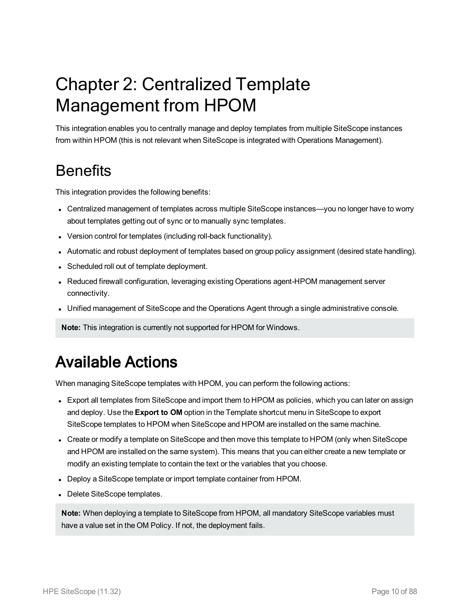# <span id="page-9-0"></span>Chapter 2: Centralized Template Management from HPOM

This integration enables you to centrally manage and deploy templates from multiple SiteScope instances from within HPOM (this is not relevant when SiteScope is integrated with Operations Management).

### **Benefits**

This integration provides the following benefits:

- Centralized management of templates across multiple SiteScope instances—you no longer have to worry about templates getting out of sync or to manually sync templates.
- Version control for templates (including roll-back functionality).
- Automatic and robust deployment of templates based on group policy assignment (desired state handling).
- Scheduled roll out of template deployment.
- Reduced firewall configuration, leveraging existing Operations agent-HPOM management server connectivity.
- Unified management of SiteScope and the Operations Agent through a single administrative console.

**Note:** This integration is currently not supported for HPOM for Windows.

### Available Actions

When managing SiteScope templates with HPOM, you can perform the following actions:

- Export all templates from SiteScope and import them to HPOM as policies, which you can later on assign and deploy. Use the **Export to OM** option in the Template shortcut menu in SiteScope to export SiteScope templates to HPOM when SiteScope and HPOM are installed on the same machine.
- Create or modify a template on SiteScope and then move this template to HPOM (only when SiteScope and HPOM are installed on the same system). This means that you can either create a new template or modify an existing template to contain the text or the variables that you choose.
- Deploy a SiteScope template or import template container from HPOM.
- Delete SiteScope templates.

**Note:** When deploying a template to SiteScope from HPOM, all mandatory SiteScope variables must have a value set in the OM Policy. If not, the deployment fails.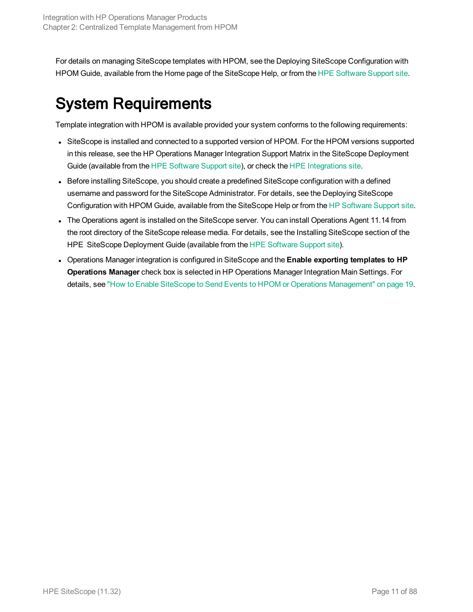For details on managing SiteScope templates with HPOM, see the Deploying SiteScope Configuration with HPOM Guide, available from the Home page of the SiteScope Help, or from the HPE [Software](https://softwaresupport.hp.com/) Support site.

## System Requirements

Template integration with HPOM is available provided your system conforms to the following requirements:

- SiteScope is installed and connected to a supported version of HPOM. For the HPOM versions supported in this release, see the HP Operations Manager Integration Support Matrix in the SiteScope Deployment Guide (available from the HPE [Software](https://softwaresupport.hp.com/) Support site), or check the HPE [Integrations](https://hpenterprise.sharepoint.com/teams/aztec/Portal/index.html) site.
- Before installing SiteScope, you should create a predefined SiteScope configuration with a defined username and password for the SiteScope Administrator. For details, see the Deploying SiteScope Configuration with HPOM Guide, available from the SiteScope Help or from the HP [Software](https://softwaresupport.hp.com/) Support site.
- The Operations agent is installed on the SiteScope server. You can install Operations Agent 11.14 from the root directory of the SiteScope release media. For details, see the Installing SiteScope section of the HPE SiteScope Deployment Guide (available from the HPE [Software](https://softwaresupport.hp.com/) Support site).
- <sup>l</sup> Operations Manager integration is configured in SiteScope and the **Enable exporting templates to HP Operations Manager** check box is selected in HP Operations Manager Integration Main Settings. For details, see "How to Enable SiteScope to Send Events to HPOM or Operations [Management"](#page-18-0) on page 19.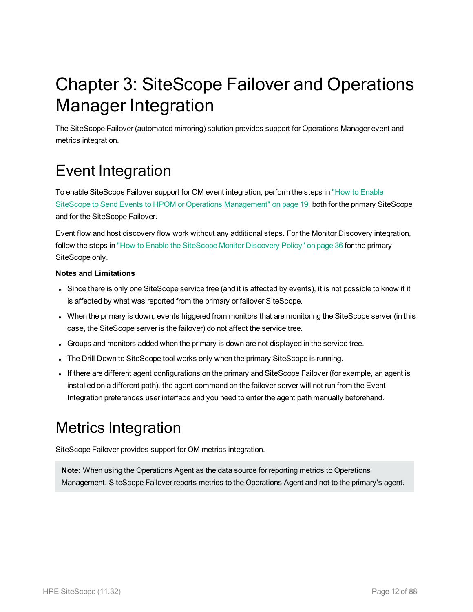# <span id="page-11-0"></span>Chapter 3: SiteScope Failover and Operations Manager Integration

The SiteScope Failover (automated mirroring) solution provides support for Operations Manager event and metrics integration.

### Event Integration

To enable SiteScope Failover support for OM event integration, perform the steps in "How to [Enable](#page-18-0) SiteScope to Send Events to HPOM or Operations [Management"](#page-18-0) on page 19, both for the primary SiteScope and for the SiteScope Failover.

Event flow and host discovery flow work without any additional steps. For the Monitor Discovery integration, follow the steps in "How to Enable the [SiteScope](#page-35-0) Monitor Discovery Policy" on page 36 for the primary SiteScope only.

#### **Notes and Limitations**

- Since there is only one SiteScope service tree (and it is affected by events), it is not possible to know if it is affected by what was reported from the primary or failover SiteScope.
- When the primary is down, events triggered from monitors that are monitoring the SiteScope server (in this case, the SiteScope server is the failover) do not affect the service tree.
- Groups and monitors added when the primary is down are not displayed in the service tree.
- The Drill Down to SiteScope tool works only when the primary SiteScope is running.
- If there are different agent configurations on the primary and SiteScope Failover (for example, an agent is installed on a different path), the agent command on the failover server will not run from the Event Integration preferences user interface and you need to enter the agent path manually beforehand.

### Metrics Integration

SiteScope Failover provides support for OM metrics integration.

**Note:** When using the Operations Agent as the data source for reporting metrics to Operations Management, SiteScope Failover reports metrics to the Operations Agent and not to the primary's agent.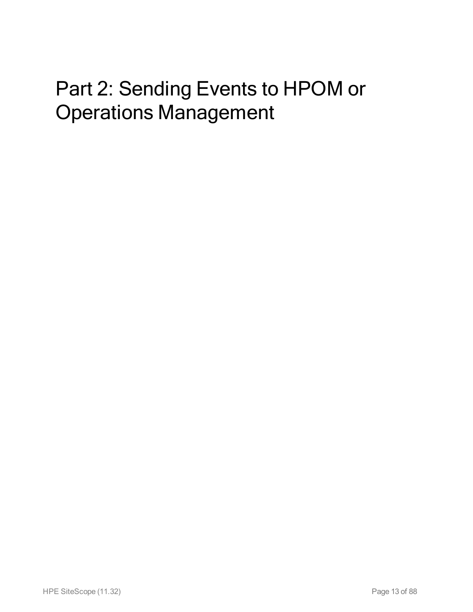# <span id="page-12-0"></span>Part 2: Sending Events to HPOM or Operations Management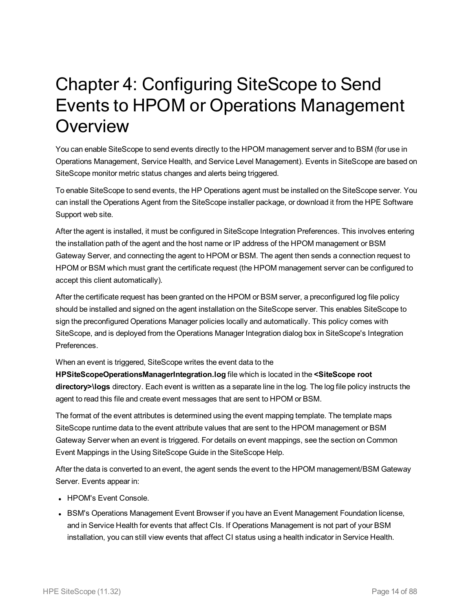## <span id="page-13-0"></span>Chapter 4: Configuring SiteScope to Send Events to HPOM or Operations Management **Overview**

You can enable SiteScope to send events directly to the HPOM management server and to BSM (for use in Operations Management, Service Health, and Service Level Management). Events in SiteScope are based on SiteScope monitor metric status changes and alerts being triggered.

To enable SiteScope to send events, the HP Operations agent must be installed on the SiteScope server. You can install the Operations Agent from the SiteScope installer package, or download it from the HPE Software Support web site.

After the agent is installed, it must be configured in SiteScope Integration Preferences. This involves entering the installation path of the agent and the host name or IP address of the HPOM management or BSM Gateway Server, and connecting the agent to HPOM or BSM. The agent then sends a connection request to HPOM or BSM which must grant the certificate request (the HPOM management server can be configured to accept this client automatically).

After the certificate request has been granted on the HPOM or BSM server, a preconfigured log file policy should be installed and signed on the agent installation on the SiteScope server. This enables SiteScope to sign the preconfigured Operations Manager policies locally and automatically. This policy comes with SiteScope, and is deployed from the Operations Manager Integration dialog box in SiteScope's Integration Preferences.

When an event is triggered, SiteScope writes the event data to the

**HPSiteScopeOperationsManagerIntegration.log** file which is located in the **<SiteScope root directory>\logs** directory. Each event is written as a separate line in the log. The log file policy instructs the agent to read this file and create event messages that are sent to HPOM or BSM.

The format of the event attributes is determined using the event mapping template. The template maps SiteScope runtime data to the event attribute values that are sent to the HPOM management or BSM Gateway Server when an event is triggered. For details on event mappings, see the section on Common Event Mappings in the Using SiteScope Guide in the SiteScope Help.

After the data is converted to an event, the agent sends the event to the HPOM management/BSM Gateway Server. Events appear in:

- HPOM's Event Console.
- BSM's Operations Management Event Browser if you have an Event Management Foundation license, and in Service Health for events that affect CIs. If Operations Management is not part of your BSM installation, you can still view events that affect CI status using a health indicator in Service Health.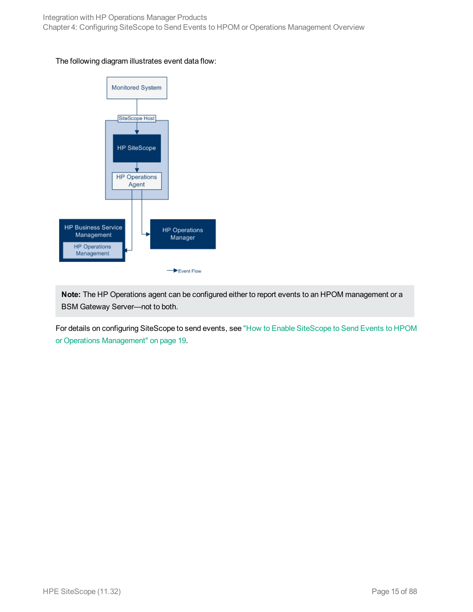#### The following diagram illustrates event data flow:



**Note:** The HP Operations agent can be configured either to report events to an HPOM management or a BSM Gateway Server—not to both.

For details on configuring SiteScope to send events, see "How to Enable [SiteScope](#page-18-0) to Send Events to HPOM or Operations [Management"](#page-18-0) on page 19.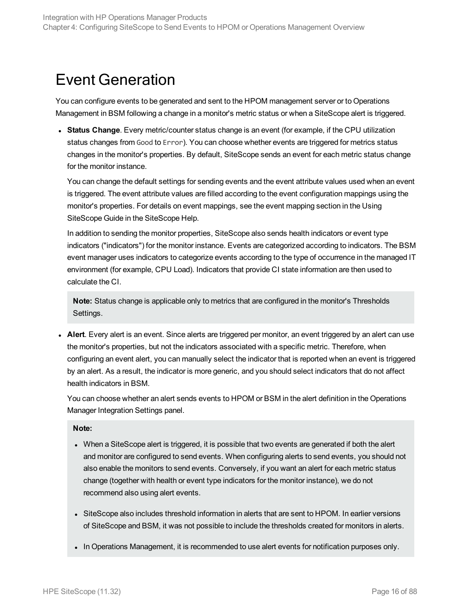### <span id="page-15-0"></span>Event Generation

You can configure events to be generated and sent to the HPOM management server or to Operations Management in BSM following a change in a monitor's metric status or when a SiteScope alert is triggered.

**Status Change**. Every metric/counter status change is an event (for example, if the CPU utilization status changes from Good to Error). You can choose whether events are triggered for metrics status changes in the monitor's properties. By default, SiteScope sends an event for each metric status change for the monitor instance.

You can change the default settings for sending events and the event attribute values used when an event is triggered. The event attribute values are filled according to the event configuration mappings using the monitor's properties. For details on event mappings, see the event mapping section in the Using SiteScope Guide in the SiteScope Help.

In addition to sending the monitor properties, SiteScope also sends health indicators or event type indicators ("indicators") for the monitor instance. Events are categorized according to indicators. The BSM event manager uses indicators to categorize events according to the type of occurrence in the managed IT environment (for example, CPU Load). Indicators that provide CI state information are then used to calculate the CI.

**Note:** Status change is applicable only to metrics that are configured in the monitor's Thresholds Settings.

• Alert. Every alert is an event. Since alerts are triggered per monitor, an event triggered by an alert can use the monitor's properties, but not the indicators associated with a specific metric. Therefore, when configuring an event alert, you can manually select the indicator that is reported when an event is triggered by an alert. As a result, the indicator is more generic, and you should select indicators that do not affect health indicators in BSM.

You can choose whether an alert sends events to HPOM or BSM in the alert definition in the Operations Manager Integration Settings panel.

**Note:**

- When a SiteScope alert is triggered, it is possible that two events are generated if both the alert and monitor are configured to send events. When configuring alerts to send events, you should not also enable the monitors to send events. Conversely, if you want an alert for each metric status change (together with health or event type indicators for the monitor instance), we do not recommend also using alert events.
- SiteScope also includes threshold information in alerts that are sent to HPOM. In earlier versions of SiteScope and BSM, it was not possible to include the thresholds created for monitors in alerts.
- In Operations Management, it is recommended to use alert events for notification purposes only.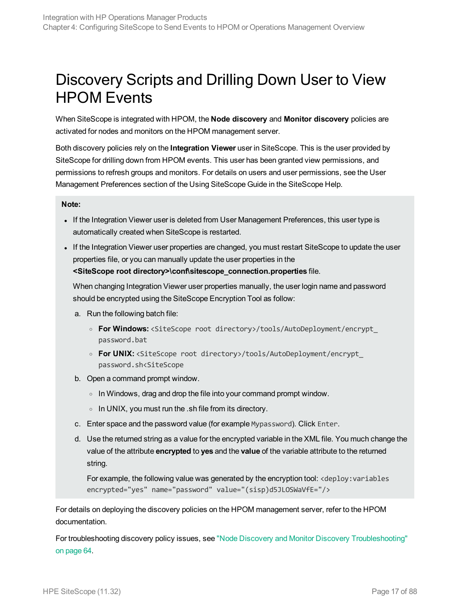### <span id="page-16-0"></span>Discovery Scripts and Drilling Down User to View HPOM Events

When SiteScope is integrated with HPOM, the **Node discovery** and **Monitor discovery** policies are activated for nodes and monitors on the HPOM management server.

Both discovery policies rely on the **Integration Viewer** user in SiteScope. This is the user provided by SiteScope for drilling down from HPOM events. This user has been granted view permissions, and permissions to refresh groups and monitors. For details on users and user permissions, see the User Management Preferences section of the Using SiteScope Guide in the SiteScope Help.

#### **Note:**

- If the Integration Viewer user is deleted from User Management Preferences, this user type is automatically created when SiteScope is restarted.
- If the Integration Viewer user properties are changed, you must restart SiteScope to update the user properties file, or you can manually update the user properties in the **<SiteScope root directory>\conf\sitescope\_connection.properties** file.

When changing Integration Viewer user properties manually, the user login name and password should be encrypted using the SiteScope Encryption Tool as follow:

- a. Run the following batch file:
	- <sup>o</sup> **For Windows:** <SiteScope root directory>/tools/AutoDeployment/encrypt\_ password.bat
	- <sup>o</sup> **For UNIX:** <SiteScope root directory>/tools/AutoDeployment/encrypt\_ password.sh<SiteScope
- b. Open a command prompt window.
	- $\circ$  In Windows, drag and drop the file into your command prompt window.
	- <sup>o</sup> In UNIX, you must run the .sh file from its directory.
- c. Enter space and the password value (for example Mypassword). Click Enter.
- d. Use the returned string as a value for the encrypted variable in the XML file. You much change the value of the attribute **encrypted** to **yes** and the **value** of the variable attribute to the returned string.

For example, the following value was generated by the encryption tool: <deploy:variables encrypted="yes" name="password" value="(sisp)d5JLOSWaVfE="/>

For details on deploying the discovery policies on the HPOM management server, refer to the HPOM documentation.

For troubleshooting discovery policy issues, see "Node Discovery and Monitor Discovery [Troubleshooting"](#page-63-0) on [page 64](#page-63-0).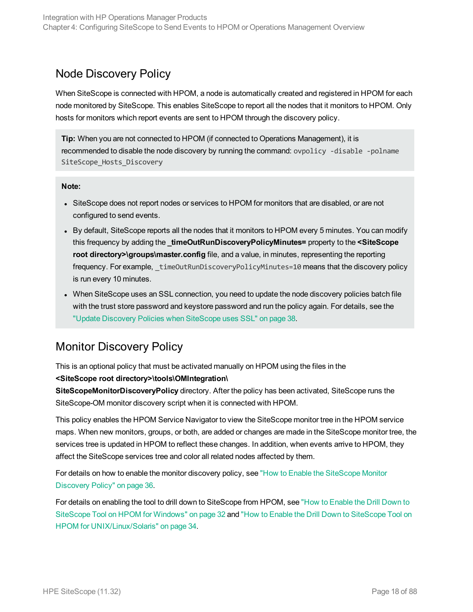### Node Discovery Policy

When SiteScope is connected with HPOM, a node is automatically created and registered in HPOM for each node monitored by SiteScope. This enables SiteScope to report all the nodes that it monitors to HPOM. Only hosts for monitors which report events are sent to HPOM through the discovery policy.

**Tip:** When you are not connected to HPOM (if connected to Operations Management), it is recommended to disable the node discovery by running the command: ovpolicy -disable -polname SiteScope Hosts Discovery

#### **Note:**

- SiteScope does not report nodes or services to HPOM for monitors that are disabled, or are not configured to send events.
- By default, SiteScope reports all the nodes that it monitors to HPOM every 5 minutes. You can modify this frequency by adding the **\_timeOutRunDiscoveryPolicyMinutes=** property to the **<SiteScope root directory>\groups\master.config** file, and a value, in minutes, representing the reporting frequency. For example, timeOutRunDiscoveryPolicyMinutes=10 means that the discovery policy is run every 10 minutes.
- When SiteScope uses an SSL connection, you need to update the node discovery policies batch file with the trust store password and keystore password and run the policy again. For details, see the "Update Discovery Policies when [SiteScope](#page-37-0) uses SSL" on page 38.

### Monitor Discovery Policy

This is an optional policy that must be activated manually on HPOM using the files in the **<SiteScope root directory>\tools\OMIntegration\**

**SiteScopeMonitorDiscoveryPolicy** directory. After the policy has been activated, SiteScope runs the SiteScope-OM monitor discovery script when it is connected with HPOM.

This policy enables the HPOM Service Navigator to view the SiteScope monitor tree in the HPOM service maps. When new monitors, groups, or both, are added or changes are made in the SiteScope monitor tree, the services tree is updated in HPOM to reflect these changes. In addition, when events arrive to HPOM, they affect the SiteScope services tree and color all related nodes affected by them.

For details on how to enable the monitor discovery policy, see "How to Enable the [SiteScope](#page-35-0) Monitor [Discovery](#page-35-0) Policy" on page 36.

For details on enabling the tool to drill down to SiteScope from HPOM, see "How to [Enable](#page-31-0) the Drill Down to [SiteScope](#page-31-0) Tool on HPOM for Windows" on page 32 and "How to Enable the Drill Down to [SiteScope](#page-33-0) Tool on HPOM for [UNIX/Linux/Solaris"](#page-33-0) on page 34.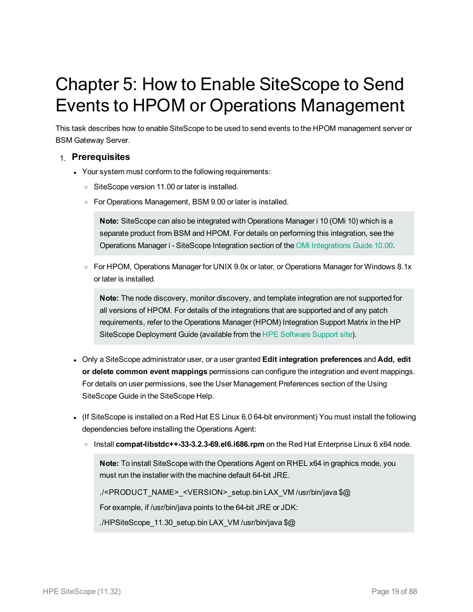# <span id="page-18-0"></span>Chapter 5: How to Enable SiteScope to Send Events to HPOM or Operations Management

This task describes how to enable SiteScope to be used to send events to the HPOM management server or BSM Gateway Server.

#### 1. **Prerequisites**

- Your system must conform to the following requirements:
	- o SiteScope version 11.00 or later is installed.
	- <sup>o</sup> For Operations Management, BSM 9.00 or later is installed.

**Note:** SiteScope can also be integrated with Operations Manager i 10 (OMi 10) which is a separate product from BSM and HPOM. For details on performing this integration, see the Operations Manager i - SiteScope Integration section of the OMi [Integrations](https://softwaresupport.hp.com/group/softwaresupport/search-result/-/facetsearch/document/KM01223606) Guide 10.00.

<sup>o</sup> For HPOM, Operations Manager for UNIX 9.0x or later, or Operations Manager for Windows 8.1x or later is installed.

**Note:** The node discovery, monitor discovery, and template integration are not supported for all versions of HPOM. For details of the integrations that are supported and of any patch requirements, refer to the Operations Manager (HPOM) Integration Support Matrix in the HP SiteScope Deployment Guide (available from the HPE [Software](https://softwaresupport.hp.com/) Support site).

- <sup>l</sup> Only a SiteScope administrator user, or a user granted **Edit integration preferences** and **Add, edit or delete common event mappings** permissions can configure the integration and event mappings. For details on user permissions, see the User Management Preferences section of the Using SiteScope Guide in the SiteScope Help.
- (If SiteScope is installed on a Red Hat ES Linux 6.0 64-bit environment) You must install the following dependencies before installing the Operations Agent:
	- <sup>o</sup> Install **compat-libstdc++-33-3.2.3-69.el6.i686.rpm** on the Red Hat Enterprise Linux 6 x64 node.

**Note:** To install SiteScope with the Operations Agent on RHEL x64 in graphics mode, you must run the installer with the machine default 64-bit JRE.

./<PRODUCT\_NAME>\_<VERSION>\_setup.bin LAX\_VM /usr/bin/java \$@

For example, if /usr/bin/java points to the 64-bit JRE or JDK:

./HPSiteScope\_11.30\_setup.bin LAX\_VM /usr/bin/java \$@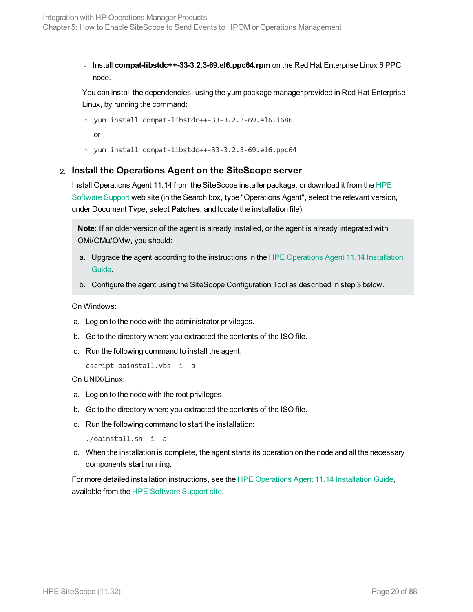<sup>o</sup> Install **compat-libstdc++-33-3.2.3-69.el6.ppc64.rpm** on the Red Hat Enterprise Linux 6 PPC node.

You can install the dependencies, using the yum package manager provided in Red Hat Enterprise Linux, by running the command:

```
o yum install compat-libstdc++-33-3.2.3-69.el6.i686
```
or

<sup>o</sup> yum install compat-libstdc++-33-3.2.3-69.el6.ppc64

#### 2. **Install the Operations Agent on the SiteScope server**

Install Operations Agent 11.14 from the SiteScope installer package, or download it from the [HPE](https://softwaresupport.hp.com/) [Software](https://softwaresupport.hp.com/) Support web site (in the Search box, type "Operations Agent", select the relevant version, under Document Type, select **Patches**, and locate the installation file).

**Note:** If an older version of the agent is already installed, or the agent is already integrated with OMi/OMu/OMw, you should:

- a. Upgrade the agent according to the instructions in the [HPE Operations](https://softwaresupport.hp.com/group/softwaresupport/search-result/-/facetsearch/document/KM01001255) Agent 11.14 Installation [Guide](https://softwaresupport.hp.com/group/softwaresupport/search-result/-/facetsearch/document/KM01001255).
- b. Configure the agent using the SiteScope Configuration Tool as described in step 3 below.

On Windows:

- a. Log on to the node with the administrator privileges.
- b. Go to the directory where you extracted the contents of the ISO file.
- c. Run the following command to install the agent:

```
cscript oainstall.vbs -i –a
```
On UNIX/Linux:

- a. Log on to the node with the root privileges.
- b. Go to the directory where you extracted the contents of the ISO file.
- c. Run the following command to start the installation:

./oainstall.sh -i -a

d. When the installation is complete, the agent starts its operation on the node and all the necessary components start running.

For more detailed installation instructions, see the [HPE Operations](https://softwaresupport.hp.com/group/softwaresupport/search-result/-/facetsearch/document/KM01001255) Agent 11.14 Installation Guide, available from the HPE [Software](https://softwaresupport.hp.com/) Support site.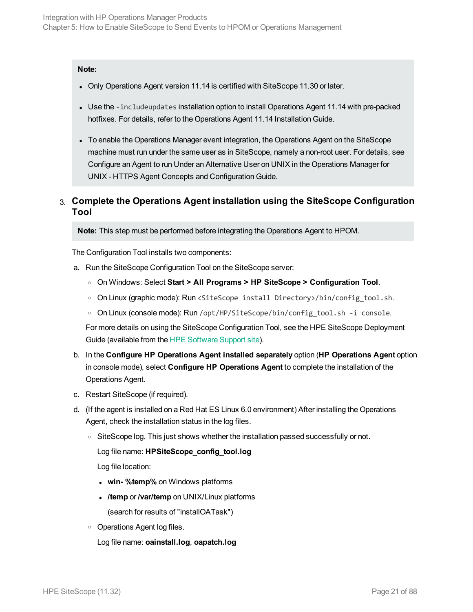#### **Note:**

- Only Operations Agent version 11.14 is certified with SiteScope 11.30 or later.
- Use the -includeupdates installation option to install Operations Agent 11.14 with pre-packed hotfixes. For details, refer to the Operations Agent 11.14 Installation Guide.
- To enable the Operations Manager event integration, the Operations Agent on the SiteScope machine must run under the same user as in SiteScope, namely a non-root user. For details, see Configure an Agent to run Under an Alternative User on UNIX in the Operations Manager for UNIX - HTTPS Agent Concepts and Configuration Guide.

#### 3. **Complete the Operations Agent installation using the SiteScope Configuration Tool**

**Note:** This step must be performed before integrating the Operations Agent to HPOM.

The Configuration Tool installs two components:

- a. Run the SiteScope Configuration Tool on the SiteScope server:
	- <sup>o</sup> On Windows: Select **Start > All Programs > HP SiteScope > Configuration Tool**.
	- <sup>o</sup> On Linux (graphic mode): Run <SiteScope install Directory>/bin/config\_tool.sh.
	- On Linux (console mode): Run /opt/HP/SiteScope/bin/config\_tool.sh -i console.

For more details on using the SiteScope Configuration Tool, see the HPE SiteScope Deployment Guide (available from the HPE [Software](https://softwaresupport.hp.com/) Support site).

- b. In the **Configure HP Operations Agent installed separately** option (**HP Operations Agent** option in console mode), select **Configure HP Operations Agent** to complete the installation of the Operations Agent.
- c. Restart SiteScope (if required).
- d. (If the agent is installed on a Red Hat ES Linux 6.0 environment) After installing the Operations Agent, check the installation status in the log files.
	- $\circ$  SiteScope log. This just shows whether the installation passed successfully or not.

Log file name: **HPSiteScope\_config\_tool.log**

Log file location:

- **win-** %temp% on Windows platforms
- <sup>l</sup> **/temp** or **/var/temp** on UNIX/Linux platforms (search for results of "installOATask")
- <sup>o</sup> Operations Agent log files.

Log file name: **oainstall.log**, **oapatch.log**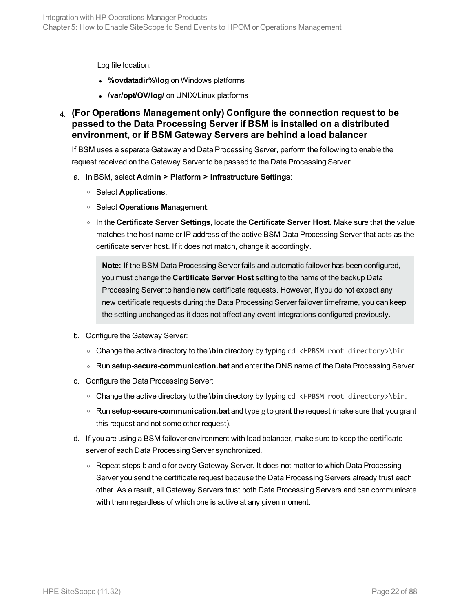Log file location:

- <sup>l</sup> **%ovdatadir%\log** on Windows platforms
- <sup>l</sup> **/var/opt/OV/log/** on UNIX/Linux platforms
- 4. **(For Operations Management only) Configure the connection request to be passed to the Data Processing Server if BSM is installed on a distributed environment, or if BSM Gateway Servers are behind a load balancer**

If BSM uses a separate Gateway and Data Processing Server, perform the following to enable the request received on the Gateway Server to be passed to the Data Processing Server:

- a. In BSM, select **Admin > Platform > Infrastructure Settings**:
	- <sup>o</sup> Select **Applications**.
	- <sup>o</sup> Select **Operations Management**.
	- <sup>o</sup> In the **Certificate Server Settings**, locate the **Certificate Server Host**. Make sure that the value matches the host name or IP address of the active BSM Data Processing Server that acts as the certificate server host. If it does not match, change it accordingly.

**Note:** If the BSM Data Processing Server fails and automatic failover has been configured, you must change the **Certificate Server Host** setting to the name of the backup Data Processing Server to handle new certificate requests. However, if you do not expect any new certificate requests during the Data Processing Server failover timeframe, you can keep the setting unchanged as it does not affect any event integrations configured previously.

- b. Configure the Gateway Server:
	- <sup>o</sup> Change the active directory to the **\bin** directory by typing cd <HPBSM root directory>\bin.
	- <sup>o</sup> Run **setup-secure-communication.bat** and enter the DNS name of the Data Processing Server.
- c. Configure the Data Processing Server:
	- <sup>o</sup> Change the active directory to the **\bin** directory by typing cd <HPBSM root directory>\bin.
	- <sup>o</sup> Run **setup-secure-communication.bat** and type g to grant the request (make sure that you grant this request and not some other request).
- d. If you are using a BSM failover environment with load balancer, make sure to keep the certificate server of each Data Processing Server synchronized.
	- Repeat steps b and c for every Gateway Server. It does not matter to which Data Processing Server you send the certificate request because the Data Processing Servers already trust each other. As a result, all Gateway Servers trust both Data Processing Servers and can communicate with them regardless of which one is active at any given moment.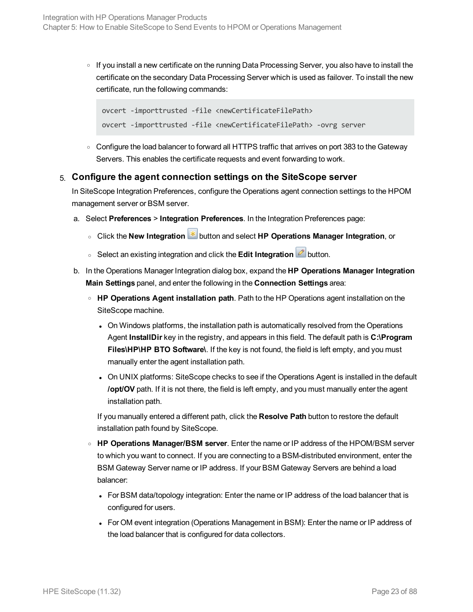<sup>o</sup> If you install a new certificate on the running Data Processing Server, you also have to install the certificate on the secondary Data Processing Server which is used as failover. To install the new certificate, run the following commands:

```
ovcert -importtrusted -file <newCertificateFilePath>
ovcert -importtrusted -file <newCertificateFilePath> -ovrg server
```
○ Configure the load balancer to forward all HTTPS traffic that arrives on port 383 to the Gateway Servers. This enables the certificate requests and event forwarding to work.

#### <span id="page-22-0"></span>5. **Configure the agent connection settings on the SiteScope server**

In SiteScope Integration Preferences, configure the Operations agent connection settings to the HPOM management server or BSM server.

- a. Select **Preferences** > **Integration Preferences**. In the Integration Preferences page:
	- <sup>o</sup> Click the **New Integration** button and select **HP Operations Manager Integration**, or
	- o Select an existing integration and click the **Edit Integration button**.
- b. In the Operations Manager Integration dialog box, expand the **HP Operations Manager Integration Main Settings** panel, and enter the following in the **Connection Settings** area:
	- <sup>o</sup> **HP Operations Agent installation path**. Path to the HP Operations agent installation on the SiteScope machine.
		- On Windows platforms, the installation path is automatically resolved from the Operations Agent **InstallDir** key in the registry, and appears in this field. The default path is **C:\Program Files\HP\HP BTO Software\**. If the key is not found, the field is left empty, and you must manually enter the agent installation path.
		- On UNIX platforms: SiteScope checks to see if the Operations Agent is installed in the default **/opt/OV** path. If it is not there, the field is left empty, and you must manually enter the agent installation path.

If you manually entered a different path, click the **Resolve Path** button to restore the default installation path found by SiteScope.

- <sup>o</sup> **HP Operations Manager/BSM server**. Enter the name or IP address of the HPOM/BSM server to which you want to connect. If you are connecting to a BSM-distributed environment, enter the BSM Gateway Server name or IP address. If your BSM Gateway Servers are behind a load balancer:
	- For BSM data/topology integration: Enter the name or IP address of the load balancer that is configured for users.
	- For OM event integration (Operations Management in BSM): Enter the name or IP address of the load balancer that is configured for data collectors.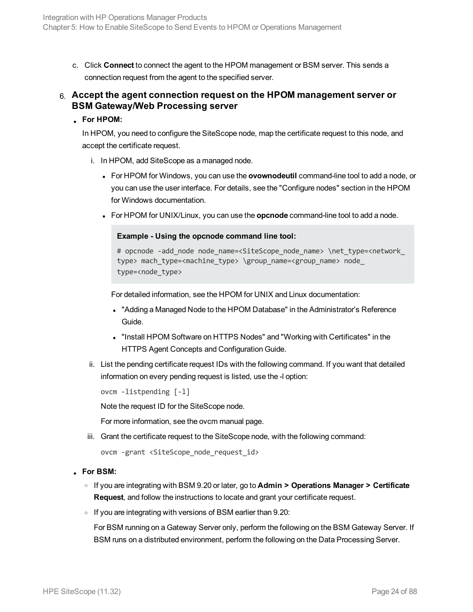c. Click **Connect** to connect the agent to the HPOM management or BSM server. This sends a connection request from the agent to the specified server.

#### 6. **Accept the agent connection request on the HPOM management server or BSM Gateway/Web Processing server**

#### <sup>l</sup> **For HPOM:**

In HPOM, you need to configure the SiteScope node, map the certificate request to this node, and accept the certificate request.

- i. In HPOM, add SiteScope as a managed node.
	- **For HPOM for Windows, you can use the ovownodeutil command-line tool to add a node, or** you can use the user interface. For details, see the "Configure nodes" section in the HPOM for Windows documentation.
	- For HPOM for UNIX/Linux, you can use the **opcnode** command-line tool to add a node.

#### **Example - Using the opcnode command line tool:**

```
# opcnode -add node node name=<SiteScope node name> \net type=<network
type> mach type=<machine_type> \group_name=<group_name> node_
type=<node_type>
```
For detailed information, see the HPOM for UNIX and Linux documentation:

- "Adding a Managed Node to the HPOM Database" in the Administrator's Reference Guide.
- "Install HPOM Software on HTTPS Nodes" and "Working with Certificates" in the HTTPS Agent Concepts and Configuration Guide.
- ii. List the pending certificate request IDs with the following command. If you want that detailed information on every pending request is listed, use the -l option:

```
ovcm -listpending [-l]
```
Note the request ID for the SiteScope node.

For more information, see the ovcm manual page.

iii. Grant the certificate request to the SiteScope node, with the following command:

```
ovcm -grant <SiteScope node request id>
```
#### <sup>l</sup> **For BSM:**

- <sup>o</sup> If you are integrating with BSM 9.20 or later, go to **Admin > Operations Manager > Certificate Request**, and follow the instructions to locate and grant your certificate request.
- $\circ$  If you are integrating with versions of BSM earlier than 9.20:

For BSM running on a Gateway Server only, perform the following on the BSM Gateway Server. If BSM runs on a distributed environment, perform the following on the Data Processing Server.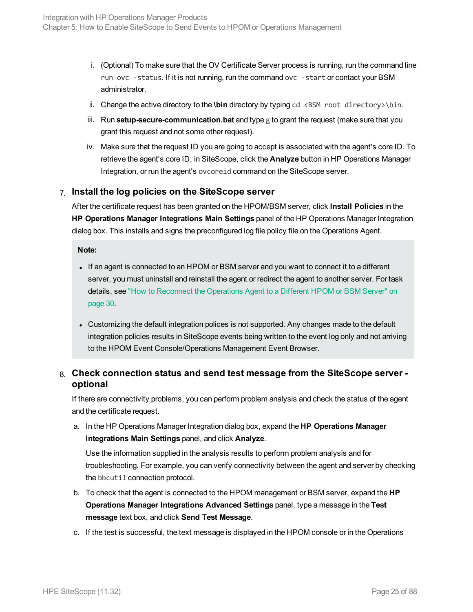- i. (Optional) To make sure that the OV Certificate Server process is running, run the command line run ovc -status. If it is not running, run the command ovc -start or contact your BSM administrator.
- ii. Change the active directory to the **\bin** directory by typing cd <BSM root directory>\bin.
- iii. Run **setup-secure-communication.bat** and type g to grant the request (make sure that you grant this request and not some other request).
- iv. Make sure that the request ID you are going to accept is associated with the agent's core ID. To retrieve the agent's core ID, in SiteScope, click the **Analyze** button in HP Operations Manager Integration, or run the agent's ovcoreid command on the SiteScope server.

#### 7. **Install the log policies on the SiteScope server**

After the certificate request has been granted on the HPOM/BSM server, click **Install Policies** in the **HP Operations Manager Integrations Main Settings** panel of the HP Operations Manager Integration dialog box. This installs and signs the preconfigured log file policy file on the Operations Agent.

**Note:**

- If an agent is connected to an HPOM or BSM server and you want to connect it to a different server, you must uninstall and reinstall the agent or redirect the agent to another server. For task details, see "How to [Reconnect](#page-29-0) the Operations Agent to a Different HPOM or BSM Server" on [page 30.](#page-29-0)
- Customizing the default integration polices is not supported. Any changes made to the default integration policies results in SiteScope events being written to the event log only and not arriving to the HPOM Event Console/Operations Management Event Browser.

#### 8. **Check connection status and send test message from the SiteScope server optional**

If there are connectivity problems, you can perform problem analysis and check the status of the agent and the certificate request.

a. In the HP Operations Manager Integration dialog box, expand the **HP Operations Manager Integrations Main Settings** panel, and click **Analyze**.

Use the information supplied in the analysis results to perform problem analysis and for troubleshooting. For example, you can verify connectivity between the agent and server by checking the bbcutil connection protocol.

- b. To check that the agent is connected to the HPOM management or BSM server, expand the **HP Operations Manager Integrations Advanced Settings** panel, type a message in the **Test message** text box, and click **Send Test Message**.
- c. If the test is successful, the text message is displayed in the HPOM console or in the Operations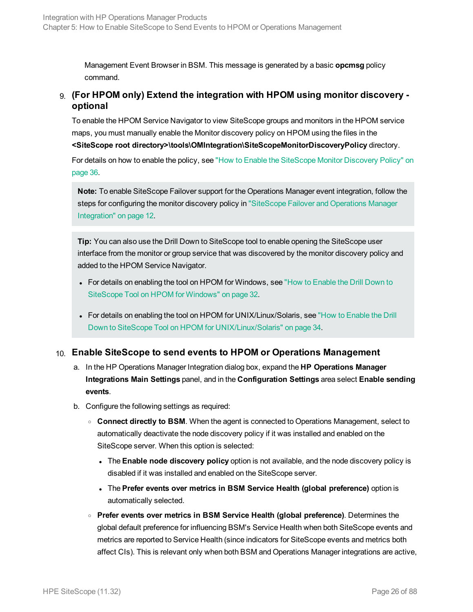Management Event Browser in BSM. This message is generated by a basic **opcmsg** policy command.

#### 9. **(For HPOM only) Extend the integration with HPOM using monitor discovery optional**

To enable the HPOM Service Navigator to view SiteScope groups and monitors in the HPOM service maps, you must manually enable the Monitor discovery policy on HPOM using the files in the **<SiteScope root directory>\tools\OMIntegration\SiteScopeMonitorDiscoveryPolicy** directory.

For details on how to enable the policy, see "How to Enable the [SiteScope](#page-35-0) Monitor Discovery Policy" on [page 36.](#page-35-0)

**Note:** To enable SiteScope Failover support for the Operations Manager event integration, follow the steps for configuring the monitor discovery policy in ["SiteScope](#page-11-0) Failover and Operations Manager [Integration"](#page-11-0) on page 12.

**Tip:** You can also use the Drill Down to SiteScope tool to enable opening the SiteScope user interface from the monitor or group service that was discovered by the monitor discovery policy and added to the HPOM Service Navigator.

- For details on enabling the tool on HPOM for Windows, see "How to [Enable](#page-31-0) the Drill Down to [SiteScope](#page-31-0) Tool on HPOM for Windows" on page 32.
- For details on enabling the tool on HPOM for UNIX/Linux/Solaris, see "How to [Enable](#page-33-0) the Drill Down to SiteScope Tool on HPOM for [UNIX/Linux/Solaris"](#page-33-0) on page 34.

#### 10. **Enable SiteScope to send events to HPOM or Operations Management**

- a. In the HP Operations Manager Integration dialog box, expand the **HP Operations Manager Integrations Main Settings** panel, and in the **Configuration Settings** area select **Enable sending events**.
- b. Configure the following settings as required:
	- <sup>o</sup> **Connect directly to BSM**. When the agent is connected to Operations Management, select to automatically deactivate the node discovery policy if it was installed and enabled on the SiteScope server. When this option is selected:
		- <sup>l</sup> The **Enable node discovery policy** option is not available, and the node discovery policy is disabled if it was installed and enabled on the SiteScope server.
		- <sup>l</sup> The **Prefer events over metrics in BSM Service Health (global preference)** option is automatically selected.
	- <sup>o</sup> **Prefer events over metrics in BSM Service Health (global preference)**. Determines the global default preference for influencing BSM's Service Health when both SiteScope events and metrics are reported to Service Health (since indicators for SiteScope events and metrics both affect CIs). This is relevant only when both BSM and Operations Manager integrations are active,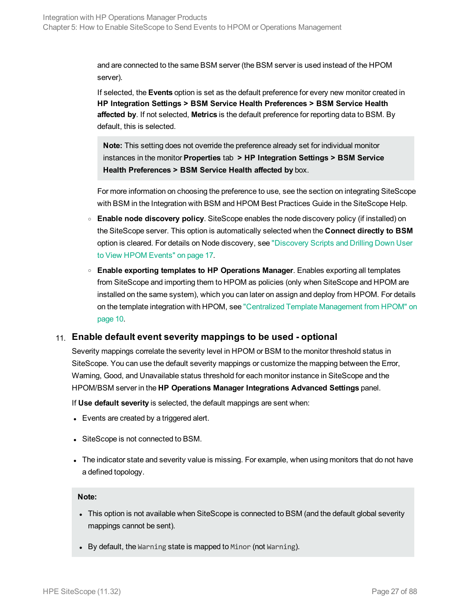and are connected to the same BSM server (the BSM server is used instead of the HPOM server).

If selected, the **Events** option is set as the default preference for every new monitor created in **HP Integration Settings > BSM Service Health Preferences > BSM Service Health affected by**. If not selected, **Metrics** is the default preference for reporting data to BSM. By default, this is selected.

**Note:** This setting does not override the preference already set for individual monitor instances in the monitor **Properties** tab **> HP Integration Settings > BSM Service Health Preferences > BSM Service Health affected by** box.

For more information on choosing the preference to use, see the section on integrating SiteScope with BSM in the Integration with BSM and HPOM Best Practices Guide in the SiteScope Help.

- <sup>o</sup> **Enable node discovery policy**. SiteScope enables the node discovery policy (if installed) on the SiteScope server. This option is automatically selected when the **Connect directly to BSM** option is cleared. For details on Node discovery, see ["Discovery](#page-16-0) Scripts and Drilling Down User to View HPOM [Events"](#page-16-0) on page 17.
- <sup>o</sup> **Enable exporting templates to HP Operations Manager**. Enables exporting all templates from SiteScope and importing them to HPOM as policies (only when SiteScope and HPOM are installed on the same system), which you can later on assign and deploy from HPOM. For details on the template integration with HPOM, see "Centralized Template [Management](#page-9-0) from HPOM" on [page 10.](#page-9-0)

#### 11. **Enable default event severity mappings to be used - optional**

Severity mappings correlate the severity level in HPOM or BSM to the monitor threshold status in SiteScope. You can use the default severity mappings or customize the mapping between the Error, Warning, Good, and Unavailable status threshold for each monitor instance in SiteScope and the HPOM/BSM server in the **HP Operations Manager Integrations Advanced Settings** panel.

If **Use default severity** is selected, the default mappings are sent when:

- $\bullet$  Events are created by a triggered alert.
- SiteScope is not connected to BSM.
- The indicator state and severity value is missing. For example, when using monitors that do not have a defined topology.

#### **Note:**

- This option is not available when SiteScope is connected to BSM (and the default global severity mappings cannot be sent).
- $\bullet$  By default, the Warning state is mapped to Minor (not Warning).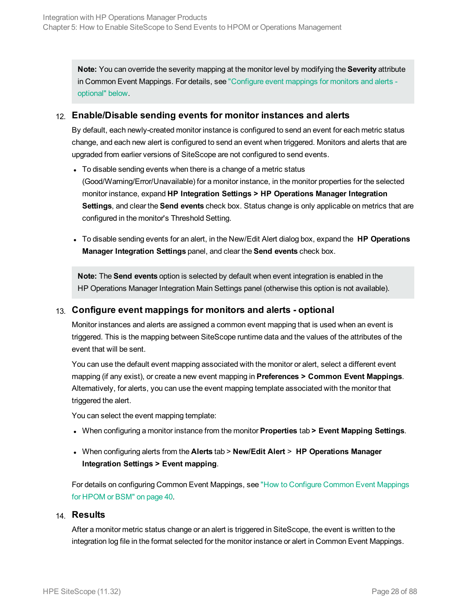**Note:** You can override the severity mapping at the monitor level by modifying the **Severity** attribute in Common Event Mappings. For details, see ["Configure](#page-27-0) event mappings for monitors and alerts [optional"](#page-27-0) below.

#### 12. **Enable/Disable sending events for monitor instances and alerts**

By default, each newly-created monitor instance is configured to send an event for each metric status change, and each new alert is configured to send an event when triggered. Monitors and alerts that are upgraded from earlier versions of SiteScope are not configured to send events.

- To disable sending events when there is a change of a metric status (Good/Warning/Error/Unavailable) for a monitor instance, in the monitor properties for the selected monitor instance, expand **HP Integration Settings > HP Operations Manager Integration Settings**, and clear the **Send events** check box. Status change is only applicable on metrics that are configured in the monitor's Threshold Setting.
- <sup>l</sup> To disable sending events for an alert, in the New/Edit Alert dialog box, expand the **HP Operations Manager Integration Settings** panel, and clear the **Send events** check box.

**Note:** The **Send events** option is selected by default when event integration is enabled in the HP Operations Manager Integration Main Settings panel (otherwise this option is not available).

#### <span id="page-27-0"></span>13. **Configure event mappings for monitors and alerts - optional**

Monitor instances and alerts are assigned a common event mapping that is used when an event is triggered. This is the mapping between SiteScope runtime data and the values of the attributes of the event that will be sent.

You can use the default event mapping associated with the monitor or alert, select a different event mapping (if any exist), or create a new event mapping in **Preferences > Common Event Mappings**. Alternatively, for alerts, you can use the event mapping template associated with the monitor that triggered the alert.

You can select the event mapping template:

- <sup>l</sup> When configuring a monitor instance from the monitor **Properties** tab **> Event Mapping Settings**.
- <sup>l</sup> When configuring alerts from the **Alerts** tab > **New/Edit Alert** > **HP Operations Manager Integration Settings > Event mapping**.

For details on configuring Common Event Mappings, see "How to [Configure](#page-39-0) Common Event Mappings for HPOM or BSM" on [page 40.](#page-39-0)

#### 14. **Results**

After a monitor metric status change or an alert is triggered in SiteScope, the event is written to the integration log file in the format selected for the monitor instance or alert in Common Event Mappings.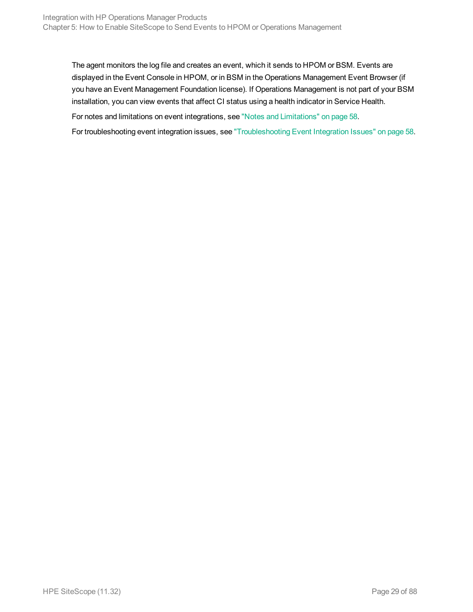The agent monitors the log file and creates an event, which it sends to HPOM or BSM. Events are displayed in the Event Console in HPOM, or in BSM in the Operations Management Event Browser (if you have an Event Management Foundation license). If Operations Management is not part of your BSM installation, you can view events that affect CI status using a health indicator in Service Health.

For notes and limitations on event integrations, see "Notes and [Limitations"](#page-57-1) on page 58.

For troubleshooting event integration issues, see ["Troubleshooting](#page-57-0) Event Integration Issues" on page 58.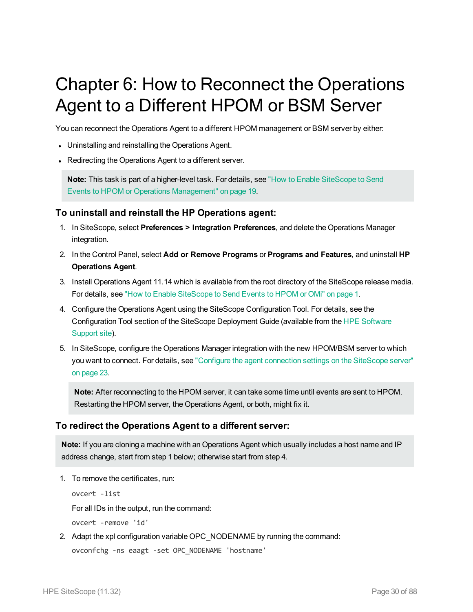# <span id="page-29-0"></span>Chapter 6: How to Reconnect the Operations Agent to a Different HPOM or BSM Server

You can reconnect the Operations Agent to a different HPOM management or BSM server by either:

- Uninstalling and reinstalling the Operations Agent.
- Redirecting the Operations Agent to a different server.

**Note:** This task is part of a higher-level task. For details, see "How to Enable [SiteScope](#page-18-0) to Send Events to HPOM or Operations [Management"](#page-18-0) on page 19.

#### **To uninstall and reinstall the HP Operations agent:**

- 1. In SiteScope, select **Preferences > Integration Preferences**, and delete the Operations Manager integration.
- 2. In the Control Panel, select **Add or Remove Programs** or **Programs and Features**, and uninstall **HP Operations Agent**.
- 3. Install Operations Agent 11.14 which is available from the root directory of the SiteScope release media. For details, see "How to Enable SiteScope to Send Events to HPOM or OMi" on page 1.
- 4. Configure the Operations Agent using the SiteScope Configuration Tool. For details, see the Configuration Tool section of the SiteScope Deployment Guide (available from the HPE [Software](https://softwaresupport.hp.com/) [Support](https://softwaresupport.hp.com/) site).
- 5. In SiteScope, configure the Operations Manager integration with the new HPOM/BSM server to which you want to connect. For details, see "Configure the agent [connection](#page-22-0) settings on the SiteScope server" on [page 23.](#page-22-0)

**Note:** After reconnecting to the HPOM server, it can take some time until events are sent to HPOM. Restarting the HPOM server, the Operations Agent, or both, might fix it.

#### **To redirect the Operations Agent to a different server:**

**Note:** If you are cloning a machine with an Operations Agent which usually includes a host name and IP address change, start from step 1 below; otherwise start from step 4.

1. To remove the certificates, run:

```
ovcert -list
For all IDs in the output, run the command:
ovcert -remove 'id'
```
2. Adapt the xpl configuration variable OPC\_NODENAME by running the command: ovconfchg -ns eaagt -set OPC\_NODENAME 'hostname'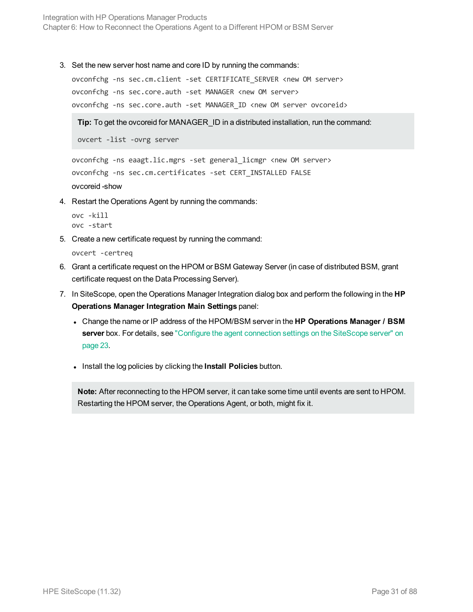Integration with HP Operations Manager Products Chapter 6: How to Reconnect the Operations Agent to a Different HPOM or BSM Server

3. Set the new server host name and core ID by running the commands:

```
ovconfchg -ns sec.cm.client -set CERTIFICATE_SERVER <new OM server>
ovconfchg -ns sec.core.auth -set MANAGER <new OM server>
ovconfchg -ns sec.core.auth -set MANAGER ID <new OM server ovcoreid>
```
**Tip:** To get the ovcoreid for MANAGER\_ID in a distributed installation, run the command:

ovcert -list -ovrg server

```
ovconfchg -ns eaagt.lic.mgrs -set general_licmgr <new OM server>
ovconfchg -ns sec.cm.certificates -set CERT_INSTALLED FALSE
ovcoreid -show
```
4. Restart the Operations Agent by running the commands:

```
ovc -kill
ovc -start
```
5. Create a new certificate request by running the command:

ovcert -certreq

- 6. Grant a certificate request on the HPOM or BSM Gateway Server (in case of distributed BSM, grant certificate request on the Data Processing Server).
- 7. In SiteScope, open the Operations Manager Integration dialog box and perform the following in the **HP Operations Manager Integration Main Settings** panel:
	- <sup>l</sup> Change the name or IP address of the HPOM/BSM server in the **HP Operations Manager / BSM server** box. For details, see "Configure the agent [connection](#page-22-0) settings on the SiteScope server" on [page 23](#page-22-0).
	- **.** Install the log policies by clicking the **Install Policies** button.

**Note:** After reconnecting to the HPOM server, it can take some time until events are sent to HPOM. Restarting the HPOM server, the Operations Agent, or both, might fix it.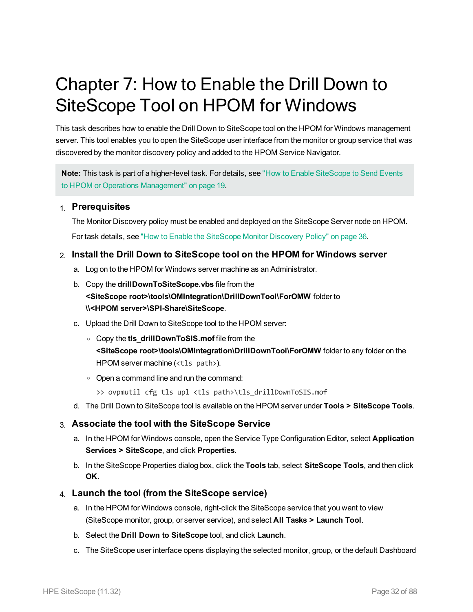# <span id="page-31-0"></span>Chapter 7: How to Enable the Drill Down to SiteScope Tool on HPOM for Windows

This task describes how to enable the Drill Down to SiteScope tool on the HPOM for Windows management server. This tool enables you to open the SiteScope user interface from the monitor or group service that was discovered by the monitor discovery policy and added to the HPOM Service Navigator.

**Note:** This task is part of a higher-level task. For details, see "How to Enable [SiteScope](#page-18-0) to Send Events to HPOM or Operations [Management"](#page-18-0) on page 19.

#### 1. **Prerequisites**

The Monitor Discovery policy must be enabled and deployed on the SiteScope Server node on HPOM.

For task details, see "How to Enable the [SiteScope](#page-35-0) Monitor Discovery Policy" on page 36.

#### 2. **Install the Drill Down to SiteScope tool on the HPOM for Windows server**

- a. Log on to the HPOM for Windows server machine as an Administrator.
- b. Copy the **drillDownToSiteScope.vbs** file from the **<SiteScope root>\tools\OMIntegration\DrillDownTool\ForOMW** folder to **\\<HPOM server>\SPI-Share\SiteScope**.
- c. Upload the Drill Down to SiteScope tool to the HPOM server:
	- <sup>o</sup> Copy the **tls\_drillDownToSIS.mof** file from the **<SiteScope root>\tools\OMIntegration\DrillDownTool\ForOMW** folder to any folder on the HPOM server machine (<tls path>).
	- <sup>o</sup> Open a command line and run the command:
		- >> ovpmutil cfg tls upl <tls path>\tls drillDownToSIS.mof
- d. The Drill Down to SiteScope tool is available on the HPOM server under **Tools > SiteScope Tools**.

#### 3. **Associate the tool with the SiteScope Service**

- a. In the HPOM for Windows console, open the Service Type Configuration Editor, select **Application Services > SiteScope**, and click **Properties**.
- b. In the SiteScope Properties dialog box, click the **Tools** tab, select **SiteScope Tools**, and then click **OK.**

#### 4. **Launch the tool (from the SiteScope service)**

- a. In the HPOM for Windows console, right-click the SiteScope service that you want to view (SiteScope monitor, group, or server service), and select **All Tasks > Launch Tool**.
- b. Select the **Drill Down to SiteScope** tool, and click **Launch**.
- c. The SiteScope user interface opens displaying the selected monitor, group, or the default Dashboard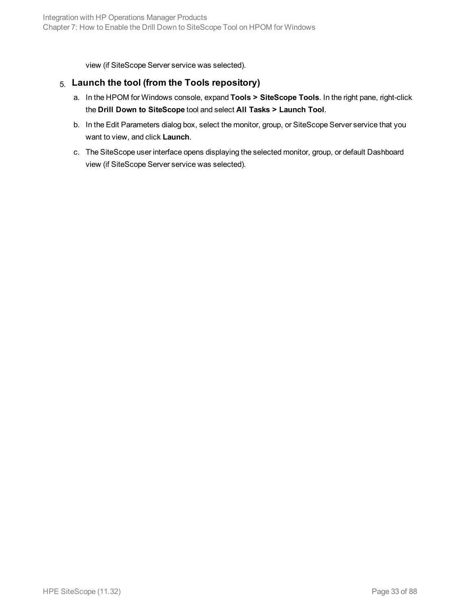view (if SiteScope Server service was selected).

#### 5. **Launch the tool (from the Tools repository)**

- a. In the HPOM for Windows console, expand **Tools > SiteScope Tools**. In the right pane, right-click the **Drill Down to SiteScope** tool and select **All Tasks > Launch Tool**.
- b. In the Edit Parameters dialog box, select the monitor, group, or SiteScope Server service that you want to view, and click **Launch**.
- c. The SiteScope user interface opens displaying the selected monitor, group, or default Dashboard view (if SiteScope Server service was selected).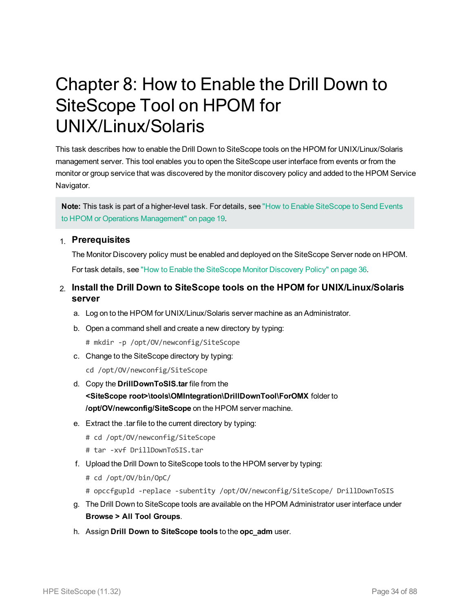## <span id="page-33-0"></span>Chapter 8: How to Enable the Drill Down to SiteScope Tool on HPOM for UNIX/Linux/Solaris

This task describes how to enable the Drill Down to SiteScope tools on the HPOM for UNIX/Linux/Solaris management server. This tool enables you to open the SiteScope user interface from events or from the monitor or group service that was discovered by the monitor discovery policy and added to the HPOM Service Navigator.

**Note:** This task is part of a higher-level task. For details, see "How to Enable [SiteScope](#page-18-0) to Send Events to HPOM or Operations [Management"](#page-18-0) on page 19.

#### 1. **Prerequisites**

The Monitor Discovery policy must be enabled and deployed on the SiteScope Server node on HPOM. For task details, see "How to Enable the [SiteScope](#page-35-0) Monitor Discovery Policy" on page 36.

#### 2. **Install the Drill Down to SiteScope tools on the HPOM for UNIX/Linux/Solaris server**

- a. Log on to the HPOM for UNIX/Linux/Solaris server machine as an Administrator.
- b. Open a command shell and create a new directory by typing:
	- # mkdir -p /opt/OV/newconfig/SiteScope
- c. Change to the SiteScope directory by typing:
	- cd /opt/OV/newconfig/SiteScope
- d. Copy the **DrillDownToSIS.tar** file from the **<SiteScope root>\tools\OMIntegration\DrillDownTool\ForOMX** folder to **/opt/OV/newconfig/SiteScope** on the HPOM server machine.
- e. Extract the .tar file to the current directory by typing:
	- # cd /opt/OV/newconfig/SiteScope
	- # tar -xvf DrillDownToSIS.tar
- f. Upload the Drill Down to SiteScope tools to the HPOM server by typing:
	- # cd /opt/OV/bin/OpC/
	- # opccfgupld -replace -subentity /opt/OV/newconfig/SiteScope/ DrillDownToSIS
- g. The Drill Down to SiteScope tools are available on the HPOM Administrator user interface under **Browse > All Tool Groups**.
- h. Assign **Drill Down to SiteScope tools** to the **opc\_adm** user.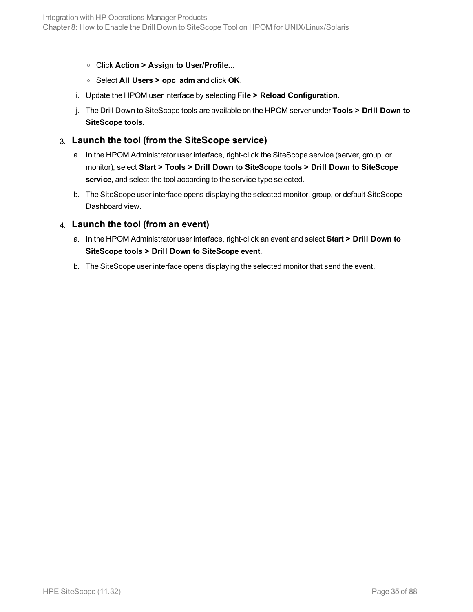- <sup>o</sup> Click **Action > Assign to User/Profile...**
- <sup>o</sup> Select **All Users > opc\_adm** and click **OK**.
- i. Update the HPOM user interface by selecting **File > Reload Configuration**.
- j. The Drill Down to SiteScope tools are available on the HPOM server under **Tools > Drill Down to SiteScope tools**.

#### 3. **Launch the tool (from the SiteScope service)**

- a. In the HPOM Administrator user interface, right-click the SiteScope service (server, group, or monitor), select **Start > Tools > Drill Down to SiteScope tools > Drill Down to SiteScope service**, and select the tool according to the service type selected.
- b. The SiteScope user interface opens displaying the selected monitor, group, or default SiteScope Dashboard view.

#### 4. **Launch the tool (from an event)**

- a. In the HPOM Administrator user interface, right-click an event and select **Start > Drill Down to SiteScope tools > Drill Down to SiteScope event**.
- b. The SiteScope user interface opens displaying the selected monitor that send the event.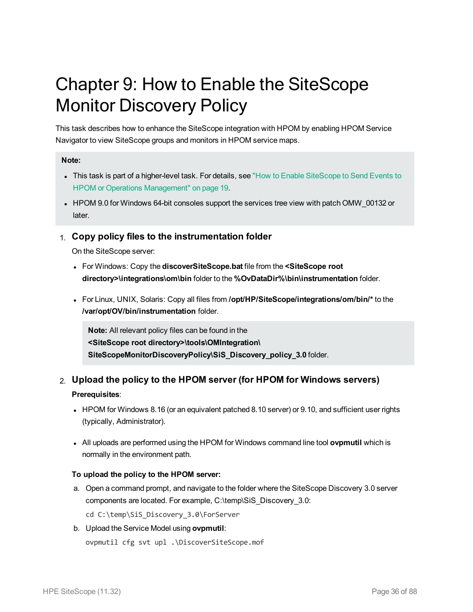# <span id="page-35-0"></span>Chapter 9: How to Enable the SiteScope Monitor Discovery Policy

This task describes how to enhance the SiteScope integration with HPOM by enabling HPOM Service Navigator to view SiteScope groups and monitors in HPOM service maps.

#### **Note:**

- This task is part of a higher-level task. For details, see "How to Enable [SiteScope](#page-18-0) to Send Events to HPOM or Operations [Management"](#page-18-0) on page 19.
- HPOM 9.0 for Windows 64-bit consoles support the services tree view with patch OMW\_00132 or later.

#### 1. **Copy policy files to the instrumentation folder**

On the SiteScope server:

- <sup>l</sup> For Windows: Copy the **discoverSiteScope.bat** file from the **<SiteScope root directory>\integrations\om\bin** folder to the **%OvDataDir%\bin\instrumentation** folder.
- <sup>l</sup> For Linux, UNIX, Solaris: Copy all files from **/opt/HP/SiteScope/integrations/om/bin/\*** to the **/var/opt/OV/bin/instrumentation** folder.

**Note:** All relevant policy files can be found in the **<SiteScope root directory>\tools\OMIntegration\ SiteScopeMonitorDiscoveryPolicy\SiS\_Discovery\_policy\_3.0** folder.

#### 2. **Upload the policy to the HPOM server (for HPOM for Windows servers)**

#### **Prerequisites**:

- HPOM for Windows 8.16 (or an equivalent patched 8.10 server) or 9.10, and sufficient user rights (typically, Administrator).
- All uploads are performed using the HPOM for Windows command line tool ovpmutil which is normally in the environment path.

#### **To upload the policy to the HPOM server:**

a. Open a command prompt, and navigate to the folder where the SiteScope Discovery 3.0 server components are located. For example, C:\temp\SiS\_Discovery\_3.0:

cd C:\temp\SiS Discovery 3.0\ForServer

b. Upload the Service Model using **ovpmutil**:

```
ovpmutil cfg svt upl .\DiscoverSiteScope.mof
```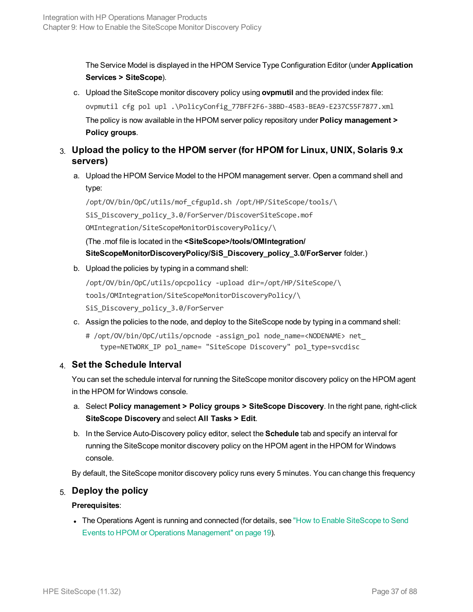The Service Model is displayed in the HPOM Service Type Configuration Editor (under **Application Services > SiteScope**).

- c. Upload the SiteScope monitor discovery policy using **ovpmutil** and the provided index file: ovpmutil cfg pol upl .\PolicyConfig\_77BFF2F6-38BD-45B3-BEA9-E237C55F7877.xml The policy is now available in the HPOM server policy repository under **Policy management > Policy groups**.
- <span id="page-36-0"></span>3. **Upload the policy to the HPOM server (for HPOM for Linux, UNIX, Solaris 9.x servers)**
	- a. Upload the HPOM Service Model to the HPOM management server. Open a command shell and type:

/opt/OV/bin/OpC/utils/mof\_cfgupld.sh /opt/HP/SiteScope/tools/\ SiS Discovery policy 3.0/ForServer/DiscoverSiteScope.mof OMIntegration/SiteScopeMonitorDiscoveryPolicy/\

(The .mof file is located in the **<SiteScope>/tools/OMIntegration/ SiteScopeMonitorDiscoveryPolicy/SiS\_Discovery\_policy\_3.0/ForServer** folder.)

b. Upload the policies by typing in a command shell:

```
/opt/OV/bin/OpC/utils/opcpolicy -upload dir=/opt/HP/SiteScope/\
tools/OMIntegration/SiteScopeMonitorDiscoveryPolicy/\
SiS Discovery policy 3.0/ForServer
```
- c. Assign the policies to the node, and deploy to the SiteScope node by typing in a command shell:
	- # /opt/OV/bin/OpC/utils/opcnode -assign pol node name=<NODENAME> net type=NETWORK\_IP pol\_name= "SiteScope Discovery" pol\_type=svcdisc

### 4. **Set the Schedule Interval**

You can set the schedule interval for running the SiteScope monitor discovery policy on the HPOM agent in the HPOM for Windows console.

- a. Select **Policy management > Policy groups > SiteScope Discovery**. In the right pane, right-click **SiteScope Discovery** and select **All Tasks > Edit**.
- b. In the Service Auto-Discovery policy editor, select the **Schedule** tab and specify an interval for running the SiteScope monitor discovery policy on the HPOM agent in the HPOM for Windows console.

By default, the SiteScope monitor discovery policy runs every 5 minutes. You can change this frequency

### 5. **Deploy the policy**

### **Prerequisites**:

• The Operations Agent is running and connected (for details, see "How to Enable [SiteScope](#page-18-0) to Send Events to HPOM or Operations [Management"](#page-18-0) on page 19).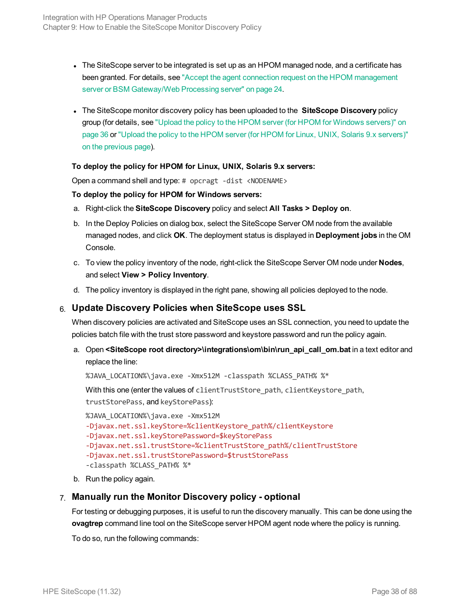- The SiteScope server to be integrated is set up as an HPOM managed node, and a certificate has been granted. For details, see "Accept the agent connection request on the HPOM [management](#page-23-0) server or BSM [Gateway/Web](#page-23-0) Processing server" on page 24.
- <sup>l</sup> The SiteScope monitor discovery policy has been uploaded to the **SiteScope Discovery** policy group (for details, see "Upload the policy to the HPOM server (for HPOM for [Windows](#page-35-0) servers)" on [page 36](#page-35-0) or "Upload the policy to the HPOM server (for HPOM for Linux, UNIX, Solaris 9.x [servers\)"](#page-36-0) on the [previous](#page-36-0) page).

#### **To deploy the policy for HPOM for Linux, UNIX, Solaris 9.x servers:**

Open a command shell and type: # opcragt -dist <NODENAME>

#### **To deploy the policy for HPOM for Windows servers:**

- a. Right-click the **SiteScope Discovery** policy and select **All Tasks > Deploy on**.
- b. In the Deploy Policies on dialog box, select the SiteScope Server OM node from the available managed nodes, and click **OK**. The deployment status is displayed in **Deployment jobs** in the OM Console.
- c. To view the policy inventory of the node, right-click the SiteScope Server OM node under **Nodes**, and select **View > Policy Inventory**.
- d. The policy inventory is displayed in the right pane, showing all policies deployed to the node.

### 6. **Update Discovery Policies when SiteScope uses SSL**

When discovery policies are activated and SiteScope uses an SSL connection, you need to update the policies batch file with the trust store password and keystore password and run the policy again.

a. Open **<SiteScope root directory>\integrations\om\bin\run\_api\_call\_om.bat** in a text editor and replace the line:

%JAVA LOCATION%\java.exe -Xmx512M -classpath %CLASS PATH% %\*

With this one (enter the values of client TrustStore path, client Keystore path,

trustStorePass, and keyStorePass):

%JAVA LOCATION%\java.exe -Xmx512M -Djavax.net.ssl.keyStore=%clientKeystore\_path%/clientKeystore -Djavax.net.ssl.keyStorePassword=\$keyStorePass -Djavax.net.ssl.trustStore=%clientTrustStore\_path%/clientTrustStore -Djavax.net.ssl.trustStorePassword=\$trustStorePass -classpath %CLASS\_PATH% %\*

b. Run the policy again.

### 7. **Manually run the Monitor Discovery policy - optional**

For testing or debugging purposes, it is useful to run the discovery manually. This can be done using the **ovagtrep** command line tool on the SiteScope server HPOM agent node where the policy is running.

To do so, run the following commands: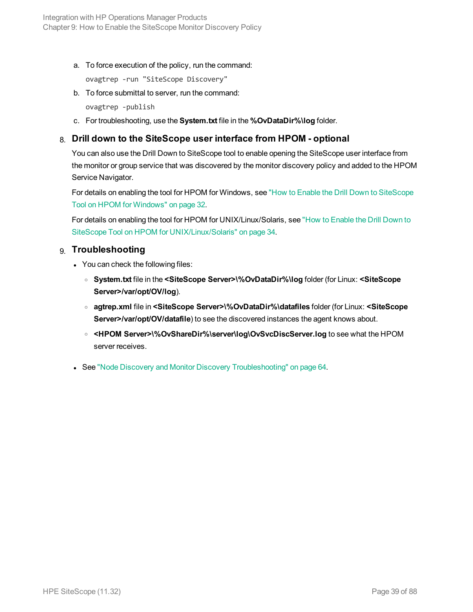a. To force execution of the policy, run the command:

ovagtrep -run "SiteScope Discovery"

b. To force submittal to server, run the command:

ovagtrep -publish

c. For troubleshooting, use the **System.txt** file in the **%OvDataDir%\log** folder.

### 8. **Drill down to the SiteScope user interface from HPOM - optional**

You can also use the Drill Down to SiteScope tool to enable opening the SiteScope user interface from the monitor or group service that was discovered by the monitor discovery policy and added to the HPOM Service Navigator.

For details on enabling the tool for HPOM for Windows, see "How to Enable the Drill Down to [SiteScope](#page-31-0) Tool on HPOM for [Windows"](#page-31-0) on page 32.

For details on enabling the tool for HPOM for UNIX/Linux/Solaris, see "How to [Enable](#page-33-0) the Drill Down to SiteScope Tool on HPOM for [UNIX/Linux/Solaris"](#page-33-0) on page 34.

### 9. **Troubleshooting**

- You can check the following files:
	- <sup>o</sup> **System.txt** file in the **<SiteScope Server>\%OvDataDir%\log** folder (for Linux: **<SiteScope Server>/var/opt/OV/log**).
	- <sup>o</sup> **agtrep.xml** file in **<SiteScope Server>\%OvDataDir%\datafiles** folder (for Linux: **<SiteScope Server>/var/opt/OV/datafile**) to see the discovered instances the agent knows about.
	- <sup>o</sup> **<HPOM Server>\%OvShareDir%\server\log\OvSvcDiscServer.log** to see what the HPOM server receives.
- See "Node Discovery and Monitor Discovery [Troubleshooting"](#page-63-0) on page 64.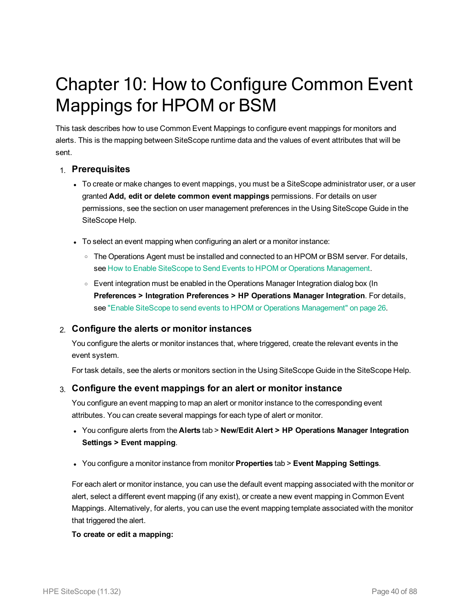# Chapter 10: How to Configure Common Event Mappings for HPOM or BSM

This task describes how to use Common Event Mappings to configure event mappings for monitors and alerts. This is the mapping between SiteScope runtime data and the values of event attributes that will be sent.

### 1. **Prerequisites**

- To create or make changes to event mappings, you must be a SiteScope administrator user, or a user granted **Add, edit or delete common event mappings** permissions. For details on user permissions, see the section on user management preferences in the Using SiteScope Guide in the SiteScope Help.
- To select an event mapping when configuring an alert or a monitor instance:
	- The Operations Agent must be installed and connected to an HPOM or BSM server. For details, see How to Enable SiteScope to Send Events to HPOM or Operations Management.
	- Event integration must be enabled in the Operations Manager Integration dialog box (In **Preferences > Integration Preferences > HP Operations Manager Integration**. For details, see "Enable SiteScope to send events to HPOM or Operations [Management"](#page-25-0) on page 26.

### 2. **Configure the alerts or monitor instances**

You configure the alerts or monitor instances that, where triggered, create the relevant events in the event system.

For task details, see the alerts or monitors section in the Using SiteScope Guide in the SiteScope Help.

### 3. **Configure the event mappings for an alert or monitor instance**

You configure an event mapping to map an alert or monitor instance to the corresponding event attributes. You can create several mappings for each type of alert or monitor.

- <sup>l</sup> You configure alerts from the **Alerts** tab > **New/Edit Alert > HP Operations Manager Integration Settings > Event mapping**.
- <sup>l</sup> You configure a monitor instance from monitor **Properties** tab > **Event Mapping Settings**.

For each alert or monitor instance, you can use the default event mapping associated with the monitor or alert, select a different event mapping (if any exist), or create a new event mapping in Common Event Mappings. Alternatively, for alerts, you can use the event mapping template associated with the monitor that triggered the alert.

#### **To create or edit a mapping:**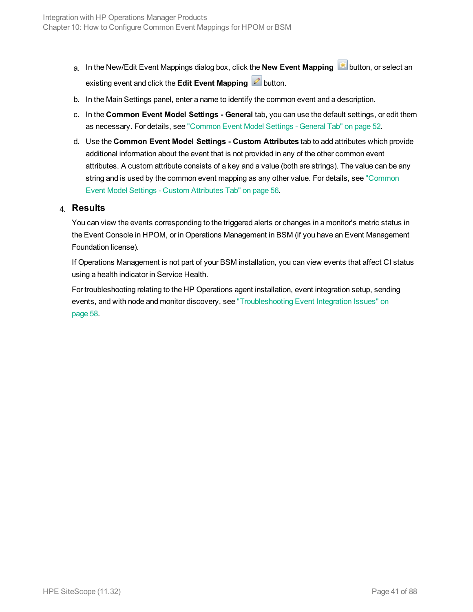- a. In the New/Edit Event Mappings dialog box, click the **New Event Mapping**  $\frac{1}{100}$  button, or select an existing event and click the **Edit Event Mapping existing** button.
- b. In the Main Settings panel, enter a name to identify the common event and a description.
- c. In the **Common Event Model Settings - General** tab, you can use the default settings, or edit them as necessary. For details, see ["Common](#page-51-0) Event Model Settings - General Tab" on page 52.
- d. Use the **Common Event Model Settings - Custom Attributes** tab to add attributes which provide additional information about the event that is not provided in any of the other common event attributes. A custom attribute consists of a key and a value (both are strings). The value can be any string and is used by the common event mapping as any other value. For details, see ["Common](#page-55-0) Event Model Settings - Custom [Attributes](#page-55-0) Tab" on page 56.

### 4. **Results**

You can view the events corresponding to the triggered alerts or changes in a monitor's metric status in the Event Console in HPOM, or in Operations Management in BSM (if you have an Event Management Foundation license).

If Operations Management is not part of your BSM installation, you can view events that affect CI status using a health indicator in Service Health.

For troubleshooting relating to the HP Operations agent installation, event integration setup, sending events, and with node and monitor discovery, see ["Troubleshooting](#page-57-0) Event Integration Issues" on [page 58.](#page-57-0)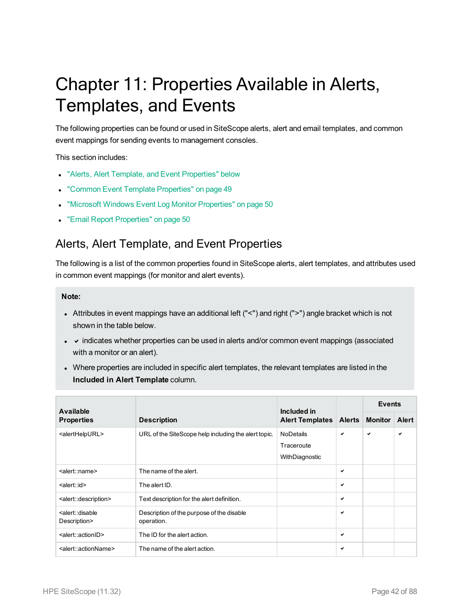# <span id="page-41-1"></span>Chapter 11: Properties Available in Alerts, Templates, and Events

The following properties can be found or used in SiteScope alerts, alert and email templates, and common event mappings for sending events to management consoles.

#### This section includes:

- "Alerts, Alert Template, and Event [Properties"](#page-41-0) below
- "Common Event Template [Properties"](#page-48-0) on page 49
- "Microsoft Windows Event Log Monitor [Properties"](#page-49-0) on page 50
- <span id="page-41-0"></span>• "Email Report [Properties"](#page-49-1) on page 50

### Alerts, Alert Template, and Event Properties

The following is a list of the common properties found in SiteScope alerts, alert templates, and attributes used in common event mappings (for monitor and alert events).

#### **Note:**

- Attributes in event mappings have an additional left ("<") and right (">") angle bracket which is not shown in the table below.
- $\bullet\quad$   $\bullet$  indicates whether properties can be used in alerts and/or common event mappings (associated with a monitor or an alert).
- Where properties are included in specific alert templates, the relevant templates are listed in the **Included in Alert Template** column.

| <b>Available</b>                                       |                                                         | Included in<br><b>Alert Templates</b> |               | <b>Events</b>  |       |
|--------------------------------------------------------|---------------------------------------------------------|---------------------------------------|---------------|----------------|-------|
| <b>Properties</b>                                      | <b>Description</b>                                      |                                       | <b>Alerts</b> | <b>Monitor</b> | Alert |
| <alerthelpurl></alerthelpurl>                          | URL of the SiteScope help including the alert topic.    | <b>NoDetails</b>                      | ✓             | ✔              | ✓     |
|                                                        |                                                         | Traceroute                            |               |                |       |
|                                                        |                                                         | WithDiagnostic                        |               |                |       |
| <alert::name></alert::name>                            | The name of the alert.                                  |                                       | ✓             |                |       |
| <alert::id></alert::id>                                | The alert ID.                                           |                                       | ✓             |                |       |
| <alert::description></alert::description>              | Text description for the alert definition.              |                                       | ✓             |                |       |
| <alert::disable<br>Description&gt;</alert::disable<br> | Description of the purpose of the disable<br>operation. |                                       | ✓             |                |       |
| <alert::actionid></alert::actionid>                    | The ID for the alert action.                            |                                       | ✓             |                |       |
| <alert::actionname></alert::actionname>                | The name of the alert action.                           |                                       | ✓             |                |       |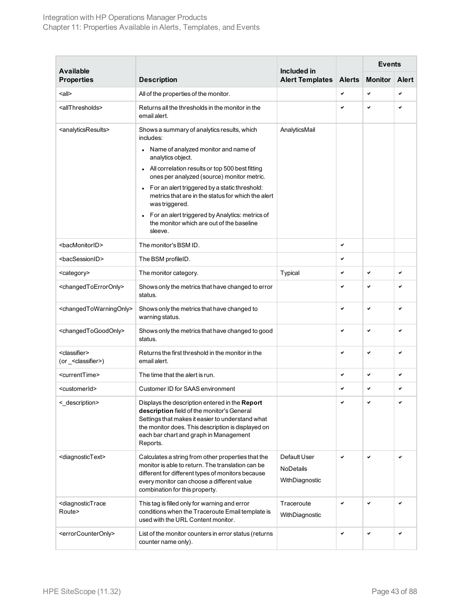### Integration with HP Operations Manager Products Chapter 11: Properties Available in Alerts, Templates, and Events

| <b>Available</b>                                         |                                                                                                                                                                                                                                                              | Included in                                 |               | <b>Events</b>  |              |
|----------------------------------------------------------|--------------------------------------------------------------------------------------------------------------------------------------------------------------------------------------------------------------------------------------------------------------|---------------------------------------------|---------------|----------------|--------------|
| <b>Properties</b>                                        | <b>Description</b>                                                                                                                                                                                                                                           | <b>Alert Templates</b>                      | <b>Alerts</b> | <b>Monitor</b> | <b>Alert</b> |
| <all></all>                                              | All of the properties of the monitor.                                                                                                                                                                                                                        |                                             | ✓             | ✓              | $\checkmark$ |
| <allthresholds></allthresholds>                          | Returns all the thresholds in the monitor in the<br>email alert.                                                                                                                                                                                             |                                             | ✓             | ✓              | ✓            |
| <analyticsresults></analyticsresults>                    | Shows a summary of analytics results, which<br>includes:                                                                                                                                                                                                     | AnalyticsMail                               |               |                |              |
|                                                          | Name of analyzed monitor and name of<br>analytics object.                                                                                                                                                                                                    |                                             |               |                |              |
|                                                          | All correlation results or top 500 best fitting<br>ones per analyzed (source) monitor metric.                                                                                                                                                                |                                             |               |                |              |
|                                                          | For an alert triggered by a static threshold:<br>metrics that are in the status for which the alert<br>was triggered.                                                                                                                                        |                                             |               |                |              |
|                                                          | For an alert triggered by Analytics: metrics of<br>the monitor which are out of the baseline<br>sleeve.                                                                                                                                                      |                                             |               |                |              |
| <bacmonitorid></bacmonitorid>                            | The monitor's BSM ID.                                                                                                                                                                                                                                        |                                             | ✓             |                |              |
| <bacsessionid></bacsessionid>                            | The BSM profileID.                                                                                                                                                                                                                                           |                                             | ✓             |                |              |
| <category></category>                                    | The monitor category.                                                                                                                                                                                                                                        | Typical                                     | ✓             | V              | ✓            |
| <changedtoerroronly></changedtoerroronly>                | Shows only the metrics that have changed to error<br>status.                                                                                                                                                                                                 |                                             |               | V              |              |
| <changedtowarningonly></changedtowarningonly>            | Shows only the metrics that have changed to<br>warning status.                                                                                                                                                                                               |                                             | V             | $\checkmark$   | V            |
| <changedtogoodonly></changedtogoodonly>                  | Shows only the metrics that have changed to good<br>status.                                                                                                                                                                                                  |                                             | ✓             | ✓              | ✓            |
| <classifier><br/>(or _&lt; classifier &gt;)</classifier> | Returns the first threshold in the monitor in the<br>email alert.                                                                                                                                                                                            |                                             | V             | ✓              | ✓            |
| <currenttime></currenttime>                              | The time that the alert is run.                                                                                                                                                                                                                              |                                             | ✓             | V              | ✓            |
| <customerid></customerid>                                | Customer ID for SAAS environment                                                                                                                                                                                                                             |                                             | ✓             | ✓              | ✓            |
| <_description>                                           | Displays the description entered in the Report<br>description field of the monitor's General<br>Settings that makes it easier to understand what<br>the monitor does. This description is displayed on<br>each bar chart and graph in Management<br>Reports. |                                             |               |                |              |
| <diagnostictext></diagnostictext>                        | Calculates a string from other properties that the<br>monitor is able to return. The translation can be<br>different for different types of monitors because<br>every monitor can choose a different value<br>combination for this property.                 | Default User<br>NoDetails<br>WithDiagnostic | V             | $\checkmark$   | ✓            |
| <diagnostictrace<br>Route&gt;</diagnostictrace<br>       | This tag is filled only for warning and error<br>conditions when the Traceroute Email template is<br>used with the URL Content monitor.                                                                                                                      | Traceroute<br>WithDiagnostic                | V             | $\checkmark$   | ✓            |
| <errorcounteronly></errorcounteronly>                    | List of the monitor counters in error status (returns<br>counter name only).                                                                                                                                                                                 |                                             | ✓             | ✓              | ✓            |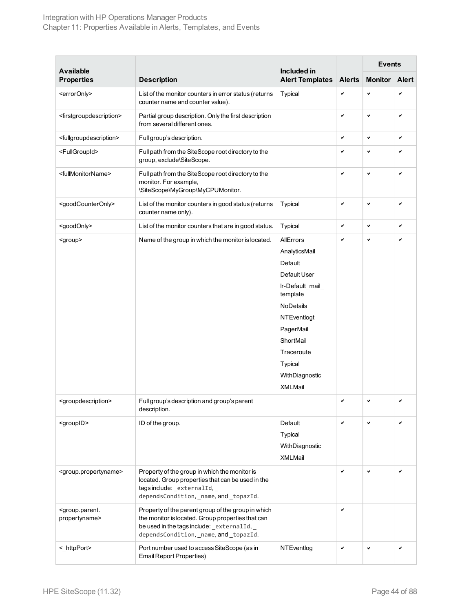### Integration with HP Operations Manager Products Chapter 11: Properties Available in Alerts, Templates, and Events

|                                                       |                                                                                                                                                                                                  |                                       |               | <b>Events</b>  |              |
|-------------------------------------------------------|--------------------------------------------------------------------------------------------------------------------------------------------------------------------------------------------------|---------------------------------------|---------------|----------------|--------------|
| <b>Available</b><br><b>Properties</b>                 | <b>Description</b>                                                                                                                                                                               | Included in<br><b>Alert Templates</b> | <b>Alerts</b> | <b>Monitor</b> | <b>Alert</b> |
| <erroronly></erroronly>                               | List of the monitor counters in error status (returns<br>counter name and counter value).                                                                                                        | Typical                               | V             | V              | ✓            |
| <firstgroupdescription></firstgroupdescription>       | Partial group description. Only the first description<br>from several different ones.                                                                                                            |                                       | ✓             | V              | ✓            |
| <fullgroupdescription></fullgroupdescription>         | Full group's description.                                                                                                                                                                        |                                       | V             | V              | V            |
| <fullgroupid></fullgroupid>                           | Full path from the SiteScope root directory to the<br>group, exclude\SiteScope.                                                                                                                  |                                       | ✓             | V              | ✓            |
| <fullmonitorname></fullmonitorname>                   | Full path from the SiteScope root directory to the<br>monitor. For example,<br>\SiteScope\MyGroup\MyCPUMonitor.                                                                                  |                                       | ✓             | $\checkmark$   | ✓            |
| <goodcounteronly></goodcounteronly>                   | List of the monitor counters in good status (returns<br>counter name only).                                                                                                                      | Typical                               | ✓             | V              | ✓            |
| <goodonly></goodonly>                                 | List of the monitor counters that are in good status.                                                                                                                                            | Typical                               | V             | V              | ✓            |
| <group></group>                                       | Name of the group in which the monitor is located.                                                                                                                                               | AllErrors                             | ✓             | V              | ✓            |
|                                                       |                                                                                                                                                                                                  | AnalyticsMail                         |               |                |              |
|                                                       |                                                                                                                                                                                                  | Default                               |               |                |              |
|                                                       |                                                                                                                                                                                                  | Default User                          |               |                |              |
|                                                       |                                                                                                                                                                                                  | Ir-Default_mail_<br>template          |               |                |              |
|                                                       |                                                                                                                                                                                                  | NoDetails                             |               |                |              |
|                                                       |                                                                                                                                                                                                  | NTEventlogt                           |               |                |              |
|                                                       |                                                                                                                                                                                                  | PagerMail                             |               |                |              |
|                                                       |                                                                                                                                                                                                  | ShortMail                             |               |                |              |
|                                                       |                                                                                                                                                                                                  | Traceroute                            |               |                |              |
|                                                       |                                                                                                                                                                                                  | Typical                               |               |                |              |
|                                                       |                                                                                                                                                                                                  | WithDiagnostic                        |               |                |              |
|                                                       |                                                                                                                                                                                                  | <b>XMLMail</b>                        |               |                |              |
| <groupdescription></groupdescription>                 | Full group's description and group's parent<br>description.                                                                                                                                      |                                       | ✓             |                |              |
| <groupid></groupid>                                   | ID of the group.                                                                                                                                                                                 | Default                               | V             | $\checkmark$   | ✓            |
|                                                       |                                                                                                                                                                                                  | Typical                               |               |                |              |
|                                                       |                                                                                                                                                                                                  | WithDiagnostic                        |               |                |              |
|                                                       |                                                                                                                                                                                                  | XMLMail                               |               |                |              |
| <group.propertyname></group.propertyname>             | Property of the group in which the monitor is<br>located. Group properties that can be used in the<br>tagsinclude: _externalId, _                                                                |                                       | V             | $\checkmark$   | V            |
|                                                       | dependsCondition, _name, and _topazId.                                                                                                                                                           |                                       |               |                |              |
| <group.parent.<br>propertyname&gt;</group.parent.<br> | Property of the parent group of the group in which<br>the monitor is located. Group properties that can<br>be used in the tags include: _externalId, _<br>dependsCondition, _name, and _topazId. |                                       | ✓             |                |              |
| <_httpPort>                                           | Port number used to access SiteScope (as in<br>Email Report Properties)                                                                                                                          | NTEventlog                            | ✓             | ✓              | ✓            |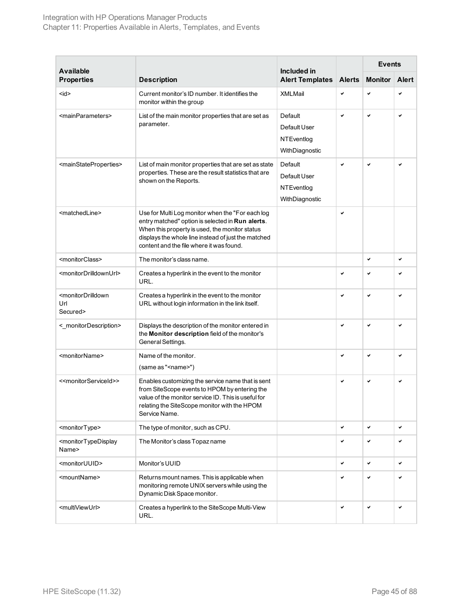| <b>Available</b>                                               |                                                                                                                                                                                                                                                           | Included in                                             |               | <b>Events</b>  |              |
|----------------------------------------------------------------|-----------------------------------------------------------------------------------------------------------------------------------------------------------------------------------------------------------------------------------------------------------|---------------------------------------------------------|---------------|----------------|--------------|
| <b>Properties</b>                                              | <b>Description</b>                                                                                                                                                                                                                                        | <b>Alert Templates</b>                                  | <b>Alerts</b> | <b>Monitor</b> | <b>Alert</b> |
| $<$ id $>$                                                     | Current monitor's ID number. It identifies the<br>monitor within the group                                                                                                                                                                                | <b>XMLMail</b>                                          | ✓             | ✓              | ✓            |
| <mainparameters></mainparameters>                              | List of the main monitor properties that are set as<br>parameter.                                                                                                                                                                                         | Default<br>Default User<br>NTEventlog<br>WithDiagnostic | V             | ✓              | ✓            |
| <mainstateproperties></mainstateproperties>                    | List of main monitor properties that are set as state<br>properties. These are the result statistics that are<br>shown on the Reports.                                                                                                                    | Default<br>Default User<br>NTEventlog<br>WithDiagnostic | v             | ✓              | ✓            |
| <matchedline></matchedline>                                    | Use for Multi Log monitor when the "For each log<br>entry matched" option is selected in Run alerts.<br>When this property is used, the monitor status<br>displays the whole line instead of just the matched<br>content and the file where it was found. |                                                         | ✓             |                |              |
| <monitorclass></monitorclass>                                  | The monitor's class name.                                                                                                                                                                                                                                 |                                                         |               | ✓              | ✓            |
| <monitordrilldownurl></monitordrilldownurl>                    | Creates a hyperlink in the event to the monitor<br>URL.                                                                                                                                                                                                   |                                                         | ✓             | ✓              |              |
| <monitordrilldown<br>Url<br/>Secured&gt;</monitordrilldown<br> | Creates a hyperlink in the event to the monitor<br>URL without login information in the link itself.                                                                                                                                                      |                                                         | V             | V              |              |
| <_monitorDescription>                                          | Displays the description of the monitor entered in<br>the Monitor description field of the monitor's<br>General Settings.                                                                                                                                 |                                                         | ✓             | ✓              |              |
| <monitorname></monitorname>                                    | Name of the monitor.<br>(same as " <name>")</name>                                                                                                                                                                                                        |                                                         | V             | V              |              |
| < <monitorserviceid>&gt;</monitorserviceid>                    | Enables customizing the service name that is sent<br>from SiteScope events to HPOM by entering the<br>value of the monitor service ID. This is useful for<br>relating the SiteScope monitor with the HPOM<br>Service Name.                                |                                                         | ✓             | ✓              |              |
| <monitortype></monitortype>                                    | The type of monitor, such as CPU.                                                                                                                                                                                                                         |                                                         | ✓             | $\checkmark$   | ✓            |
| <monitortypedisplay<br>Name&gt;</monitortypedisplay<br>        | The Monitor's class Topaz name                                                                                                                                                                                                                            |                                                         | ✓             | ✓              | ✔            |
| <monitoruuid></monitoruuid>                                    | Monitor's UUID                                                                                                                                                                                                                                            |                                                         | ✔             | v              | ✓            |
| <mountname></mountname>                                        | Returns mount names. This is applicable when<br>monitoring remote UNIX servers while using the<br>Dynamic Disk Space monitor.                                                                                                                             |                                                         | ✓             | $\checkmark$   | ✓            |
| <multiviewurl></multiviewurl>                                  | Creates a hyperlink to the SiteScope Multi-View<br>URL.                                                                                                                                                                                                   |                                                         | ✓             | $\checkmark$   | ✓            |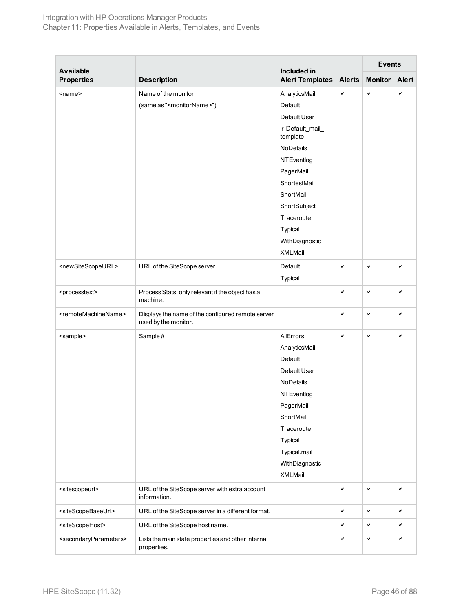| <b>Available</b><br><b>Properties</b>       |                                                                           | Included in<br><b>Alert Templates</b> | <b>Alerts</b> | <b>Events</b>  |              |
|---------------------------------------------|---------------------------------------------------------------------------|---------------------------------------|---------------|----------------|--------------|
|                                             | <b>Description</b>                                                        |                                       |               | <b>Monitor</b> | <b>Alert</b> |
| $<$ name $>$                                | Name of the monitor.                                                      | AnalyticsMail                         | V             | $\checkmark$   | ✓            |
|                                             | (same as " <monitorname>")</monitorname>                                  | Default                               |               |                |              |
|                                             |                                                                           | Default User                          |               |                |              |
|                                             |                                                                           | Ir-Default_mail_<br>template          |               |                |              |
|                                             |                                                                           | NoDetails                             |               |                |              |
|                                             |                                                                           | NTEventlog                            |               |                |              |
|                                             |                                                                           | PagerMail                             |               |                |              |
|                                             |                                                                           | ShortestMail                          |               |                |              |
|                                             |                                                                           | ShortMail                             |               |                |              |
|                                             |                                                                           | ShortSubject                          |               |                |              |
|                                             |                                                                           | Traceroute                            |               |                |              |
|                                             |                                                                           | Typical                               |               |                |              |
|                                             |                                                                           | WithDiagnostic                        |               |                |              |
|                                             |                                                                           | XMLMail                               |               |                |              |
| <newsitescopeurl></newsitescopeurl>         | URL of the SiteScope server.                                              | Default                               | V             | $\checkmark$   | ✓            |
|                                             |                                                                           | Typical                               |               |                |              |
| <processtext></processtext>                 | Process Stats, only relevant if the object has a<br>machine.              |                                       | $\checkmark$  | $\checkmark$   | ✓            |
| <remotemachinename></remotemachinename>     | Displays the name of the configured remote server<br>used by the monitor. |                                       | V             | $\checkmark$   | V            |
| <sample></sample>                           | Sample#                                                                   | AllErrors                             | V             | $\checkmark$   | $\checkmark$ |
|                                             |                                                                           | AnalyticsMail                         |               |                |              |
|                                             |                                                                           | Default                               |               |                |              |
|                                             |                                                                           | Default User                          |               |                |              |
|                                             |                                                                           | NoDetails                             |               |                |              |
|                                             |                                                                           | NTEventlog                            |               |                |              |
|                                             |                                                                           | PagerMail                             |               |                |              |
|                                             |                                                                           | ShortMail                             |               |                |              |
|                                             |                                                                           | Traceroute                            |               |                |              |
|                                             |                                                                           | Typical                               |               |                |              |
|                                             |                                                                           | Typical.mail                          |               |                |              |
|                                             |                                                                           | WithDiagnostic                        |               |                |              |
|                                             |                                                                           | XMLMail                               |               |                |              |
| <sitescopeurl></sitescopeurl>               | URL of the SiteScope server with extra account<br>information.            |                                       | ✓             | $\checkmark$   | $\checkmark$ |
| <sitescopebaseurl></sitescopebaseurl>       | URL of the SiteScope server in a different format.                        |                                       | v             | $\checkmark$   | ✓            |
| <sitescopehost></sitescopehost>             | URL of the SiteScope host name.                                           |                                       | V             | $\checkmark$   | ✓            |
| <secondaryparameters></secondaryparameters> | Lists the main state properties and other internal<br>properties.         |                                       | ✓             | $\checkmark$   | $\checkmark$ |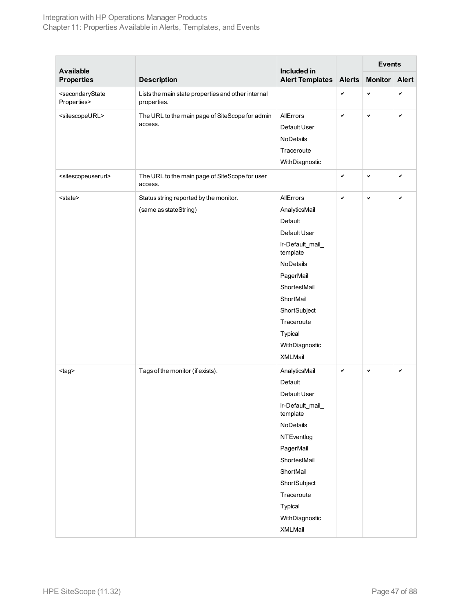### Integration with HP Operations Manager Products Chapter 11: Properties Available in Alerts, Templates, and Events

| <b>Available</b>                                      |                                                                   | Included in                  |               | <b>Events</b>  |              |
|-------------------------------------------------------|-------------------------------------------------------------------|------------------------------|---------------|----------------|--------------|
| <b>Properties</b>                                     | <b>Description</b>                                                | <b>Alert Templates</b>       | <b>Alerts</b> | <b>Monitor</b> | <b>Alert</b> |
| <secondarystate<br>Properties&gt;</secondarystate<br> | Lists the main state properties and other internal<br>properties. |                              | V             | V              | ✓            |
| <sitescopeurl></sitescopeurl>                         | The URL to the main page of SiteScope for admin                   | AllErrors                    | V             | V              | ✓            |
|                                                       | access.                                                           | Default User                 |               |                |              |
|                                                       |                                                                   | NoDetails                    |               |                |              |
|                                                       |                                                                   | Traceroute                   |               |                |              |
|                                                       |                                                                   | WithDiagnostic               |               |                |              |
| <sitescopeuserurl></sitescopeuserurl>                 | The URL to the main page of SiteScope for user<br>access.         |                              | ✓             | ✓              | ✓            |
| <state></state>                                       | Status string reported by the monitor.                            | AllErrors                    | V             | $\checkmark$   | V            |
|                                                       | (same as stateString)                                             | AnalyticsMail                |               |                |              |
|                                                       |                                                                   | Default                      |               |                |              |
|                                                       |                                                                   | Default User                 |               |                |              |
|                                                       |                                                                   | Ir-Default_mail_<br>template |               |                |              |
|                                                       |                                                                   | <b>NoDetails</b>             |               |                |              |
|                                                       |                                                                   | PagerMail                    |               |                |              |
|                                                       |                                                                   | ShortestMail                 |               |                |              |
|                                                       |                                                                   | ShortMail                    |               |                |              |
|                                                       |                                                                   | ShortSubject                 |               |                |              |
|                                                       |                                                                   | Traceroute                   |               |                |              |
|                                                       |                                                                   | Typical                      |               |                |              |
|                                                       |                                                                   | WithDiagnostic               |               |                |              |
|                                                       |                                                                   | XMLMail                      |               |                |              |
| <tag></tag>                                           | Tags of the monitor (if exists).                                  | AnalyticsMail                | ✓             | ✓              | ✓            |
|                                                       |                                                                   | Default                      |               |                |              |
|                                                       |                                                                   | Default User                 |               |                |              |
|                                                       |                                                                   | Ir-Default_mail_<br>template |               |                |              |
|                                                       |                                                                   | NoDetails                    |               |                |              |
|                                                       |                                                                   | <b>NTEventlog</b>            |               |                |              |
|                                                       |                                                                   | PagerMail                    |               |                |              |
|                                                       |                                                                   | ShortestMail                 |               |                |              |
|                                                       |                                                                   | ShortMail                    |               |                |              |
|                                                       |                                                                   | ShortSubject                 |               |                |              |
|                                                       |                                                                   | Traceroute                   |               |                |              |
|                                                       |                                                                   | Typical                      |               |                |              |
|                                                       |                                                                   | WithDiagnostic               |               |                |              |
|                                                       |                                                                   | XMLMail                      |               |                |              |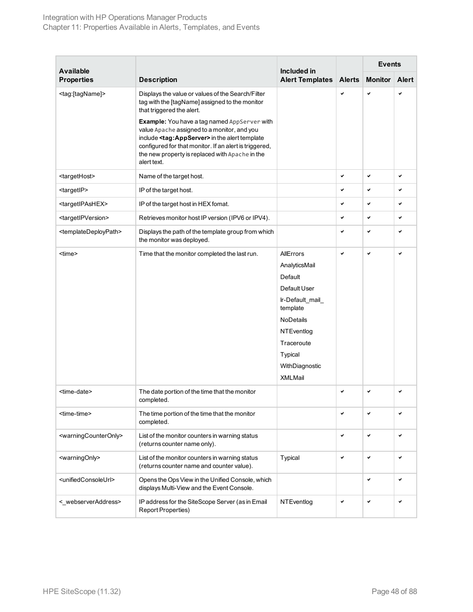|                                           |                                                                                                                                                                                                                                                                                        |                                                                                                                                                                               |               | <b>Events</b>  |              |
|-------------------------------------------|----------------------------------------------------------------------------------------------------------------------------------------------------------------------------------------------------------------------------------------------------------------------------------------|-------------------------------------------------------------------------------------------------------------------------------------------------------------------------------|---------------|----------------|--------------|
| <b>Available</b><br><b>Properties</b>     | <b>Description</b>                                                                                                                                                                                                                                                                     | Included in<br><b>Alert Templates</b>                                                                                                                                         | <b>Alerts</b> | <b>Monitor</b> | Alert        |
| <tag:[tagname]></tag:[tagname]>           | Displays the value or values of the Search/Filter<br>tag with the [tagName] assigned to the monitor<br>that triggered the alert.                                                                                                                                                       |                                                                                                                                                                               | $\checkmark$  | v              | ✓            |
|                                           | Example: You have a tag named AppServer with<br>value Apache assigned to a monitor, and you<br>include <tag: appserver=""> in the alert template<br/>configured for that monitor. If an alert is triggered,<br/>the new property is replaced with Apache in the<br/>alert text.</tag:> |                                                                                                                                                                               |               |                |              |
| <targethost></targethost>                 | Name of the target host.                                                                                                                                                                                                                                                               |                                                                                                                                                                               | V             | ✓              | ✓            |
| <targetip></targetip>                     | IP of the target host.                                                                                                                                                                                                                                                                 |                                                                                                                                                                               | $\checkmark$  | $\checkmark$   | ✓            |
| <targetipashex></targetipashex>           | IP of the target host in HEX fomat.                                                                                                                                                                                                                                                    |                                                                                                                                                                               | ✓             | $\checkmark$   | ✓            |
| <targetipversion></targetipversion>       | Retrieves monitor host IP version (IPV6 or IPV4).                                                                                                                                                                                                                                      |                                                                                                                                                                               | $\checkmark$  | ✓              | ✓            |
| <templatedeploypath></templatedeploypath> | Displays the path of the template group from which<br>the monitor was deployed.                                                                                                                                                                                                        |                                                                                                                                                                               | ✓             | ✓              | ✓            |
| <time></time>                             | Time that the monitor completed the last run.                                                                                                                                                                                                                                          | AllErrors<br>AnalyticsMail<br>Default<br>Default User<br>Ir-Default_mail_<br>template<br><b>NoDetails</b><br>NTEventlog<br>Traceroute<br>Typical<br>WithDiagnostic<br>XMLMail | $\checkmark$  | $\checkmark$   | ✓            |
| <time-date></time-date>                   | The date portion of the time that the monitor<br>completed.                                                                                                                                                                                                                            |                                                                                                                                                                               | $\checkmark$  | $\checkmark$   | ✓            |
| <time-time></time-time>                   | The time portion of the time that the monitor<br>completed.                                                                                                                                                                                                                            |                                                                                                                                                                               | ✓             | $\checkmark$   | ✓            |
| <warningcounteronly></warningcounteronly> | List of the monitor counters in warning status<br>(returns counter name only).                                                                                                                                                                                                         |                                                                                                                                                                               | $\checkmark$  | ✓              | ✔            |
| <warningonly></warningonly>               | List of the monitor counters in warning status<br>(returns counter name and counter value).                                                                                                                                                                                            | Typical                                                                                                                                                                       | ✓             | ✓              | ✓            |
| <unifiedconsoleurl></unifiedconsoleurl>   | Opens the Ops View in the Unified Console, which<br>displays Multi-View and the Event Console.                                                                                                                                                                                         |                                                                                                                                                                               |               | ✓              | $\checkmark$ |
| <_webserverAddress>                       | IP address for the SiteScope Server (as in Email<br><b>Report Properties)</b>                                                                                                                                                                                                          | NTEventlog                                                                                                                                                                    | ✓             | ✓              | ✔            |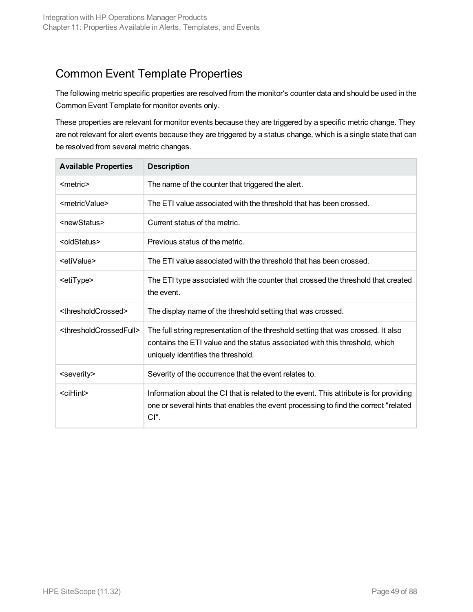### <span id="page-48-0"></span>Common Event Template Properties

The following metric specific properties are resolved from the monitor's counter data and should be used in the Common Event Template for monitor events only.

These properties are relevant for monitor events because they are triggered by a specific metric change. They are not relevant for alert events because they are triggered by a status change, which is a single state that can be resolved from several metric changes.

| <b>Available Properties</b>                   | <b>Description</b>                                                                                                                                                                                     |
|-----------------------------------------------|--------------------------------------------------------------------------------------------------------------------------------------------------------------------------------------------------------|
| <metric></metric>                             | The name of the counter that triggered the alert.                                                                                                                                                      |
| <metricvalue></metricvalue>                   | The ETI value associated with the threshold that has been crossed.                                                                                                                                     |
| <newstatus></newstatus>                       | Current status of the metric.                                                                                                                                                                          |
| <oldstatus></oldstatus>                       | Previous status of the metric.                                                                                                                                                                         |
| <etivalue></etivalue>                         | The ETI value associated with the threshold that has been crossed.                                                                                                                                     |
| <etitype></etitype>                           | The ETI type associated with the counter that crossed the threshold that created<br>the event.                                                                                                         |
| <thresholdcrossed></thresholdcrossed>         | The display name of the threshold setting that was crossed.                                                                                                                                            |
| <thresholdcrossedfull></thresholdcrossedfull> | The full string representation of the threshold setting that was crossed. It also<br>contains the ETI value and the status associated with this threshold, which<br>uniquely identifies the threshold. |
| <severity></severity>                         | Severity of the occurrence that the event relates to.                                                                                                                                                  |
| <cihint></cihint>                             | Information about the CI that is related to the event. This attribute is for providing<br>one or several hints that enables the event processing to find the correct "related"<br>$Cl$ ".              |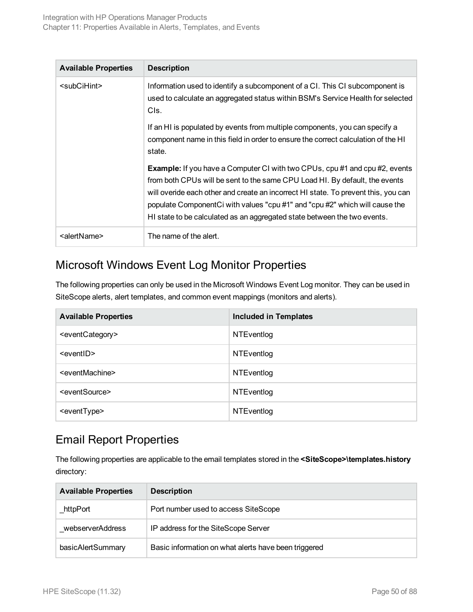| <b>Available Properties</b> | <b>Description</b>                                                                                                                                                                                                                                                                                                                                                                                                 |
|-----------------------------|--------------------------------------------------------------------------------------------------------------------------------------------------------------------------------------------------------------------------------------------------------------------------------------------------------------------------------------------------------------------------------------------------------------------|
| $subC$ iHint $>$            | Information used to identify a subcomponent of a CI. This CI subcomponent is<br>used to calculate an aggregated status within BSM's Service Health for selected<br>CIs.                                                                                                                                                                                                                                            |
|                             | If an HI is populated by events from multiple components, you can specify a<br>component name in this field in order to ensure the correct calculation of the HI<br>state.                                                                                                                                                                                                                                         |
|                             | <b>Example:</b> If you have a Computer CI with two CPUs, cpu #1 and cpu #2, events<br>from both CPUs will be sent to the same CPU Load HI. By default, the events<br>will overide each other and create an incorrect HI state. To prevent this, you can<br>populate ComponentCi with values "cpu #1" and "cpu #2" which will cause the<br>HI state to be calculated as an aggregated state between the two events. |
| <alertname></alertname>     | The name of the alert.                                                                                                                                                                                                                                                                                                                                                                                             |

### <span id="page-49-0"></span>Microsoft Windows Event Log Monitor Properties

The following properties can only be used in the Microsoft Windows Event Log monitor. They can be used in SiteScope alerts, alert templates, and common event mappings (monitors and alerts).

| <b>Available Properties</b>     | <b>Included in Templates</b> |
|---------------------------------|------------------------------|
| <eventcategory></eventcategory> | <b>NTEventlog</b>            |
| <eventid></eventid>             | <b>NTEventlog</b>            |
| <eventmachine></eventmachine>   | <b>NTEventlog</b>            |
| <eventsource></eventsource>     | <b>NTEventlog</b>            |
| <eventtype></eventtype>         | <b>NTEventlog</b>            |

### <span id="page-49-1"></span>Email Report Properties

The following properties are applicable to the email templates stored in the **<SiteScope>\templates.history** directory:

| <b>Available Properties</b> | <b>Description</b>                                   |
|-----------------------------|------------------------------------------------------|
| httpPort                    | Port number used to access SiteScope                 |
| webserverAddress            | IP address for the SiteScope Server                  |
| basicAlertSummary           | Basic information on what alerts have been triggered |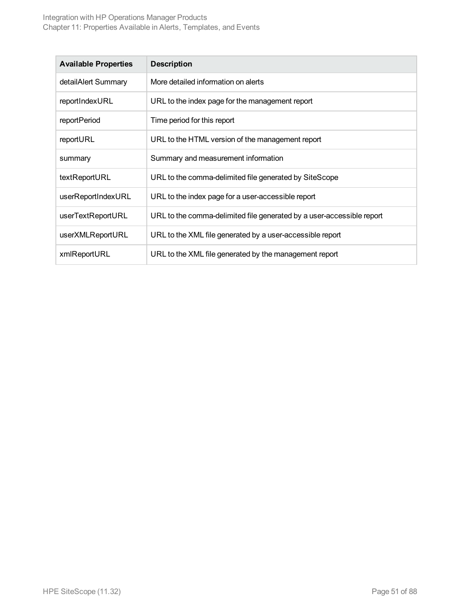| <b>Available Properties</b> | <b>Description</b>                                                    |
|-----------------------------|-----------------------------------------------------------------------|
| detailAlert Summary         | More detailed information on alerts                                   |
| reportIndexURL              | URL to the index page for the management report                       |
| reportPeriod                | Time period for this report                                           |
| reportURL                   | URL to the HTML version of the management report                      |
| summary                     | Summary and measurement information                                   |
| textReportURL               | URL to the comma-delimited file generated by SiteScope                |
| userReportIndexURL          | URL to the index page for a user-accessible report                    |
| userTextReportURL           | URL to the comma-delimited file generated by a user-accessible report |
| userXMLReportURL            | URL to the XML file generated by a user-accessible report             |
| xmlReportURL                | URL to the XML file generated by the management report                |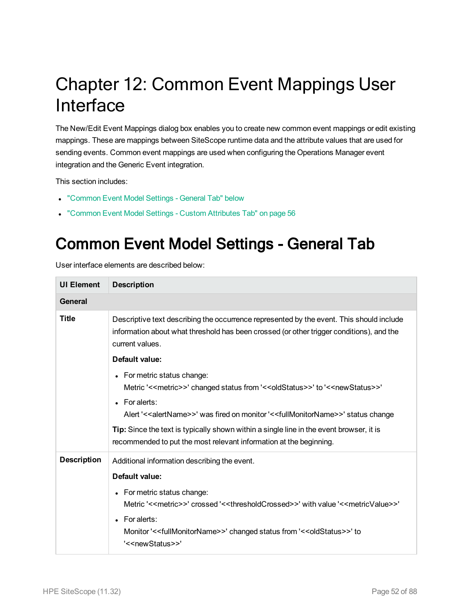# Chapter 12: Common Event Mappings User Interface

The New/Edit Event Mappings dialog box enables you to create new common event mappings or edit existing mappings. These are mappings between SiteScope runtime data and the attribute values that are used for sending events. Common event mappings are used when configuring the Operations Manager event integration and the Generic Event integration.

This section includes:

- ["Common](#page-51-0) Event Model Settings General Tab" below
- <span id="page-51-0"></span>• ["Common](#page-55-0) Event Model Settings - Custom Attributes Tab" on page 56

### Common Event Model Settings - General Tab

| <b>UI Element</b>  | <b>Description</b>                                                                                                                                                                                                                                                                                                                                                                                                                                                                              |  |
|--------------------|-------------------------------------------------------------------------------------------------------------------------------------------------------------------------------------------------------------------------------------------------------------------------------------------------------------------------------------------------------------------------------------------------------------------------------------------------------------------------------------------------|--|
| <b>General</b>     |                                                                                                                                                                                                                                                                                                                                                                                                                                                                                                 |  |
| <b>Title</b>       | Descriptive text describing the occurrence represented by the event. This should include<br>information about what threshold has been crossed (or other trigger conditions), and the<br>current values.                                                                                                                                                                                                                                                                                         |  |
|                    | Default value:                                                                                                                                                                                                                                                                                                                                                                                                                                                                                  |  |
|                    | • For metric status change:<br>Metric '< <metric>&gt;' changed status from '&lt;<oldstatus>&gt;' to '&lt;<newstatus>&gt;'<br/><math>\bullet</math> For alerts:<br/>Alert '&lt;<alertname>&gt;' was fired on monitor '&lt;<fullmonitorname>&gt;' status change<br/>Tip: Since the text is typically shown within a single line in the event browser, it is<br/>recommended to put the most relevant information at the beginning.</fullmonitorname></alertname></newstatus></oldstatus></metric> |  |
| <b>Description</b> | Additional information describing the event.                                                                                                                                                                                                                                                                                                                                                                                                                                                    |  |
|                    | <b>Default value:</b>                                                                                                                                                                                                                                                                                                                                                                                                                                                                           |  |
|                    | • For metric status change:<br>Metric '< <metric>&gt;' crossed '&lt;<thresholdcrossed>&gt;' with value '&lt;<metricvalue>&gt;'</metricvalue></thresholdcrossed></metric>                                                                                                                                                                                                                                                                                                                        |  |
|                    | $\bullet$ For alerts:<br>Monitor '<< fullMonitorName>>' changed status from '<< oldStatus>>' to<br>'< <newstatus>&gt;'</newstatus>                                                                                                                                                                                                                                                                                                                                                              |  |

User interface elements are described below: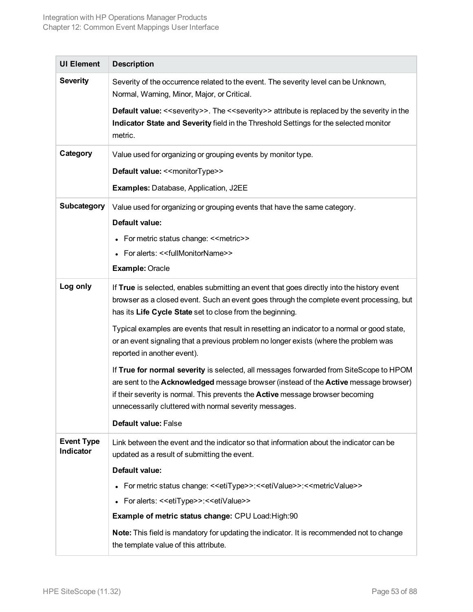| <b>UI Element</b>              | <b>Description</b>                                                                                                                                                                                                                                                                                                                |
|--------------------------------|-----------------------------------------------------------------------------------------------------------------------------------------------------------------------------------------------------------------------------------------------------------------------------------------------------------------------------------|
| <b>Severity</b>                | Severity of the occurrence related to the event. The severity level can be Unknown,<br>Normal, Warning, Minor, Major, or Critical.                                                                                                                                                                                                |
|                                | <b>Default value:</b> < <severity>&gt;. The &lt;<severity>&gt; attribute is replaced by the severity in the<br/>Indicator State and Severity field in the Threshold Settings for the selected monitor<br/>metric.</severity></severity>                                                                                           |
| Category                       | Value used for organizing or grouping events by monitor type.                                                                                                                                                                                                                                                                     |
|                                | Default value: << monitorType>>                                                                                                                                                                                                                                                                                                   |
|                                | <b>Examples: Database, Application, J2EE</b>                                                                                                                                                                                                                                                                                      |
| <b>Subcategory</b>             | Value used for organizing or grouping events that have the same category.                                                                                                                                                                                                                                                         |
|                                | Default value:                                                                                                                                                                                                                                                                                                                    |
|                                | • For metric status change: << metric>>                                                                                                                                                                                                                                                                                           |
|                                | • For alerts: << fullMonitorName>>                                                                                                                                                                                                                                                                                                |
|                                | <b>Example: Oracle</b>                                                                                                                                                                                                                                                                                                            |
| Log only                       | If True is selected, enables submitting an event that goes directly into the history event<br>browser as a closed event. Such an event goes through the complete event processing, but<br>has its Life Cycle State set to close from the beginning.                                                                               |
|                                | Typical examples are events that result in resetting an indicator to a normal or good state,<br>or an event signaling that a previous problem no longer exists (where the problem was<br>reported in another event).                                                                                                              |
|                                | If True for normal severity is selected, all messages forwarded from SiteScope to HPOM<br>are sent to the Acknowledged message browser (instead of the Active message browser)<br>if their severity is normal. This prevents the <b>Active</b> message browser becoming<br>unnecessarily cluttered with normal severity messages. |
|                                | <b>Default value: False</b>                                                                                                                                                                                                                                                                                                       |
| <b>Event Type</b><br>Indicator | Link between the event and the indicator so that information about the indicator can be<br>updated as a result of submitting the event.                                                                                                                                                                                           |
|                                | Default value:                                                                                                                                                                                                                                                                                                                    |
|                                | • For metric status change: << etiType>>:<< etiValue>>:<< metricValue>>>                                                                                                                                                                                                                                                          |
|                                | • For alerts: << etiType>>:<< etiValue>>                                                                                                                                                                                                                                                                                          |
|                                | Example of metric status change: CPU Load: High: 90                                                                                                                                                                                                                                                                               |
|                                | Note: This field is mandatory for updating the indicator. It is recommended not to change<br>the template value of this attribute.                                                                                                                                                                                                |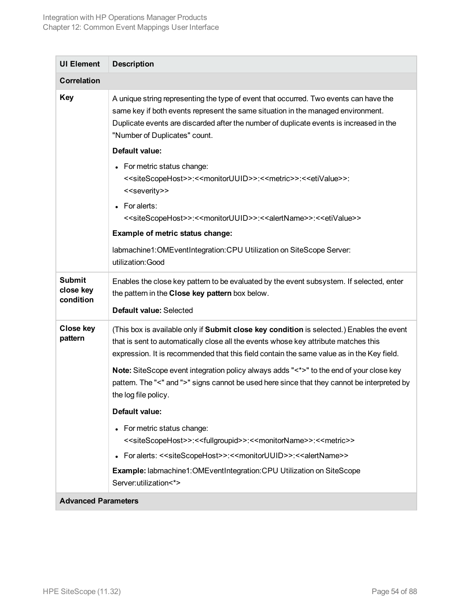| <b>UI Element</b>                       | <b>Description</b>                                                                                                                                                                                                                                                                                    |  |
|-----------------------------------------|-------------------------------------------------------------------------------------------------------------------------------------------------------------------------------------------------------------------------------------------------------------------------------------------------------|--|
| <b>Correlation</b>                      |                                                                                                                                                                                                                                                                                                       |  |
| <b>Key</b>                              | A unique string representing the type of event that occurred. Two events can have the<br>same key if both events represent the same situation in the managed environment.<br>Duplicate events are discarded after the number of duplicate events is increased in the<br>"Number of Duplicates" count. |  |
|                                         | Default value:                                                                                                                                                                                                                                                                                        |  |
|                                         | • For metric status change:<br>< <sitescopehost>&gt;:&lt;<monitoruuid>&gt;:&lt;<metric>&gt;:&lt;<etivalue>&gt;:<br/>&lt;<severity>&gt;</severity></etivalue></metric></monitoruuid></sitescopehost>                                                                                                   |  |
|                                         | • For alerts:<br>< <sitescopehost>&gt;:&lt;<monitoruuid>&gt;:&lt;<alertname>&gt;:&lt;<etivalue>&gt;</etivalue></alertname></monitoruuid></sitescopehost>                                                                                                                                              |  |
|                                         | Example of metric status change:                                                                                                                                                                                                                                                                      |  |
|                                         | labmachine1:OMEventIntegration:CPU Utilization on SiteScope Server:<br>utilization: Good                                                                                                                                                                                                              |  |
| <b>Submit</b><br>close key<br>condition | Enables the close key pattern to be evaluated by the event subsystem. If selected, enter<br>the pattern in the Close key pattern box below.                                                                                                                                                           |  |
|                                         | Default value: Selected                                                                                                                                                                                                                                                                               |  |
| <b>Close key</b><br>pattern             | (This box is available only if Submit close key condition is selected.) Enables the event<br>that is sent to automatically close all the events whose key attribute matches this<br>expression. It is recommended that this field contain the same value as in the Key field.                         |  |
|                                         | Note: SiteScope event integration policy always adds "<*>" to the end of your close key<br>pattern. The "<" and ">" signs cannot be used here since that they cannot be interpreted by<br>the log file policy.                                                                                        |  |
|                                         | Default value:                                                                                                                                                                                                                                                                                        |  |
|                                         | For metric status change:<br>< <sitescopehost>&gt;:&lt;<fullgroupid>&gt;:&lt;<monitorname>&gt;:&lt;<metric>&gt;</metric></monitorname></fullgroupid></sitescopehost>                                                                                                                                  |  |
|                                         | For alerts: < <sitescopehost>&gt;:&lt;<monitoruuid>&gt;:&lt;<alertname>&gt;</alertname></monitoruuid></sitescopehost>                                                                                                                                                                                 |  |
|                                         | Example: labmachine1:OMEventIntegration:CPU Utilization on SiteScope<br>Server:utilization<*>                                                                                                                                                                                                         |  |
| <b>Advanced Parameters</b>              |                                                                                                                                                                                                                                                                                                       |  |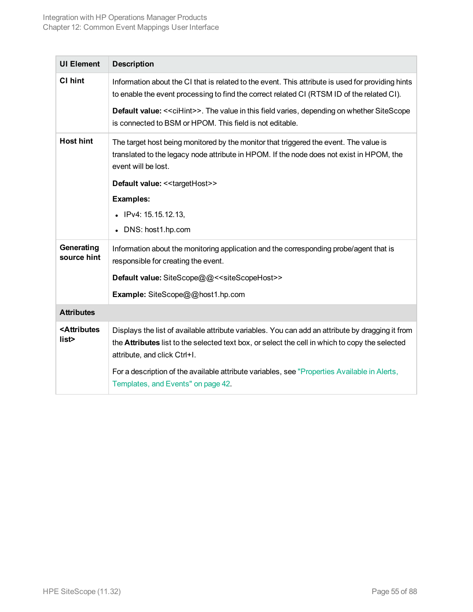| <b>UI Element</b>                       | <b>Description</b>                                                                                                                                                                                                                        |
|-----------------------------------------|-------------------------------------------------------------------------------------------------------------------------------------------------------------------------------------------------------------------------------------------|
| CI hint                                 | Information about the CI that is related to the event. This attribute is used for providing hints<br>to enable the event processing to find the correct related CI (RTSM ID of the related CI).                                           |
|                                         | <b>Default value: &lt; &lt; ciHint&gt;&gt;.</b> The value in this field varies, depending on whether SiteScope<br>is connected to BSM or HPOM. This field is not editable.                                                                |
| <b>Host hint</b>                        | The target host being monitored by the monitor that triggered the event. The value is<br>translated to the legacy node attribute in HPOM. If the node does not exist in HPOM, the<br>event will be lost.                                  |
|                                         | Default value: << targetHost>>                                                                                                                                                                                                            |
|                                         | <b>Examples:</b>                                                                                                                                                                                                                          |
|                                         | $\bullet$ IPv4: 15.15.12.13,                                                                                                                                                                                                              |
|                                         | • DNS: host1.hp.com                                                                                                                                                                                                                       |
| Generating<br>source hint               | Information about the monitoring application and the corresponding probe/agent that is<br>responsible for creating the event.                                                                                                             |
|                                         | Default value: SiteScope@@< <sitescopehost>&gt;</sitescopehost>                                                                                                                                                                           |
|                                         | Example: SiteScope@@host1.hp.com                                                                                                                                                                                                          |
| <b>Attributes</b>                       |                                                                                                                                                                                                                                           |
| <attributes<br>list&gt;</attributes<br> | Displays the list of available attribute variables. You can add an attribute by dragging it from<br>the <b>Attributes</b> list to the selected text box, or select the cell in which to copy the selected<br>attribute, and click Ctrl+I. |
|                                         | For a description of the available attribute variables, see "Properties Available in Alerts,<br>Templates, and Events" on page 42.                                                                                                        |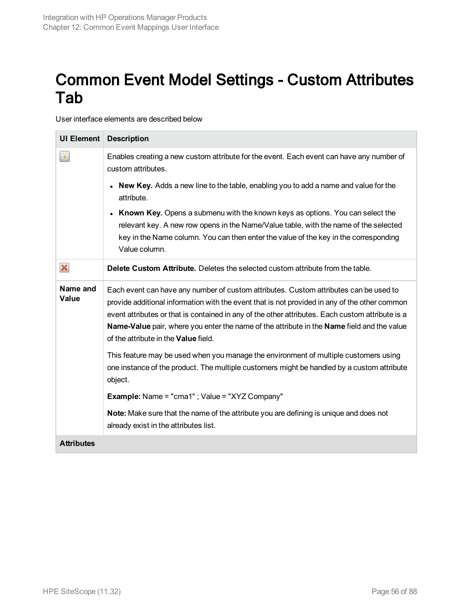## <span id="page-55-0"></span>Common Event Model Settings - Custom Attributes Tab

User interface elements are described below

| <b>UI Element</b>         | <b>Description</b>                                                                                                                                                                                                                                                                                                                                                                                                               |
|---------------------------|----------------------------------------------------------------------------------------------------------------------------------------------------------------------------------------------------------------------------------------------------------------------------------------------------------------------------------------------------------------------------------------------------------------------------------|
| $\ast$                    | Enables creating a new custom attribute for the event. Each event can have any number of<br>custom attributes.                                                                                                                                                                                                                                                                                                                   |
|                           | New Key. Adds a new line to the table, enabling you to add a name and value for the<br>$\bullet$<br>attribute.                                                                                                                                                                                                                                                                                                                   |
|                           | Known Key. Opens a submenu with the known keys as options. You can select the<br>$\bullet$<br>relevant key. A new row opens in the Name/Value table, with the name of the selected<br>key in the Name column. You can then enter the value of the key in the corresponding<br>Value column.                                                                                                                                      |
| $\boldsymbol{\mathsf{x}}$ | Delete Custom Attribute. Deletes the selected custom attribute from the table.                                                                                                                                                                                                                                                                                                                                                   |
| Name and<br>Value         | Each event can have any number of custom attributes. Custom attributes can be used to<br>provide additional information with the event that is not provided in any of the other common<br>event attributes or that is contained in any of the other attributes. Each custom attribute is a<br>Name-Value pair, where you enter the name of the attribute in the Name field and the value<br>of the attribute in the Value field. |
|                           | This feature may be used when you manage the environment of multiple customers using<br>one instance of the product. The multiple customers might be handled by a custom attribute<br>object.                                                                                                                                                                                                                                    |
|                           | <b>Example:</b> Name = "cma1"; Value = "XYZ Company"                                                                                                                                                                                                                                                                                                                                                                             |
|                           | Note: Make sure that the name of the attribute you are defining is unique and does not<br>already exist in the attributes list.                                                                                                                                                                                                                                                                                                  |
| <b>Attributes</b>         |                                                                                                                                                                                                                                                                                                                                                                                                                                  |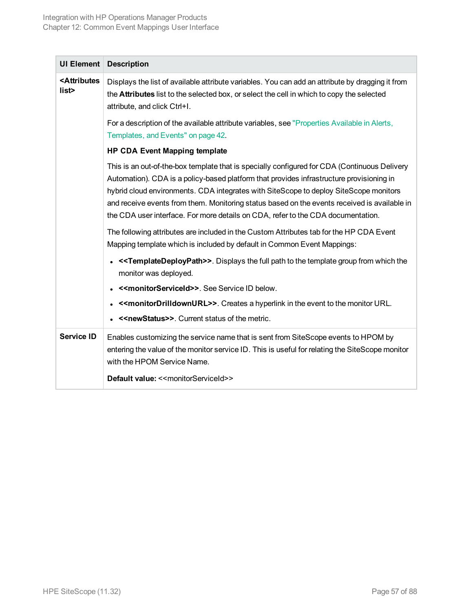| <b>UI Element</b>                       | <b>Description</b>                                                                                                                                                                                                                                                                                                                                                                                                                                                    |
|-----------------------------------------|-----------------------------------------------------------------------------------------------------------------------------------------------------------------------------------------------------------------------------------------------------------------------------------------------------------------------------------------------------------------------------------------------------------------------------------------------------------------------|
| <attributes<br>list&gt;</attributes<br> | Displays the list of available attribute variables. You can add an attribute by dragging it from<br>the <b>Attributes</b> list to the selected box, or select the cell in which to copy the selected<br>attribute, and click Ctrl+I.                                                                                                                                                                                                                                  |
|                                         | For a description of the available attribute variables, see "Properties Available in Alerts,<br>Templates, and Events" on page 42.                                                                                                                                                                                                                                                                                                                                    |
|                                         | <b>HP CDA Event Mapping template</b>                                                                                                                                                                                                                                                                                                                                                                                                                                  |
|                                         | This is an out-of-the-box template that is specially configured for CDA (Continuous Delivery<br>Automation). CDA is a policy-based platform that provides infrastructure provisioning in<br>hybrid cloud environments. CDA integrates with SiteScope to deploy SiteScope monitors<br>and receive events from them. Monitoring status based on the events received is available in<br>the CDA user interface. For more details on CDA, refer to the CDA documentation. |
|                                         | The following attributes are included in the Custom Attributes tab for the HP CDA Event<br>Mapping template which is included by default in Common Event Mappings:                                                                                                                                                                                                                                                                                                    |
|                                         | < <templatedeploypath>&gt;. Displays the full path to the template group from which the<br/>monitor was deployed.</templatedeploypath>                                                                                                                                                                                                                                                                                                                                |
|                                         | << monitorServiceId>>. See Service ID below.                                                                                                                                                                                                                                                                                                                                                                                                                          |
|                                         | << monitorDrilldownURL>>. Creates a hyperlink in the event to the monitor URL.                                                                                                                                                                                                                                                                                                                                                                                        |
|                                         | < <newstatus>&gt;. Current status of the metric.</newstatus>                                                                                                                                                                                                                                                                                                                                                                                                          |
| <b>Service ID</b>                       | Enables customizing the service name that is sent from SiteScope events to HPOM by<br>entering the value of the monitor service ID. This is useful for relating the SiteScope monitor<br>with the HPOM Service Name.                                                                                                                                                                                                                                                  |
|                                         | Default value: << monitorServiceId>>                                                                                                                                                                                                                                                                                                                                                                                                                                  |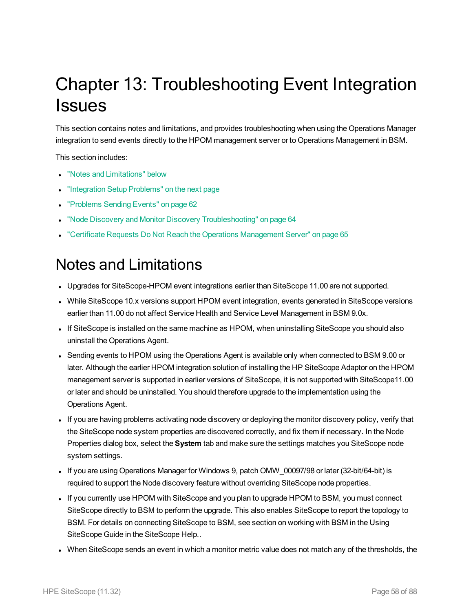# <span id="page-57-0"></span>Chapter 13: Troubleshooting Event Integration **Issues**

This section contains notes and limitations, and provides troubleshooting when using the Operations Manager integration to send events directly to the HPOM management server or to Operations Management in BSM.

This section includes:

- "Notes and [Limitations"](#page-57-1) below
- ["Integration](#page-58-0) Setup Problems" on the next page
- ["Problems](#page-61-0) Sending Events" on page 62
- "Node Discovery and Monitor Discovery [Troubleshooting"](#page-63-0) on page 64
- <span id="page-57-1"></span>• "Certificate Requests Do Not Reach the Operations [Management](#page-64-0) Server" on page 65

## Notes and Limitations

- Upgrades for SiteScope-HPOM event integrations earlier than SiteScope 11.00 are not supported.
- While SiteScope 10.x versions support HPOM event integration, events generated in SiteScope versions earlier than 11.00 do not affect Service Health and Service Level Management in BSM 9.0x.
- If SiteScope is installed on the same machine as HPOM, when uninstalling SiteScope you should also uninstall the Operations Agent.
- Sending events to HPOM using the Operations Agent is available only when connected to BSM 9.00 or later. Although the earlier HPOM integration solution of installing the HP SiteScope Adaptor on the HPOM management server is supported in earlier versions of SiteScope, it is not supported with SiteScope11.00 or later and should be uninstalled. You should therefore upgrade to the implementation using the Operations Agent.
- If you are having problems activating node discovery or deploying the monitor discovery policy, verify that the SiteScope node system properties are discovered correctly, and fix them if necessary. In the Node Properties dialog box, select the **System** tab and make sure the settings matches you SiteScope node system settings.
- If you are using Operations Manager for Windows 9, patch OMW\_00097/98 or later (32-bit/64-bit) is required to support the Node discovery feature without overriding SiteScope node properties.
- If you currently use HPOM with SiteScope and you plan to upgrade HPOM to BSM, you must connect SiteScope directly to BSM to perform the upgrade. This also enables SiteScope to report the topology to BSM. For details on connecting SiteScope to BSM, see section on working with BSM in the Using SiteScope Guide in the SiteScope Help..
- When SiteScope sends an event in which a monitor metric value does not match any of the thresholds, the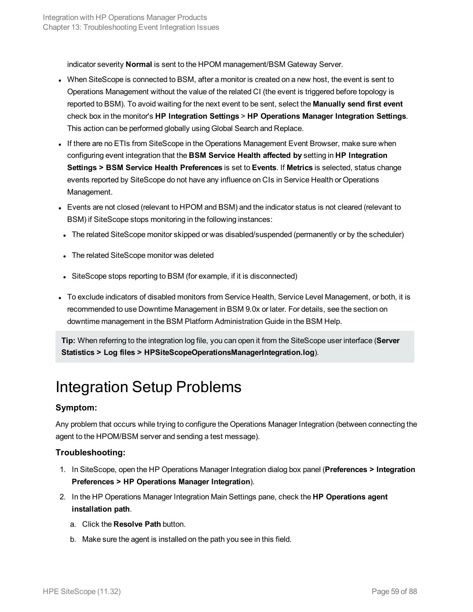indicator severity **Normal** is sent to the HPOM management/BSM Gateway Server.

- When SiteScope is connected to BSM, after a monitor is created on a new host, the event is sent to Operations Management without the value of the related CI (the event is triggered before topology is reported to BSM). To avoid waiting for the next event to be sent, select the **Manually send first event** check box in the monitor's **HP Integration Settings** > **HP Operations Manager Integration Settings**. This action can be performed globally using Global Search and Replace.
- If there are no ETIs from SiteScope in the Operations Management Event Browser, make sure when configuring event integration that the **BSM Service Health affected by** setting in **HP Integration Settings > BSM Service Health Preferences** is set to **Events**. If **Metrics** is selected, status change events reported by SiteScope do not have any influence on CIs in Service Health or Operations Management.
- Events are not closed (relevant to HPOM and BSM) and the indicator status is not cleared (relevant to BSM) if SiteScope stops monitoring in the following instances:
- The related SiteScope monitor skipped or was disabled/suspended (permanently or by the scheduler)
- The related SiteScope monitor was deleted
- SiteScope stops reporting to BSM (for example, if it is disconnected)
- To exclude indicators of disabled monitors from Service Health, Service Level Management, or both, it is recommended to use Downtime Management in BSM 9.0x or later. For details, see the section on downtime management in the BSM Platform Administration Guide in the BSM Help.

**Tip:** When referring to the integration log file, you can open it from the SiteScope user interface (**Server Statistics > Log files > HPSiteScopeOperationsManagerIntegration.log**).

### <span id="page-58-0"></span>Integration Setup Problems

### **Symptom:**

Any problem that occurs while trying to configure the Operations Manager Integration (between connecting the agent to the HPOM/BSM server and sending a test message).

### **Troubleshooting:**

- 1. In SiteScope, open the HP Operations Manager Integration dialog box panel (**Preferences > Integration Preferences > HP Operations Manager Integration**).
- 2. In the HP Operations Manager Integration Main Settings pane, check the **HP Operations agent installation path**.
	- a. Click the **Resolve Path** button.
	- b. Make sure the agent is installed on the path you see in this field.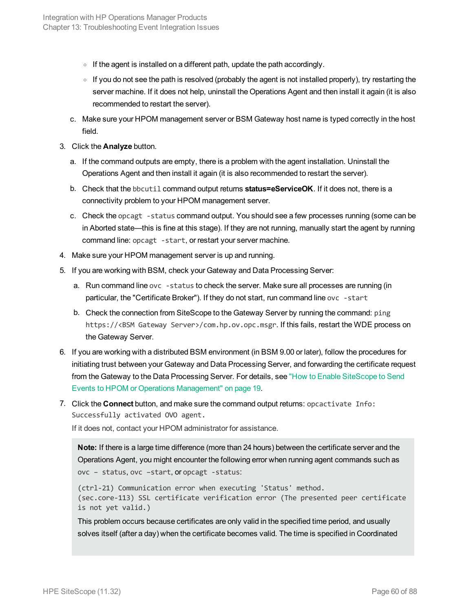- $\circ$  If the agent is installed on a different path, update the path accordingly.
- $\circ$  If you do not see the path is resolved (probably the agent is not installed properly), try restarting the server machine. If it does not help, uninstall the Operations Agent and then install it again (it is also recommended to restart the server).
- c. Make sure your HPOM management server or BSM Gateway host name is typed correctly in the host field.
- 3. Click the **Analyze** button.
	- a. If the command outputs are empty, there is a problem with the agent installation. Uninstall the Operations Agent and then install it again (it is also recommended to restart the server).
	- b. Check that the bbcutil command output returns **status=eServiceOK**. If it does not, there is a connectivity problem to your HPOM management server.
	- c. Check the opcagt -status command output. You should see a few processes running (some can be in Aborted state—this is fine at this stage). If they are not running, manually start the agent by running command line: opcagt -start, or restart your server machine.
- 4. Make sure your HPOM management server is up and running.
- 5. If you are working with BSM, check your Gateway and Data Processing Server:
	- a. Run command line ovc -status to check the server. Make sure all processes are running (in particular, the "Certificate Broker"). If they do not start, run command line ovc -start
	- b. Check the connection from SiteScope to the Gateway Server by running the command: ping https://<BSM Gateway Server>/com.hp.ov.opc.msgr. If this fails, restart the WDE process on the Gateway Server.
- 6. If you are working with a distributed BSM environment (in BSM 9.00 or later), follow the procedures for initiating trust between your Gateway and Data Processing Server, and forwarding the certificate request from the Gateway to the Data Processing Server. For details, see "How to Enable [SiteScope](#page-18-0) to Send Events to HPOM or Operations [Management"](#page-18-0) on page 19.
- 7. Click the **Connect** button, and make sure the command output returns: opcactivate Info: Successfully activated OVO agent.

If it does not, contact your HPOM administrator for assistance.

```
Note: If there is a large time difference (more than 24 hours) between the certificate server and the
Operations Agent, you might encounter the following error when running agent commands such as
ovc – status, ovc –start, or opcagt -status:
```

```
(ctrl-21) Communication error when executing 'Status' method.
(sec.core-113) SSL certificate verification error (The presented peer certificate
is not yet valid.)
```
This problem occurs because certificates are only valid in the specified time period, and usually solves itself (after a day) when the certificate becomes valid. The time is specified in Coordinated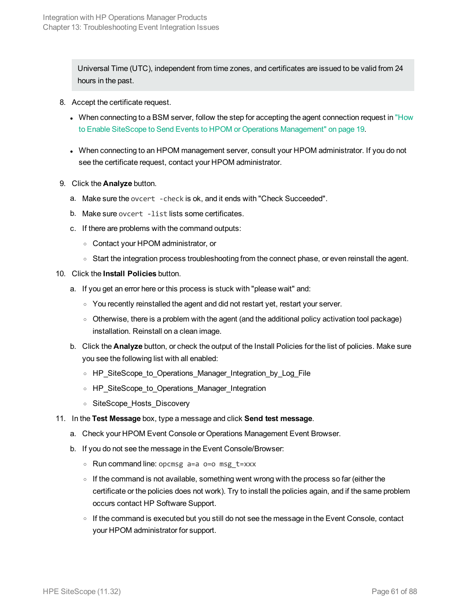Universal Time (UTC), independent from time zones, and certificates are issued to be valid from 24 hours in the past.

- 8. Accept the certificate request.
	- When connecting to a BSM server, follow the step for accepting the agent connection request in ["How](#page-18-0) to Enable SiteScope to Send Events to HPOM or Operations [Management"](#page-18-0) on page 19.
	- When connecting to an HPOM management server, consult your HPOM administrator. If you do not see the certificate request, contact your HPOM administrator.
- 9. Click the **Analyze** button.
	- a. Make sure the ovcert -check is ok, and it ends with "Check Succeeded".
	- b. Make sure ovcert -list lists some certificates.
	- c. If there are problems with the command outputs:
		- <sup>o</sup> Contact your HPOM administrator, or
		- Start the integration process troubleshooting from the connect phase, or even reinstall the agent.
- 10. Click the **Install Policies** button.
	- a. If you get an error here or this process is stuck with "please wait" and:
		- $\circ$  You recently reinstalled the agent and did not restart yet, restart your server.
		- o Otherwise, there is a problem with the agent (and the additional policy activation tool package) installation. Reinstall on a clean image.
	- b. Click the **Analyze** button, or check the output of the Install Policies for the list of policies. Make sure you see the following list with all enabled:
		- <sup>o</sup> HP\_SiteScope\_to\_Operations\_Manager\_Integration\_by\_Log\_File
		- <sup>o</sup> HP\_SiteScope\_to\_Operations\_Manager\_Integration
		- <sup>o</sup> SiteScope\_Hosts\_Discovery
- 11. In the **Test Message** box, type a message and click **Send test message**.
	- a. Check your HPOM Event Console or Operations Management Event Browser.
	- b. If you do not see the message in the Event Console/Browser:
		- <sup>o</sup> Run command line: opcmsg a=a o=o msg\_t=xxx
		- $\circ$  If the command is not available, something went wrong with the process so far (either the certificate or the policies does not work). Try to install the policies again, and if the same problem occurs contact HP Software Support.
		- o If the command is executed but you still do not see the message in the Event Console, contact your HPOM administrator for support.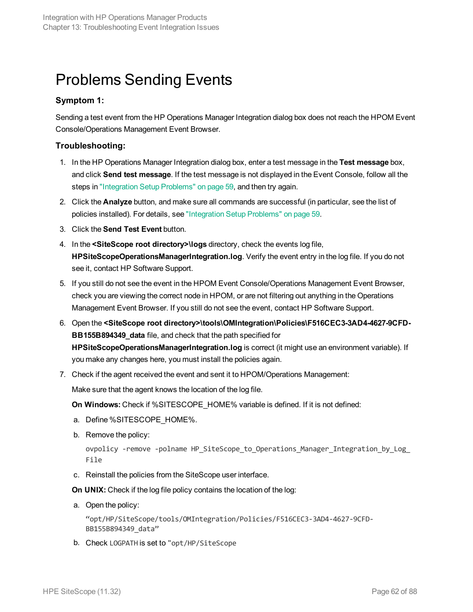## <span id="page-61-0"></span>Problems Sending Events

### **Symptom 1:**

Sending a test event from the HP Operations Manager Integration dialog box does not reach the HPOM Event Console/Operations Management Event Browser.

### **Troubleshooting:**

- 1. In the HP Operations Manager Integration dialog box, enter a test message in the **Test message** box, and click **Send test message**. If the test message is not displayed in the Event Console, follow all the steps in ["Integration](#page-58-0) Setup Problems" on page 59, and then try again.
- 2. Click the **Analyze** button, and make sure all commands are successful (in particular, see the list of policies installed). For details, see ["Integration](#page-58-0) Setup Problems" on page 59.
- 3. Click the **Send Test Event** button.
- 4. In the **<SiteScope root directory>\logs** directory, check the events log file, **HPSiteScopeOperationsManagerIntegration.log**. Verify the event entry in the log file. If you do not see it, contact HP Software Support.
- 5. If you still do not see the event in the HPOM Event Console/Operations Management Event Browser, check you are viewing the correct node in HPOM, or are not filtering out anything in the Operations Management Event Browser. If you still do not see the event, contact HP Software Support.
- 6. Open the **<SiteScope root directory>\tools\OMIntegration\Policies\F516CEC3-3AD4-4627-9CFD-BB155B894349\_data** file, and check that the path specified for **HPSiteScopeOperationsManagerIntegration.log** is correct (it might use an environment variable). If you make any changes here, you must install the policies again.
- 7. Check if the agent received the event and sent it to HPOM/Operations Management:

Make sure that the agent knows the location of the log file.

**On Windows:** Check if %SITESCOPE\_HOME% variable is defined. If it is not defined:

- a. Define %SITESCOPE\_HOME%.
- b. Remove the policy:

```
ovpolicy -remove -polname HP SiteScope to Operations Manager Integration by Log
File
```
c. Reinstall the policies from the SiteScope user interface.

**On UNIX:** Check if the log file policy contains the location of the log:

a. Open the policy:

"opt/HP/SiteScope/tools/OMIntegration/Policies/F516CEC3-3AD4-4627-9CFD-BB155B894349\_data"

b. Check LOGPATH is set to "opt/HP/SiteScope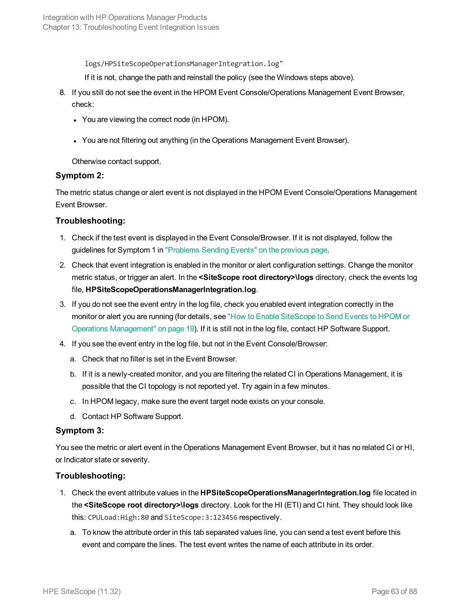logs/HPSiteScopeOperationsManagerIntegration.log"

If it is not, change the path and reinstall the policy (see the Windows steps above).

- 8. If you still do not see the event in the HPOM Event Console/Operations Management Event Browser, check:
	- You are viewing the correct node (in HPOM).
	- You are not filtering out anything (in the Operations Management Event Browser).

Otherwise contact support.

### **Symptom 2:**

The metric status change or alert event is not displayed in the HPOM Event Console/Operations Management Event Browser.

### **Troubleshooting:**

- 1. Check if the test event is displayed in the Event Console/Browser. If it is not displayed, follow the guidelines for Symptom 1 in ["Problems](#page-61-0) Sending Events" on the previous page.
- 2. Check that event integration is enabled in the monitor or alert configuration settings. Change the monitor metric status, or trigger an alert. In the **<SiteScope root directory>\logs** directory, check the events log file, **HPSiteScopeOperationsManagerIntegration.log**.
- 3. If you do not see the event entry in the log file, check you enabled event integration correctly in the monitor or alert you are running (for details, see "How to Enable [SiteScope](#page-18-0) to Send Events to HPOM or Operations [Management"](#page-18-0) on page 19). If it is still not in the log file, contact HP Software Support.
- 4. If you see the event entry in the log file, but not in the Event Console/Browser:
	- a. Check that no filter is set in the Event Browser.
	- b. If it is a newly-created monitor, and you are filtering the related CI in Operations Management, it is possible that the CI topology is not reported yet. Try again in a few minutes.
	- c. In HPOM legacy, make sure the event target node exists on your console.
	- d. Contact HP Software Support.

#### **Symptom 3:**

You see the metric or alert event in the Operations Management Event Browser, but it has no related CI or HI, or Indicator state or severity.

### **Troubleshooting:**

- 1. Check the event attribute values in the **HPSiteScopeOperationsManagerIntegration.log** file located in the **<SiteScope root directory>\logs** directory. Look for the HI (ETI) and CI hint. They should look like this: CPULoad:High:80 and SiteScope:3:123456 respectively.
	- a. To know the attribute order in this tab separated values line, you can send a test event before this event and compare the lines. The test event writes the name of each attribute in its order.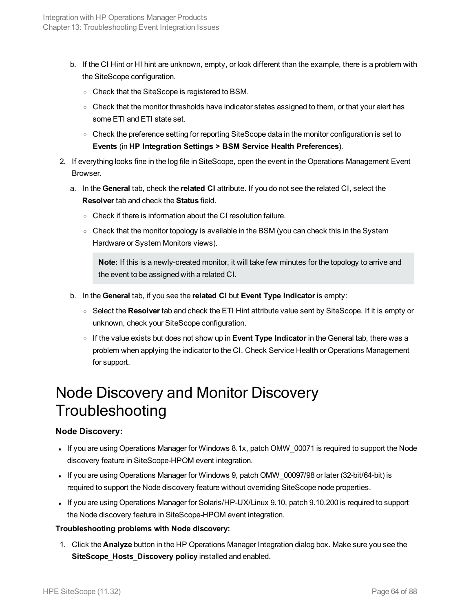- b. If the CI Hint or HI hint are unknown, empty, or look different than the example, there is a problem with the SiteScope configuration.
	- <sup>o</sup> Check that the SiteScope is registered to BSM.
	- $\circ$  Check that the monitor thresholds have indicator states assigned to them, or that your alert has some ETI and ETI state set.
	- $\circ$  Check the preference setting for reporting SiteScope data in the monitor configuration is set to **Events** (in **HP Integration Settings > BSM Service Health Preferences**).
- 2. If everything looks fine in the log file in SiteScope, open the event in the Operations Management Event Browser.
	- a. In the **General** tab, check the **related CI** attribute. If you do not see the related CI, select the **Resolver** tab and check the **Status** field.
		- <sup>o</sup> Check if there is information about the CI resolution failure.
		- Check that the monitor topology is available in the BSM (you can check this in the System Hardware or System Monitors views).

**Note:** If this is a newly-created monitor, it will take few minutes for the topology to arrive and the event to be assigned with a related CI.

- b. In the **General** tab, if you see the **related CI** but **Event Type Indicator** is empty:
	- <sup>o</sup> Select the **Resolver** tab and check the ETI Hint attribute value sent by SiteScope. If it is empty or unknown, check your SiteScope configuration.
	- <sup>o</sup> If the value exists but does not show up in **Event Type Indicator** in the General tab, there was a problem when applying the indicator to the CI. Check Service Health or Operations Management for support.

## <span id="page-63-0"></span>Node Discovery and Monitor Discovery **Troubleshooting**

### **Node Discovery:**

- If you are using Operations Manager for Windows 8.1x, patch OMW\_00071 is required to support the Node discovery feature in SiteScope-HPOM event integration.
- If you are using Operations Manager for Windows 9, patch OMW\_00097/98 or later (32-bit/64-bit) is required to support the Node discovery feature without overriding SiteScope node properties.
- If you are using Operations Manager for Solaris/HP-UX/Linux 9.10, patch 9.10.200 is required to support the Node discovery feature in SiteScope-HPOM event integration.

### **Troubleshooting problems with Node discovery:**

1. Click the **Analyze** button in the HP Operations Manager Integration dialog box. Make sure you see the **SiteScope\_Hosts\_Discovery policy** installed and enabled.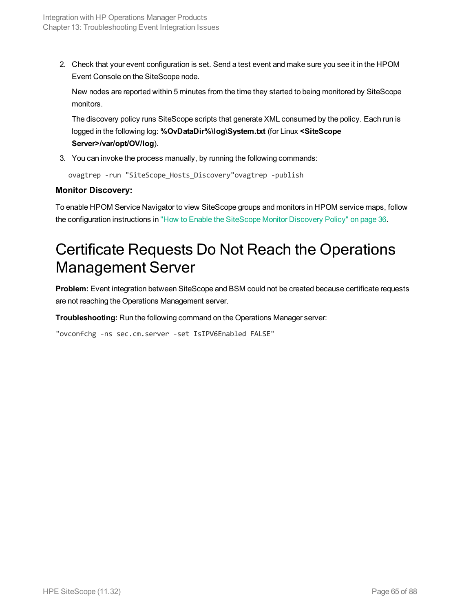2. Check that your event configuration is set. Send a test event and make sure you see it in the HPOM Event Console on the SiteScope node.

New nodes are reported within 5 minutes from the time they started to being monitored by SiteScope monitors.

The discovery policy runs SiteScope scripts that generate XML consumed by the policy. Each run is logged in the following log: **%OvDataDir%\log\System.txt** (for Linux **<SiteScope Server>/var/opt/OV/log**).

3. You can invoke the process manually, by running the following commands:

ovagtrep -run "SiteScope\_Hosts\_Discovery"ovagtrep -publish

### **Monitor Discovery:**

To enable HPOM Service Navigator to view SiteScope groups and monitors in HPOM service maps, follow the configuration instructions in "How to Enable the [SiteScope](#page-35-1) Monitor Discovery Policy" on page 36.

## <span id="page-64-0"></span>Certificate Requests Do Not Reach the Operations Management Server

**Problem:** Event integration between SiteScope and BSM could not be created because certificate requests are not reaching the Operations Management server.

**Troubleshooting:** Run the following command on the Operations Manager server:

"ovconfchg -ns sec.cm.server -set IsIPV6Enabled FALSE"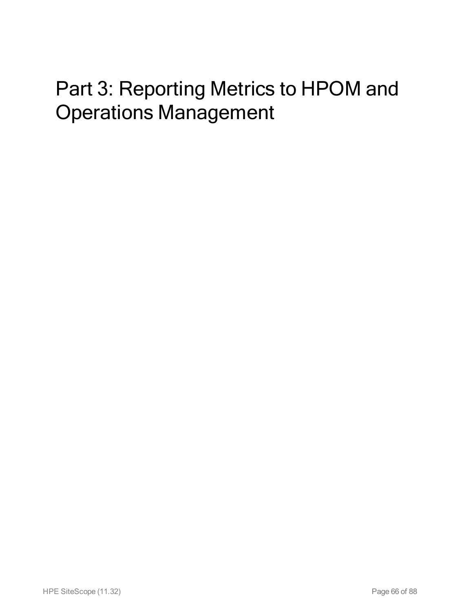# Part 3: Reporting Metrics to HPOM and Operations Management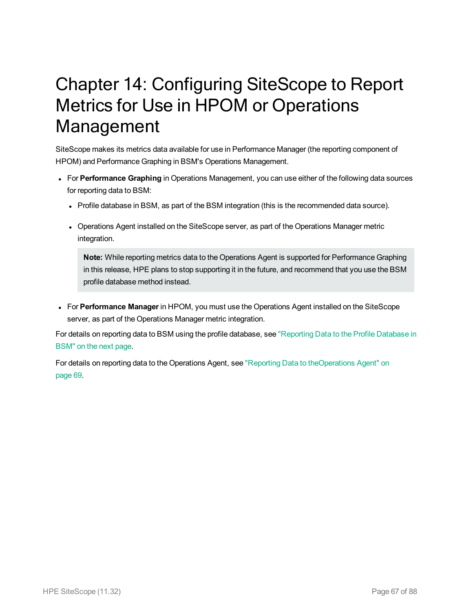# Chapter 14: Configuring SiteScope to Report Metrics for Use in HPOM or Operations Management

SiteScope makes its metrics data available for use in Performance Manager (the reporting component of HPOM) and Performance Graphing in BSM's Operations Management.

- **For Performance Graphing** in Operations Management, you can use either of the following data sources for reporting data to BSM:
	- Profile database in BSM, as part of the BSM integration (this is the recommended data source).
	- Operations Agent installed on the SiteScope server, as part of the Operations Manager metric integration.

**Note:** While reporting metrics data to the Operations Agent is supported for Performance Graphing in this release, HPE plans to stop supporting it in the future, and recommend that you use the BSM profile database method instead.

<sup>l</sup> For **Performance Manager** in HPOM, you must use the Operations Agent installed on the SiteScope server, as part of the Operations Manager metric integration.

For details on reporting data to BSM using the profile database, see ["Reporting](#page-67-0) Data to the Profile Database in [BSM"](#page-67-0) on the next page.

For details on reporting data to the Operations Agent, see "Reporting Data to [theOperations](#page-68-0) Agent" on [page 69.](#page-68-0)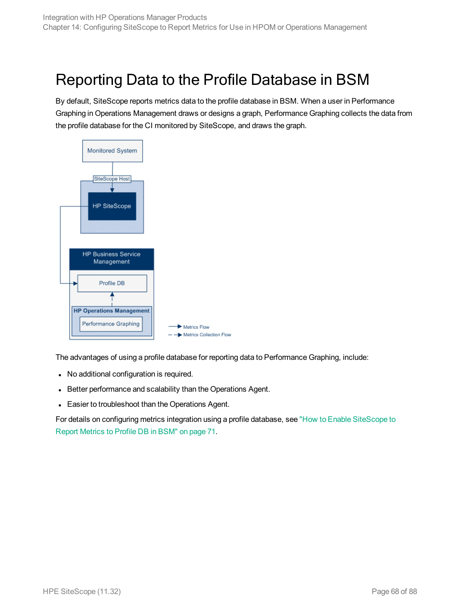## <span id="page-67-0"></span>Reporting Data to the Profile Database in BSM

By default, SiteScope reports metrics data to the profile database in BSM. When a user in Performance Graphing in Operations Management draws or designs a graph, Performance Graphing collects the data from the profile database for the CI monitored by SiteScope, and draws the graph.



The advantages of using a profile database for reporting data to Performance Graphing, include:

- No additional configuration is required.
- Better performance and scalability than the Operations Agent.
- Easier to troubleshoot than the Operations Agent.

For details on configuring metrics integration using a profile database, see "How to Enable [SiteScope](#page-70-0) to Report Metrics to Profile DB in BSM" on [page 71](#page-70-0).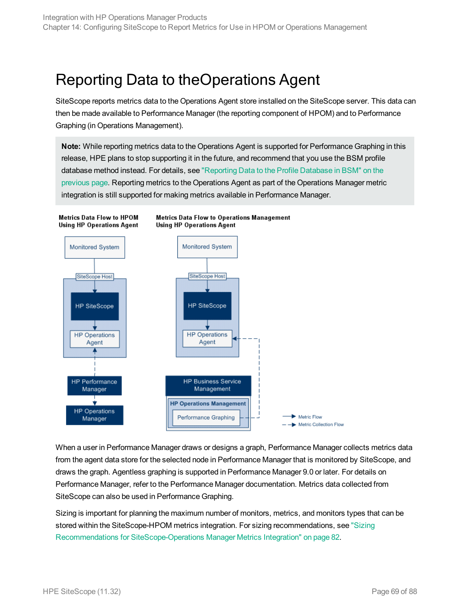## <span id="page-68-0"></span>Reporting Data to theOperations Agent

SiteScope reports metrics data to the Operations Agent store installed on the SiteScope server. This data can then be made available to Performance Manager (the reporting component of HPOM) and to Performance Graphing (in Operations Management).

**Note:** While reporting metrics data to the Operations Agent is supported for Performance Graphing in this release, HPE plans to stop supporting it in the future, and recommend that you use the BSM profile database method instead. For details, see ["Reporting](#page-67-0) Data to the Profile Database in BSM" on the [previous](#page-67-0) page. Reporting metrics to the Operations Agent as part of the Operations Manager metric integration is still supported for making metrics available in Performance Manager.



When a user in Performance Manager draws or designs a graph, Performance Manager collects metrics data from the agent data store for the selected node in Performance Manager that is monitored by SiteScope, and draws the graph. Agentless graphing is supported in Performance Manager 9.0 or later. For details on Performance Manager, refer to the Performance Manager documentation. Metrics data collected from SiteScope can also be used in Performance Graphing.

Sizing is important for planning the maximum number of monitors, metrics, and monitors types that can be stored within the SiteScope-HPOM metrics integration. For sizing recommendations, see ["Sizing](#page-81-0) Recommendations for [SiteScope-Operations](#page-81-0) Manager Metrics Integration" on page 82.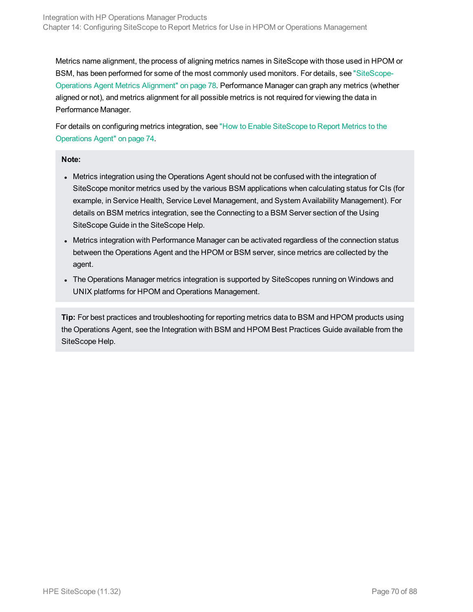Metrics name alignment, the process of aligning metrics names in SiteScope with those used in HPOM or BSM, has been performed for some of the most commonly used monitors. For details, see ["SiteScope-](#page-77-0)Operations Agent Metrics [Alignment"](#page-77-0) on page 78. Performance Manager can graph any metrics (whether aligned or not), and metrics alignment for all possible metrics is not required for viewing the data in Performance Manager.

For details on configuring metrics integration, see "How to Enable [SiteScope](#page-73-0) to Report Metrics to the [Operations](#page-73-0) Agent" on page 74.

#### **Note:**

- Metrics integration using the Operations Agent should not be confused with the integration of SiteScope monitor metrics used by the various BSM applications when calculating status for CIs (for example, in Service Health, Service Level Management, and System Availability Management). For details on BSM metrics integration, see the Connecting to a BSM Server section of the Using SiteScope Guide in the SiteScope Help.
- Metrics integration with Performance Manager can be activated regardless of the connection status between the Operations Agent and the HPOM or BSM server, since metrics are collected by the agent.
- The Operations Manager metrics integration is supported by SiteScopes running on Windows and UNIX platforms for HPOM and Operations Management.

**Tip:** For best practices and troubleshooting for reporting metrics data to BSM and HPOM products using the Operations Agent, see the Integration with BSM and HPOM Best Practices Guide available from the SiteScope Help.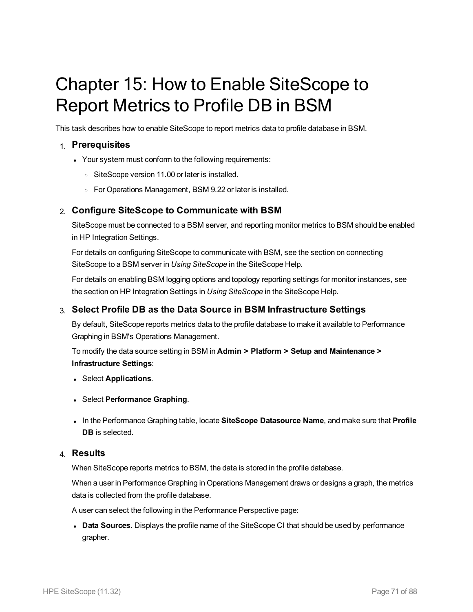# <span id="page-70-0"></span>Chapter 15: How to Enable SiteScope to Report Metrics to Profile DB in BSM

This task describes how to enable SiteScope to report metrics data to profile database in BSM.

### 1. **Prerequisites**

- Your system must conform to the following requirements:
	- o SiteScope version 11.00 or later is installed.
	- <sup>o</sup> For Operations Management, BSM 9.22 or later is installed.

### 2. **Configure SiteScope to Communicate with BSM**

SiteScope must be connected to a BSM server, and reporting monitor metrics to BSM should be enabled in HP Integration Settings.

For details on configuring SiteScope to communicate with BSM, see the section on connecting SiteScope to a BSM server in *Using SiteScope* in the SiteScope Help.

For details on enabling BSM logging options and topology reporting settings for monitor instances, see the section on HP Integration Settings in *Using SiteScope* in the SiteScope Help.

### 3. **Select Profile DB as the Data Source in BSM Infrastructure Settings**

By default, SiteScope reports metrics data to the profile database to make it available to Performance Graphing in BSM's Operations Management.

To modify the data source setting in BSM in **Admin > Platform > Setup and Maintenance > Infrastructure Settings**:

- <sup>l</sup> Select **Applications**.
- <sup>l</sup> Select **Performance Graphing**.
- $\bullet$  In the Performance Graphing table, locate SiteScope Datasource Name, and make sure that Profile **DB** is selected.

### 4. **Results**

When SiteScope reports metrics to BSM, the data is stored in the profile database.

When a user in Performance Graphing in Operations Management draws or designs a graph, the metrics data is collected from the profile database.

A user can select the following in the Performance Perspective page:

**Data Sources.** Displays the profile name of the SiteScope CI that should be used by performance grapher.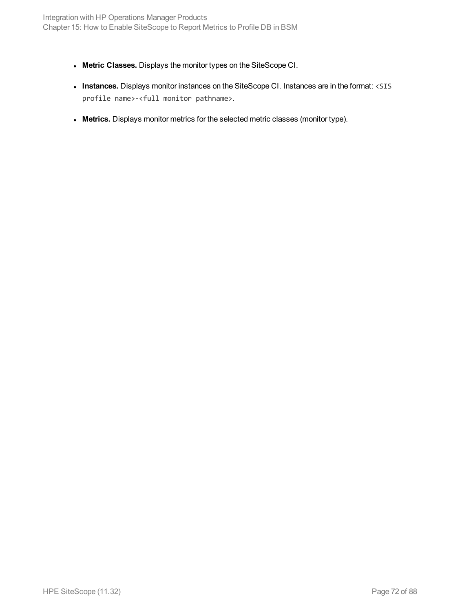- <sup>l</sup> **Metric Classes.** Displays the monitor types on the SiteScope CI.
- **· Instances.** Displays monitor instances on the SiteScope CI. Instances are in the format: <SIS profile name>-<full monitor pathname>.
- **Metrics.** Displays monitor metrics for the selected metric classes (monitor type).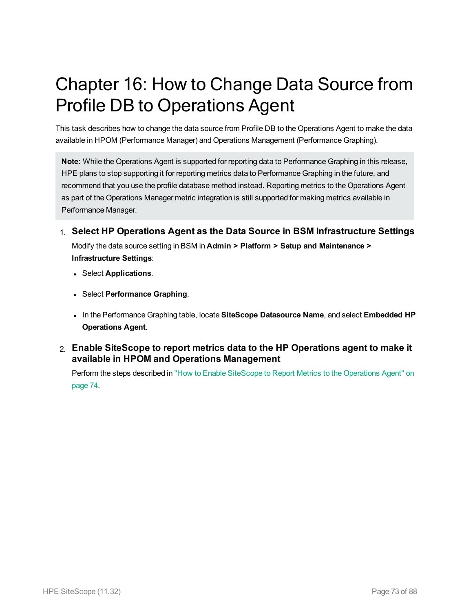## Chapter 16: How to Change Data Source from Profile DB to Operations Agent

This task describes how to change the data source from Profile DB to the Operations Agent to make the data available in HPOM (Performance Manager) and Operations Management (Performance Graphing).

**Note:** While the Operations Agent is supported for reporting data to Performance Graphing in this release, HPE plans to stop supporting it for reporting metrics data to Performance Graphing in the future, and recommend that you use the profile database method instead. Reporting metrics to the Operations Agent as part of the Operations Manager metric integration is still supported for making metrics available in Performance Manager.

- 1. **Select HP Operations Agent as the Data Source in BSM Infrastructure Settings** Modify the data source setting in BSM in **Admin > Platform > Setup and Maintenance > Infrastructure Settings**:
	- <sup>l</sup> Select **Applications**.
	- <sup>l</sup> Select **Performance Graphing**.
	- <sup>l</sup> In the Performance Graphing table, locate **SiteScope Datasource Name**, and select **Embedded HP Operations Agent**.
- 2. **Enable SiteScope to report metrics data to the HP Operations agent to make it available in HPOM and Operations Management**

Perform the steps described in "How to Enable SiteScope to Report Metrics to the [Operations](#page-73-0) Agent" on [page 74.](#page-73-0)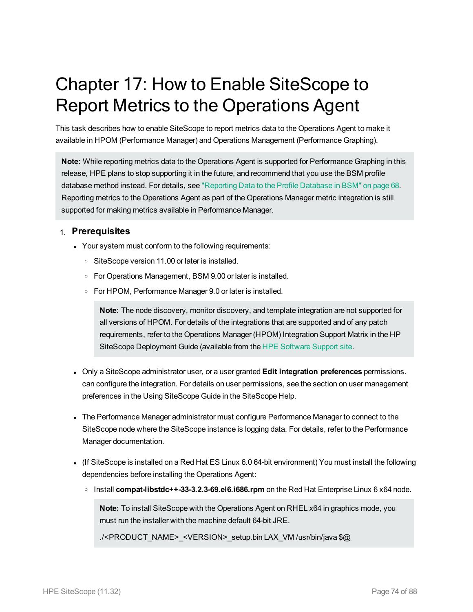## <span id="page-73-0"></span>Chapter 17: How to Enable SiteScope to Report Metrics to the Operations Agent

This task describes how to enable SiteScope to report metrics data to the Operations Agent to make it available in HPOM (Performance Manager) and Operations Management (Performance Graphing).

**Note:** While reporting metrics data to the Operations Agent is supported for Performance Graphing in this release, HPE plans to stop supporting it in the future, and recommend that you use the BSM profile database method instead. For details, see ["Reporting](#page-67-0) Data to the Profile Database in BSM" on page 68. Reporting metrics to the Operations Agent as part of the Operations Manager metric integration is still supported for making metrics available in Performance Manager.

### 1. **Prerequisites**

- Your system must conform to the following requirements:
	- <sup>o</sup> SiteScope version 11.00 or later is installed.
	- <sup>o</sup> For Operations Management, BSM 9.00 or later is installed.
	- <sup>o</sup> For HPOM, Performance Manager 9.0 or later is installed.

**Note:** The node discovery, monitor discovery, and template integration are not supported for all versions of HPOM. For details of the integrations that are supported and of any patch requirements, refer to the Operations Manager (HPOM) Integration Support Matrix in the HP SiteScope Deployment Guide (available from the HPE [Software](https://softwaresupport.hp.com/) Support site.

- <sup>l</sup> Only a SiteScope administrator user, or a user granted **Edit integration preferences** permissions. can configure the integration. For details on user permissions, see the section on user management preferences in the Using SiteScope Guide in the SiteScope Help.
- The Performance Manager administrator must configure Performance Manager to connect to the SiteScope node where the SiteScope instance is logging data. For details, refer to the Performance Manager documentation.
- If SiteScope is installed on a Red Hat ES Linux 6.0 64-bit environment) You must install the following dependencies before installing the Operations Agent:
	- <sup>o</sup> Install **compat-libstdc++-33-3.2.3-69.el6.i686.rpm** on the Red Hat Enterprise Linux 6 x64 node.

**Note:** To install SiteScope with the Operations Agent on RHEL x64 in graphics mode, you must run the installer with the machine default 64-bit JRE.

./<PRODUCT\_NAME>\_<VERSION>\_setup.bin LAX\_VM /usr/bin/java \$@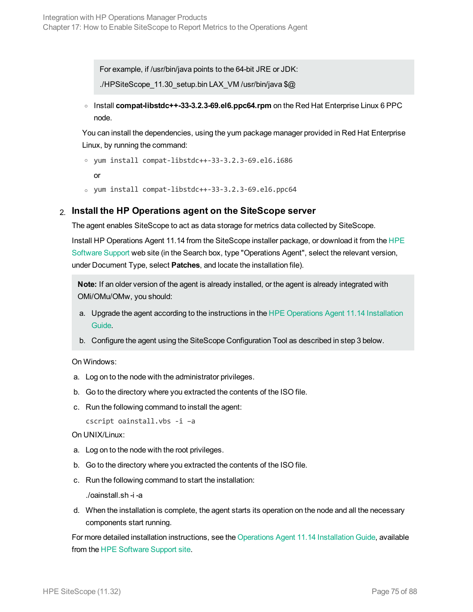For example, if /usr/bin/java points to the 64-bit JRE or JDK:

./HPSiteScope\_11.30\_setup.bin LAX\_VM /usr/bin/java \$@

<sup>o</sup> Install **compat-libstdc++-33-3.2.3-69.el6.ppc64.rpm** on the Red Hat Enterprise Linux 6 PPC node.

You can install the dependencies, using the yum package manager provided in Red Hat Enterprise Linux, by running the command:

```
o yum install compat-libstdc++-33-3.2.3-69.el6.i686
```
or

<sup>o</sup> yum install compat-libstdc++-33-3.2.3-69.el6.ppc64

#### 2. **Install the HP Operations agent on the SiteScope server**

The agent enables SiteScope to act as data storage for metrics data collected by SiteScope.

Install HP Operations Agent 11.14 from the SiteScope installer package, or download it from the [HPE](https://softwaresupport.hp.com/) [Software](https://softwaresupport.hp.com/) Support web site (in the Search box, type "Operations Agent", select the relevant version, under Document Type, select **Patches**, and locate the installation file).

**Note:** If an older version of the agent is already installed, or the agent is already integrated with OMi/OMu/OMw, you should:

- a. Upgrade the agent according to the instructions in the [HPE Operations](https://softwaresupport.hp.com/group/softwaresupport/search-result/-/facetsearch/document/KM01001255) Agent 11.14 Installation [Guide](https://softwaresupport.hp.com/group/softwaresupport/search-result/-/facetsearch/document/KM01001255).
- b. Configure the agent using the SiteScope Configuration Tool as described in step 3 below.

On Windows:

- a. Log on to the node with the administrator privileges.
- b. Go to the directory where you extracted the contents of the ISO file.
- c. Run the following command to install the agent:

cscript oainstall.vbs -i –a

#### On UNIX/Linux:

- a. Log on to the node with the root privileges.
- b. Go to the directory where you extracted the contents of the ISO file.
- c. Run the following command to start the installation:

./oainstall.sh -i -a

d. When the installation is complete, the agent starts its operation on the node and all the necessary components start running.

For more detailed installation instructions, see the Operations Agent 11.14 [Installation](https://softwaresupport.hp.com/group/softwaresupport/search-result/-/facetsearch/document/KM01001255) Guide, available from the HPE [Software](https://softwaresupport.hp.com/) Support site.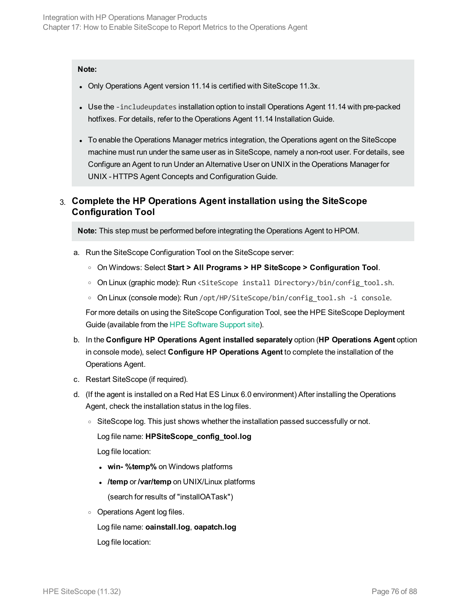#### **Note:**

- Only Operations Agent version 11.14 is certified with SiteScope 11.3x.
- Use the -includeupdates installation option to install Operations Agent 11.14 with pre-packed hotfixes. For details, refer to the Operations Agent 11.14 Installation Guide.
- To enable the Operations Manager metrics integration, the Operations agent on the SiteScope machine must run under the same user as in SiteScope, namely a non-root user. For details, see Configure an Agent to run Under an Alternative User on UNIX in the Operations Manager for UNIX - HTTPS Agent Concepts and Configuration Guide.

### 3. **Complete the HP Operations Agent installation using the SiteScope Configuration Tool**

**Note:** This step must be performed before integrating the Operations Agent to HPOM.

- a. Run the SiteScope Configuration Tool on the SiteScope server:
	- <sup>o</sup> On Windows: Select **Start > All Programs > HP SiteScope > Configuration Tool**.
	- <sup>o</sup> On Linux (graphic mode): Run <SiteScope install Directory>/bin/config\_tool.sh.
	- On Linux (console mode): Run /opt/HP/SiteScope/bin/config\_tool.sh -i console.

For more details on using the SiteScope Configuration Tool, see the HPE SiteScope Deployment Guide (available from the HPE [Software](https://softwaresupport.hp.com/) Support site).

- b. In the **Configure HP Operations Agent installed separately** option (**HP Operations Agent** option in console mode), select **Configure HP Operations Agent** to complete the installation of the Operations Agent.
- c. Restart SiteScope (if required).
- d. (If the agent is installed on a Red Hat ES Linux 6.0 environment) After installing the Operations Agent, check the installation status in the log files.
	- $\circ$  SiteScope log. This just shows whether the installation passed successfully or not.

Log file name: **HPSiteScope\_config\_tool.log**

Log file location:

- **win-** %temp% on Windows platforms
- <sup>l</sup> **/temp** or **/var/temp** on UNIX/Linux platforms

(search for results of "installOATask")

<sup>o</sup> Operations Agent log files.

Log file name: **oainstall.log**, **oapatch.log** Log file location: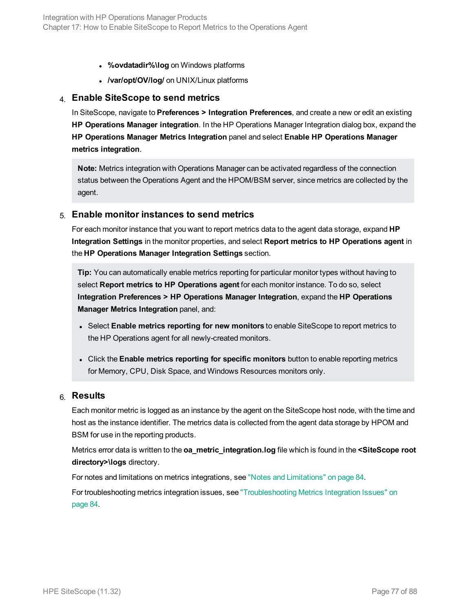- **%ovdatadir%\log** on Windows platforms
- <sup>l</sup> **/var/opt/OV/log/** on UNIX/Linux platforms

#### 4. **Enable SiteScope to send metrics**

In SiteScope, navigate to **Preferences > Integration Preferences**, and create a new or edit an existing **HP Operations Manager integration**. In the HP Operations Manager Integration dialog box, expand the **HP Operations Manager Metrics Integration** panel and select **Enable HP Operations Manager metrics integration**.

**Note:** Metrics integration with Operations Manager can be activated regardless of the connection status between the Operations Agent and the HPOM/BSM server, since metrics are collected by the agent.

#### 5. **Enable monitor instances to send metrics**

For each monitor instance that you want to report metrics data to the agent data storage, expand **HP Integration Settings** in the monitor properties, and select **Report metrics to HP Operations agent** in the **HP Operations Manager Integration Settings** section.

**Tip:** You can automatically enable metrics reporting for particular monitor types without having to select **Report metrics to HP Operations agent** for each monitor instance. To do so, select **Integration Preferences > HP Operations Manager Integration**, expand the **HP Operations Manager Metrics Integration** panel, and:

- <sup>l</sup> Select **Enable metrics reporting for new monitors** to enable SiteScope to report metrics to the HP Operations agent for all newly-created monitors.
- <sup>l</sup> Click the **Enable metrics reporting for specific monitors** button to enable reporting metrics for Memory, CPU, Disk Space, and Windows Resources monitors only.

#### 6. **Results**

Each monitor metric is logged as an instance by the agent on the SiteScope host node, with the time and host as the instance identifier. The metrics data is collected from the agent data storage by HPOM and BSM for use in the reporting products.

Metrics error data is written to the **oa\_metric\_integration.log** file which is found in the **<SiteScope root directory>\logs** directory.

For notes and limitations on metrics integrations, see "Notes and [Limitations"](#page-83-0) on page 84.

For troubleshooting metrics integration issues, see ["Troubleshooting](#page-83-1) Metrics Integration Issues" on [page 84.](#page-83-1)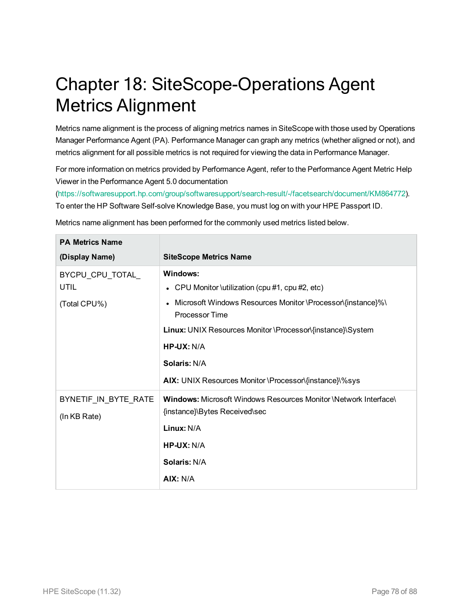## Chapter 18: SiteScope-Operations Agent Metrics Alignment

Metrics name alignment is the process of aligning metrics names in SiteScope with those used by Operations Manager Performance Agent (PA). Performance Manager can graph any metrics (whether aligned or not), and metrics alignment for all possible metrics is not required for viewing the data in Performance Manager.

For more information on metrics provided by Performance Agent, refer to the Performance Agent Metric Help Viewer in the Performance Agent 5.0 documentation

[\(https://softwaresupport.hp.com/group/softwaresupport/search-result/-/facetsearch/document/KM864772](https://softwaresupport.hp.com/group/softwaresupport/search-result/-/facetsearch/document/KM864772)). To enter the HP Software Self-solve Knowledge Base, you must log on with your HPE Passport ID.

| <b>PA Metrics Name</b> |                                                                                                   |
|------------------------|---------------------------------------------------------------------------------------------------|
| (Display Name)         | <b>SiteScope Metrics Name</b>                                                                     |
| BYCPU_CPU_TOTAL_       | Windows:                                                                                          |
| <b>UTIL</b>            | • CPU Monitor \utilization (cpu #1, cpu #2, etc)                                                  |
| (Total CPU%)           | Microsoft Windows Resources Monitor \Processor\{instance}%\<br>$\bullet$<br><b>Processor Time</b> |
|                        | Linux: UNIX Resources Monitor \Processor\{instance}\System                                        |
|                        | $HP$ -UX: N/A                                                                                     |
|                        | <b>Solaris: N/A</b>                                                                               |
|                        | AIX: UNIX Resources Monitor \Processor\{instance}\%sys                                            |
| BYNETIF_IN_BYTE_RATE   | <b>Windows:</b> Microsoft Windows Resources Monitor \Network Interface\                           |
| (In KB Rate)           | {instance}\Bytes Received\sec                                                                     |
|                        | Linux: N/A                                                                                        |
|                        | $HP$ -UX: N/A                                                                                     |
|                        | <b>Solaris: N/A</b>                                                                               |
|                        | AIX: N/A                                                                                          |

Metrics name alignment has been performed for the commonly used metrics listed below.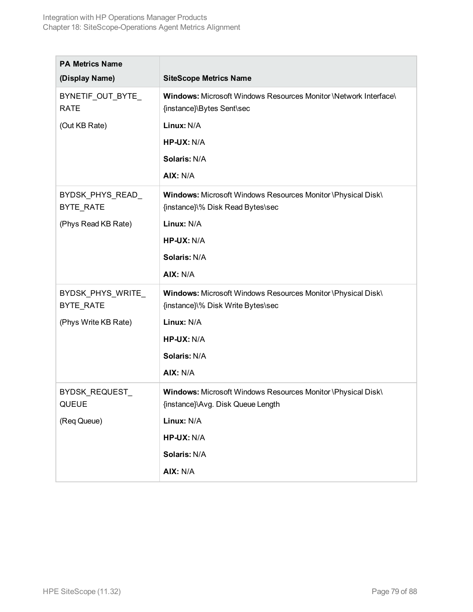| <b>PA Metrics Name</b>           |                                                                                                   |
|----------------------------------|---------------------------------------------------------------------------------------------------|
| (Display Name)                   | <b>SiteScope Metrics Name</b>                                                                     |
| BYNETIF_OUT_BYTE_<br><b>RATE</b> | Windows: Microsoft Windows Resources Monitor \Network Interface\<br>{instance}\Bytes Sent\sec     |
| (Out KB Rate)                    | Linux: N/A                                                                                        |
|                                  | HP-UX: N/A                                                                                        |
|                                  | Solaris: N/A                                                                                      |
|                                  | AIX: N/A                                                                                          |
| BYDSK_PHYS_READ_<br>BYTE_RATE    | Windows: Microsoft Windows Resources Monitor \Physical Disk\<br>{instance}\% Disk Read Bytes\sec  |
| (Phys Read KB Rate)              | Linux: N/A                                                                                        |
|                                  | HP-UX: N/A                                                                                        |
|                                  | Solaris: N/A                                                                                      |
|                                  | AIX: N/A                                                                                          |
| BYDSK_PHYS_WRITE_                | Windows: Microsoft Windows Resources Monitor \Physical Disk\                                      |
| BYTE_RATE                        | {instance}\% Disk Write Bytes\sec                                                                 |
| (Phys Write KB Rate)             | Linux: N/A                                                                                        |
|                                  | HP-UX: N/A                                                                                        |
|                                  | Solaris: N/A                                                                                      |
|                                  | AIX: N/A                                                                                          |
| BYDSK_REQUEST_<br><b>QUEUE</b>   | Windows: Microsoft Windows Resources Monitor \Physical Disk\<br>{instance}\Avg. Disk Queue Length |
| (Req Queue)                      | Linux: N/A                                                                                        |
|                                  | HP-UX: N/A                                                                                        |
|                                  | Solaris: N/A                                                                                      |
|                                  | AIX: N/A                                                                                          |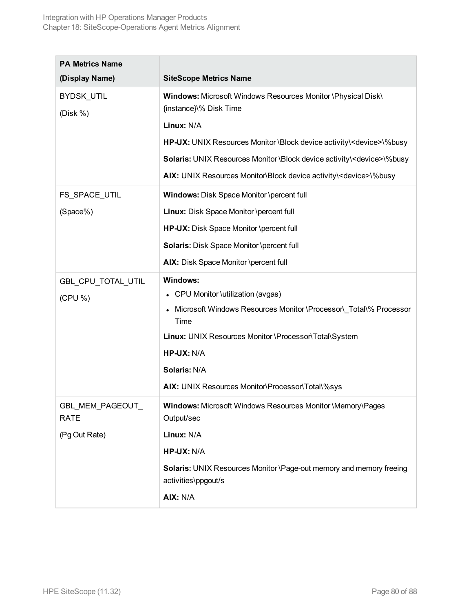| <b>PA Metrics Name</b>          |                                                                                            |
|---------------------------------|--------------------------------------------------------------------------------------------|
| (Display Name)                  | <b>SiteScope Metrics Name</b>                                                              |
| BYDSK_UTIL<br>(Disk %)          | Windows: Microsoft Windows Resources Monitor \Physical Disk\<br>{instance}\% Disk Time     |
|                                 | Linux: N/A                                                                                 |
|                                 | HP-UX: UNIX Resources Monitor \Block device activity\ <device>\%busy</device>              |
|                                 | Solaris: UNIX Resources Monitor \Block device activity\ <device>\%busy</device>            |
|                                 | AIX: UNIX Resources Monitor\Block device activity\ <device>\%busy</device>                 |
| FS_SPACE_UTIL                   | Windows: Disk Space Monitor \percent full                                                  |
| (Space%)                        | Linux: Disk Space Monitor \percent full                                                    |
|                                 | HP-UX: Disk Space Monitor \percent full                                                    |
|                                 | Solaris: Disk Space Monitor \percent full                                                  |
|                                 | AIX: Disk Space Monitor \percent full                                                      |
| GBL_CPU_TOTAL_UTIL              | <b>Windows:</b>                                                                            |
| (CPU %)                         | CPU Monitor \utilization (avgas)                                                           |
|                                 | Microsoft Windows Resources Monitor \Processor\_Total\% Processor<br>Time                  |
|                                 | Linux: UNIX Resources Monitor \Processor\Total\System                                      |
|                                 | HP-UX: N/A                                                                                 |
|                                 | Solaris: N/A                                                                               |
|                                 | AIX: UNIX Resources Monitor\Processor\Total\%sys                                           |
| GBL_MEM_PAGEOUT_<br><b>RATE</b> | Windows: Microsoft Windows Resources Monitor \Memory\Pages<br>Output/sec                   |
| (Pg Out Rate)                   | Linux: N/A                                                                                 |
|                                 | HP-UX: N/A                                                                                 |
|                                 | Solaris: UNIX Resources Monitor \Page-out memory and memory freeing<br>activities\ppgout/s |
|                                 | AIX: N/A                                                                                   |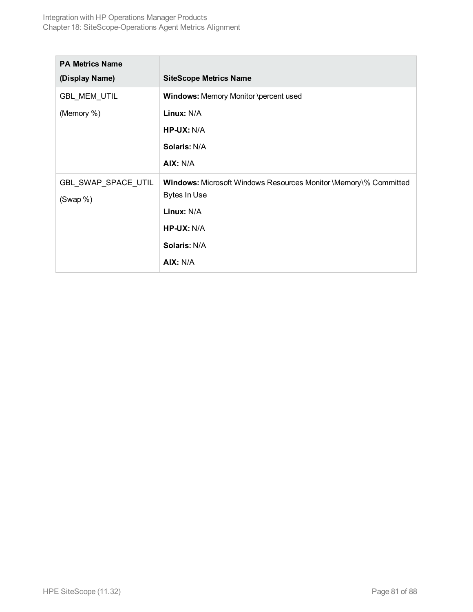| <b>PA Metrics Name</b> |                                                                         |
|------------------------|-------------------------------------------------------------------------|
| (Display Name)         | <b>SiteScope Metrics Name</b>                                           |
| GBL_MEM_UTIL           | <b>Windows: Memory Monitor \percent used</b>                            |
| (Memory %)             | Linux: N/A                                                              |
|                        | $HP-UX: N/A$                                                            |
|                        | Solaris: N/A                                                            |
|                        | AIX: N/A                                                                |
| GBL_SWAP_SPACE_UTIL    | <b>Windows:</b> Microsoft Windows Resources Monitor \Memory\% Committed |
| (Swap %)               | <b>Bytes In Use</b>                                                     |
|                        | Linux: N/A                                                              |
|                        | $HP$ -UX: N/A                                                           |
|                        | Solaris: N/A                                                            |
|                        | AIX: N/A                                                                |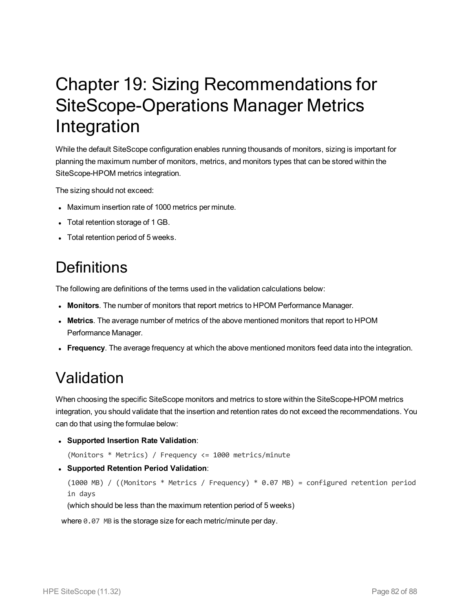## <span id="page-81-0"></span>Chapter 19: Sizing Recommendations for SiteScope-Operations Manager Metrics Integration

While the default SiteScope configuration enables running thousands of monitors, sizing is important for planning the maximum number of monitors, metrics, and monitors types that can be stored within the SiteScope-HPOM metrics integration.

The sizing should not exceed:

- Maximum insertion rate of 1000 metrics per minute.
- Total retention storage of 1 GB.
- Total retention period of 5 weeks.

### **Definitions**

The following are definitions of the terms used in the validation calculations below:

- **Monitors**. The number of monitors that report metrics to HPOM Performance Manager.
- **Metrics**. The average number of metrics of the above mentioned monitors that report to HPOM Performance Manager.
- **Frequency**. The average frequency at which the above mentioned monitors feed data into the integration.

### Validation

When choosing the specific SiteScope monitors and metrics to store within the SiteScope-HPOM metrics integration, you should validate that the insertion and retention rates do not exceed the recommendations. You can do that using the formulae below:

<sup>l</sup> **Supported Insertion Rate Validation**:

(Monitors \* Metrics) / Frequency <= 1000 metrics/minute

<sup>l</sup> **Supported Retention Period Validation**:

```
(1000 MB) / ((Monitors * Metrics / Frequency) * 0.07 MB) = configured retention period
in days
```
(which should be less than the maximum retention period of 5 weeks)

where 0.07 MB is the storage size for each metric/minute per day.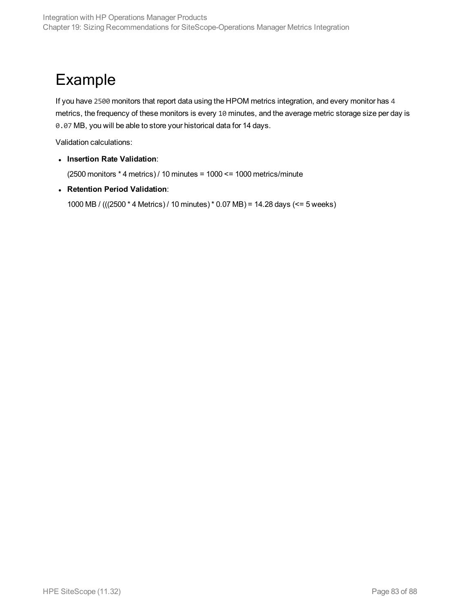### Example

If you have 2500 monitors that report data using the HPOM metrics integration, and every monitor has 4 metrics, the frequency of these monitors is every 10 minutes, and the average metric storage size per day is 0.07 MB, you will be able to store your historical data for 14 days.

Validation calculations:

<sup>l</sup> **Insertion Rate Validation**:

(2500 monitors \* 4 metrics) / 10 minutes = 1000 <= 1000 metrics/minute

<sup>l</sup> **Retention Period Validation**:

1000 MB / (((2500 \* 4 Metrics) / 10 minutes)\* 0.07 MB) = 14.28 days (<= 5 weeks)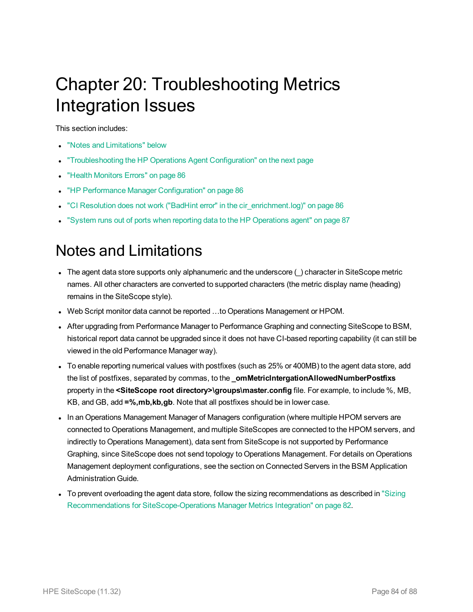## <span id="page-83-1"></span>Chapter 20: Troubleshooting Metrics Integration Issues

This section includes:

- "Notes and [Limitations"](#page-83-0) below
- ["Troubleshooting](#page-84-0) the HP Operations Agent Configuration" on the next page
- "Health [Monitors](#page-85-0) Errors" on page 86
- "HP Performance Manager [Configuration"](#page-85-1) on page 86
- "CI Resolution does not work ("BadHint error" in the cir enrichment.log)" on page 86
- <span id="page-83-0"></span>. "System runs out of ports when reporting data to the HP [Operations](#page-86-0) agent" on page 87

### Notes and Limitations

- $\bullet$  The agent data store supports only alphanumeric and the underscore  $(\_)$  character in SiteScope metric names. All other characters are converted to supported characters (the metric display name (heading) remains in the SiteScope style).
- Web Script monitor data cannot be reported ...to Operations Management or HPOM.
- After upgrading from Performance Manager to Performance Graphing and connecting SiteScope to BSM, historical report data cannot be upgraded since it does not have CI-based reporting capability (it can still be viewed in the old Performance Manager way).
- To enable reporting numerical values with postfixes (such as 25% or 400MB) to the agent data store, add the list of postfixes, separated by commas, to the **\_omMetricIntergationAllowedNumberPostfixs** property in the **<SiteScope root directory>\groups\master.config** file. For example, to include %, MB, KB, and GB, add **=%,mb,kb,gb**. Note that all postfixes should be in lower case.
- In an Operations Management Manager of Managers configuration (where multiple HPOM servers are connected to Operations Management, and multiple SiteScopes are connected to the HPOM servers, and indirectly to Operations Management), data sent from SiteScope is not supported by Performance Graphing, since SiteScope does not send topology to Operations Management. For details on Operations Management deployment configurations, see the section on Connected Servers in the BSM Application Administration Guide.
- To prevent overloading the agent data store, follow the sizing recommendations as described in ["Sizing](#page-81-0)" Recommendations for [SiteScope-Operations](#page-81-0) Manager Metrics Integration" on page 82.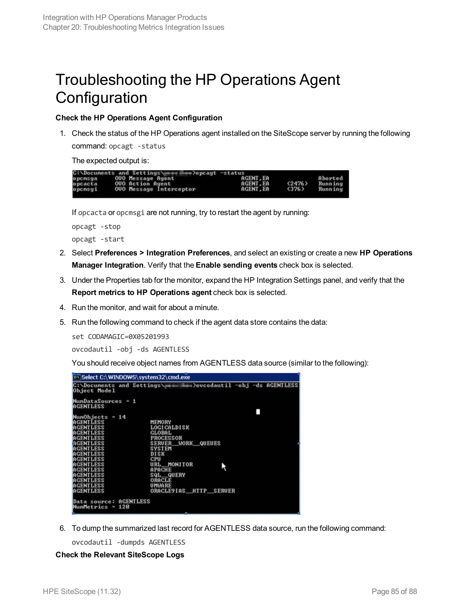### <span id="page-84-0"></span>Troubleshooting the HP Operations Agent **Configuration**

#### **Check the HP Operations Agent Configuration**

1. Check the status of the HP Operations agent installed on the SiteScope server by running the following command: opcagt -status

The expected output is:



If opcacta or opcmsgi are not running, try to restart the agent by running:

opcagt -stop opcagt -start

- 2. Select **Preferences > Integration Preferences**, and select an existing or create a new **HP Operations Manager Integration**. Verify that the **Enable sending events** check box is selected.
- 3. Under the Properties tab for the monitor, expand the HP Integration Settings panel, and verify that the **Report metrics to HP Operations agent** check box is selected.
- 4. Run the monitor, and wait for about a minute.
- 5. Run the following command to check if the agent data store contains the data:

set CODAMAGIC=0X05201993

ovcodautil -obj -ds AGENTLESS

You should receive object names from AGENTLESS data source (similar to the following):



6. To dump the summarized last record for AGENTLESS data source, run the following command:

ovcodautil -dumpds AGENTLESS

#### **Check the Relevant SiteScope Logs**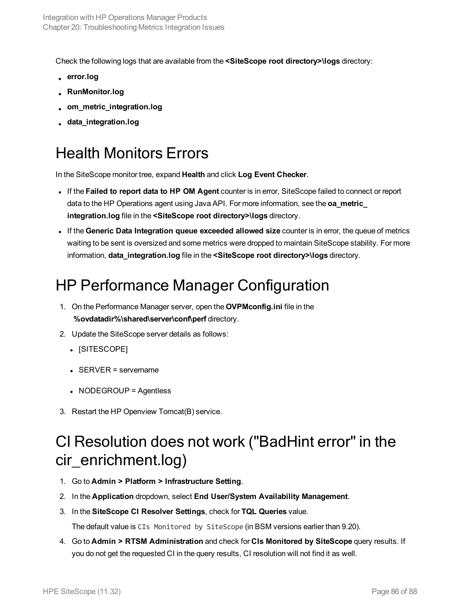Check the following logs that are available from the **<SiteScope root directory>\logs** directory:

- <sup>l</sup> **error.log**
- <sup>l</sup> **RunMonitor.log**
- <sup>l</sup> **om\_metric\_integration.log**
- <span id="page-85-0"></span><sup>l</sup> **data\_integration.log**

### Health Monitors Errors

In the SiteScope monitor tree, expand **Health** and click **Log Event Checker**.

- <sup>l</sup> If the **Failed to report data to HP OM Agent** counter is in error, SiteScope failed to connect or report data to the HP Operations agent using Java API. For more information, see the **oa\_metric\_ integration.log** file in the **<SiteScope root directory>\logs** directory.
- <sup>l</sup> If the **Generic Data Integration queue exceeded allowed size** counter is in error, the queue of metrics waiting to be sent is oversized and some metrics were dropped to maintain SiteScope stability. For more information, **data\_integration.log** file in the **<SiteScope root directory>\logs** directory.

### <span id="page-85-1"></span>HP Performance Manager Configuration

- 1. On the Performance Manager server, open the **OVPMconfig.ini** file in the **%ovdatadir%\shared\server\conf\perf** directory.
- 2. Update the SiteScope server details as follows:
	- [SITESCOPE]
	- $\cdot$  SERVER = servername
	- NODEGROUP = Agentless
- <span id="page-85-2"></span>3. Restart the HP Openview Tomcat(B) service.

### CI Resolution does not work ("BadHint error" in the cir\_enrichment.log)

- 1. Go to **Admin > Platform > Infrastructure Setting**.
- 2. In the **Application** dropdown, select **End User/System Availability Management**.
- 3. In the **SiteScope CI Resolver Settings**, check for **TQL Queries** value.

The default value is CIs Monitored by SiteScope (in BSM versions earlier than 9.20).

4. Go to **Admin > RTSM Administration** and check for **CIs Monitored by SiteScope** query results. If you do not get the requested CI in the query results, CI resolution will not find it as well.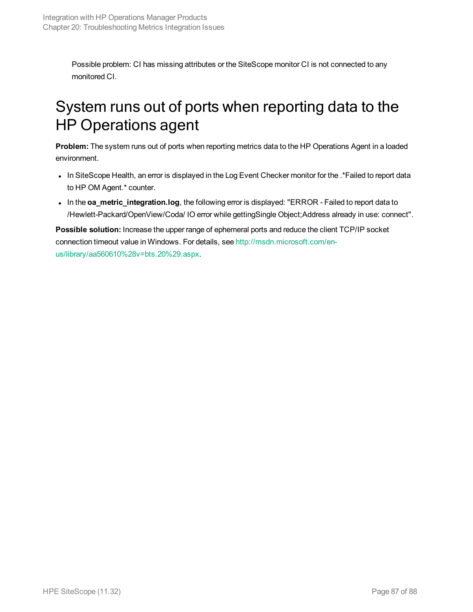<span id="page-86-0"></span>Possible problem: CI has missing attributes or the SiteScope monitor CI is not connected to any monitored CI.

### System runs out of ports when reporting data to the HP Operations agent

**Problem:** The system runs out of ports when reporting metrics data to the HP Operations Agent in a loaded environment.

- In SiteScope Health, an error is displayed in the Log Event Checker monitor for the .\*Failed to report data to HP OM Agent.\* counter.
- . In the **oa\_metric\_integration.log**, the following error is displayed: "ERROR Failed to report data to /Hewlett-Packard/OpenView/Coda/ IO error while gettingSingle Object;Address already in use: connect".

**Possible solution:** Increase the upper range of ephemeral ports and reduce the client TCP/IP socket connection timeout value in Windows. For details, see [http://msdn.microsoft.com/en](http://msdn.microsoft.com/en-us/library/aa560610(v=bts.20).aspx)[us/library/aa560610%28v=bts.20%29.aspx](http://msdn.microsoft.com/en-us/library/aa560610(v=bts.20).aspx).